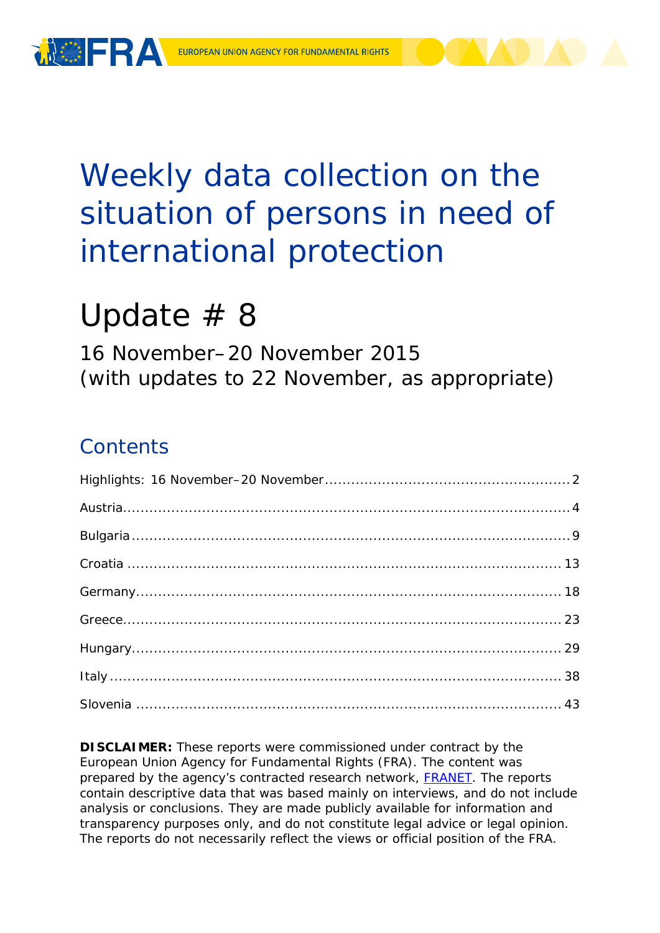

# Weekly data collection on the situation of persons in need of international protection

# Update # 8

16 November–20 November 2015 (with updates to 22 November, as appropriate)

## **Contents**

**DISCLAIMER:** These reports were commissioned under contract by the European Union Agency for Fundamental Rights (FRA). The content was prepared by the agency's contracted research network, **FRANET**. The reports contain descriptive data that was based mainly on interviews, and do not include analysis or conclusions. They are made publicly available for information and transparency purposes only, and do not constitute legal advice or legal opinion. The reports do not necessarily reflect the views or official position of the FRA.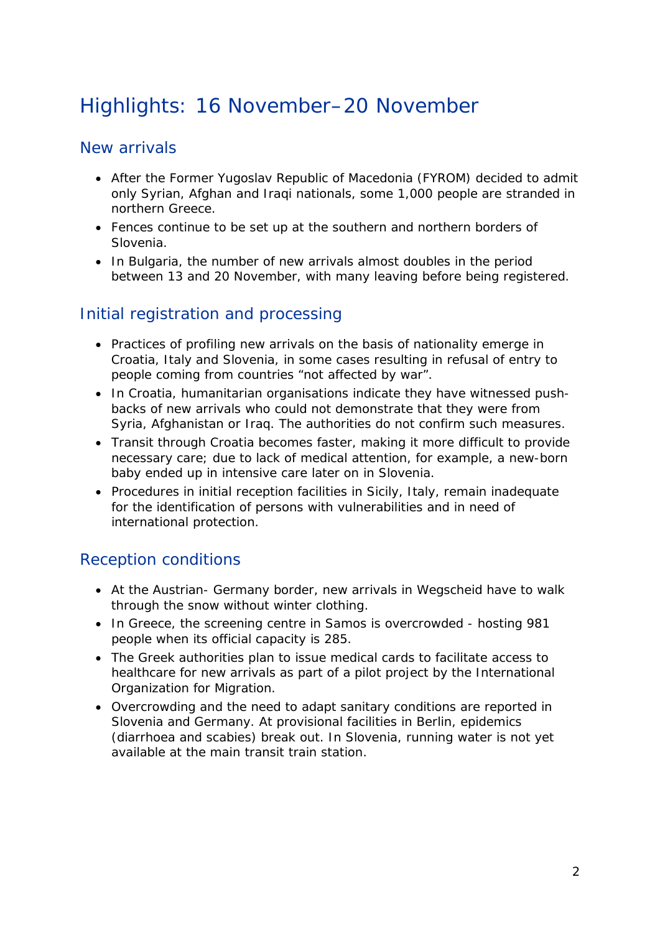## <span id="page-1-0"></span>Highlights: 16 November–20 November

### New arrivals

- After the Former Yugoslav Republic of Macedonia (FYROM) decided to admit only Syrian, Afghan and Iraqi nationals, some 1,000 people are stranded in northern Greece.
- Fences continue to be set up at the southern and northern borders of Slovenia.
- In Bulgaria, the number of new arrivals almost doubles in the period between 13 and 20 November, with many leaving before being registered.

### Initial registration and processing

- Practices of profiling new arrivals on the basis of nationality emerge in Croatia, Italy and Slovenia, in some cases resulting in refusal of entry to people coming from countries "not affected by war".
- In Croatia, humanitarian organisations indicate they have witnessed pushbacks of new arrivals who could not demonstrate that they were from Syria, Afghanistan or Iraq. The authorities do not confirm such measures.
- Transit through Croatia becomes faster, making it more difficult to provide necessary care; due to lack of medical attention, for example, a new-born baby ended up in intensive care later on in Slovenia.
- Procedures in initial reception facilities in Sicily, Italy, remain inadequate for the identification of persons with vulnerabilities and in need of international protection.

### Reception conditions

- At the Austrian- Germany border, new arrivals in Wegscheid have to walk through the snow without winter clothing.
- In Greece, the screening centre in Samos is overcrowded hosting 981 people when its official capacity is 285.
- The Greek authorities plan to issue medical cards to facilitate access to healthcare for new arrivals as part of a pilot project by the International Organization for Migration.
- Overcrowding and the need to adapt sanitary conditions are reported in Slovenia and Germany. At provisional facilities in Berlin, epidemics (diarrhoea and scabies) break out. In Slovenia, running water is not yet available at the main transit train station.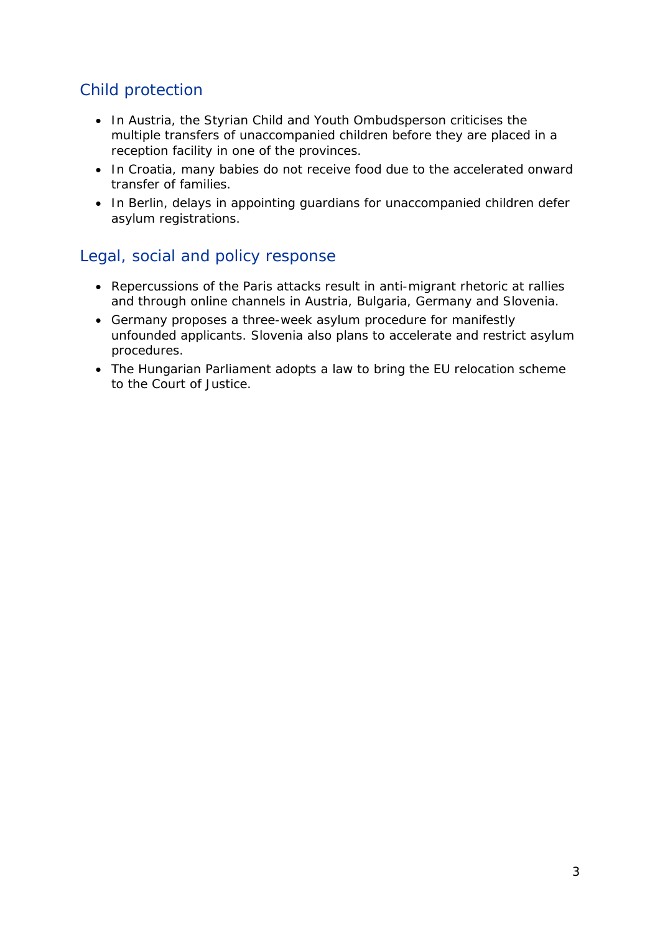### Child protection

- In Austria, the Styrian Child and Youth Ombudsperson criticises the multiple transfers of unaccompanied children before they are placed in a reception facility in one of the provinces.
- In Croatia, many babies do not receive food due to the accelerated onward transfer of families.
- In Berlin, delays in appointing guardians for unaccompanied children defer asylum registrations.

### Legal, social and policy response

- Repercussions of the Paris attacks result in anti-migrant rhetoric at rallies and through online channels in Austria, Bulgaria, Germany and Slovenia.
- Germany proposes a three-week asylum procedure for manifestly unfounded applicants. Slovenia also plans to accelerate and restrict asylum procedures.
- The Hungarian Parliament adopts a law to bring the EU relocation scheme to the Court of Justice.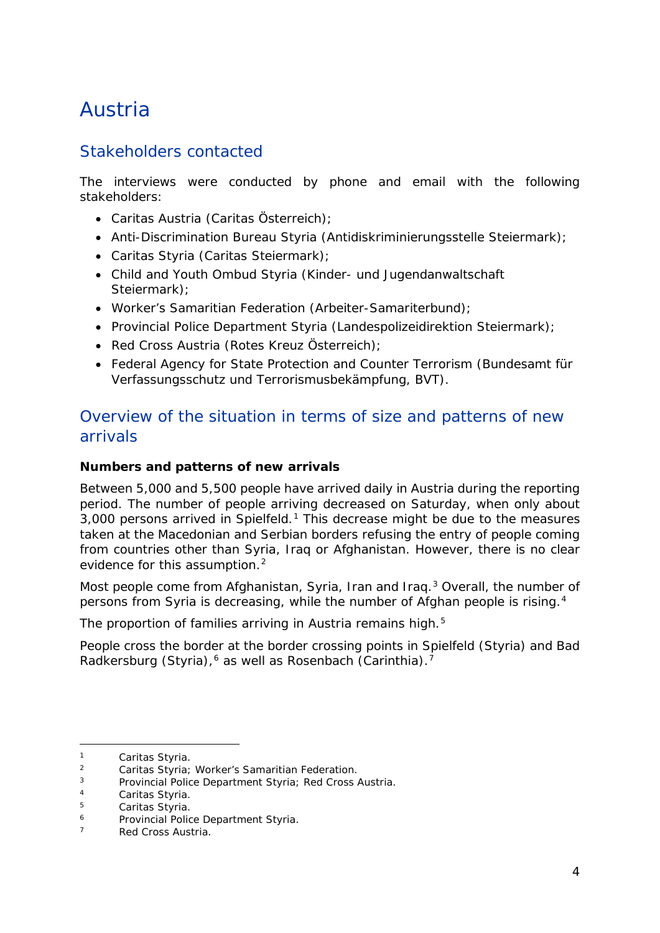## <span id="page-3-0"></span>Austria

### Stakeholders contacted

The interviews were conducted by phone and email with the following stakeholders:

- Caritas Austria (Caritas Österreich);
- Anti-Discrimination Bureau Styria (Antidiskriminierungsstelle Steiermark);
- Caritas Styria (Caritas Steiermark);
- Child and Youth Ombud Styria (Kinder- und Jugendanwaltschaft Steiermark):
- Worker's Samaritian Federation (Arbeiter-Samariterbund);
- Provincial Police Department Styria (Landespolizeidirektion Steiermark);
- Red Cross Austria (Rotes Kreuz Österreich);
- Federal Agency for State Protection and Counter Terrorism (Bundesamt für Verfassungsschutz und Terrorismusbekämpfung, BVT).

### Overview of the situation in terms of size and patterns of new arrivals

### **Numbers and patterns of new arrivals**

Between 5,000 and 5,500 people have arrived daily in Austria during the reporting period. The number of people arriving decreased on Saturday, when only about 3,000 persons arrived in Spielfeld.[1](#page-3-1) This decrease might be due to the measures taken at the Macedonian and Serbian borders refusing the entry of people coming from countries other than Syria, Iraq or Afghanistan. However, there is no clear evidence for this assumption.<sup>[2](#page-3-2)</sup>

Most people come from Afghanistan, Syria, Iran and Iraq.<sup>[3](#page-3-3)</sup> Overall, the number of persons from Syria is decreasing, while the number of Afghan people is rising.[4](#page-3-4)

The proportion of families arriving in Austria remains high.<sup>[5](#page-3-5)</sup>

People cross the border at the border crossing points in Spielfeld (Styria) and Bad Radkersburg (Styria),<sup>[6](#page-3-6)</sup> as well as Rosenbach (Carinthia).<sup>[7](#page-3-7)</sup>

<span id="page-3-1"></span><sup>1</sup> Caritas Styria. 2 Caritas Styria; Worker's Samaritian Federation*.*

<span id="page-3-3"></span><span id="page-3-2"></span><sup>3</sup> Provincial Police Department Styria*;* Red Cross Austria*.*

<span id="page-3-4"></span> $4$  Caritas Styria.<br> $5$  Caritas Styria

<span id="page-3-5"></span> $5$  Caritas Styria.

<span id="page-3-6"></span><sup>6</sup> Provincial Police Department Styria*.*

<span id="page-3-7"></span><sup>7</sup> Red Cross Austria*.*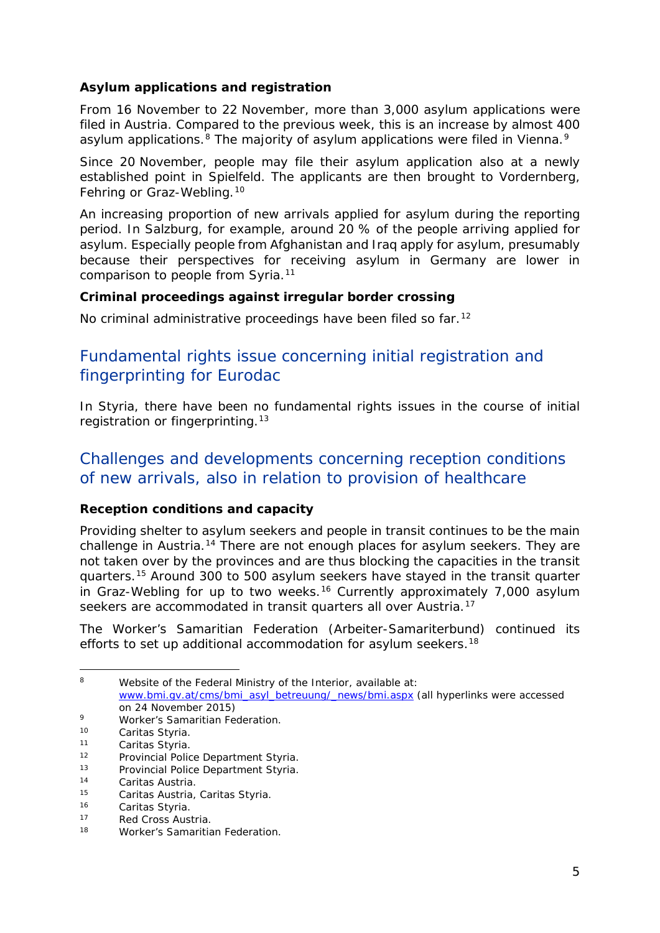### **Asylum applications and registration**

From 16 November to 22 November, more than 3,000 asylum applications were filed in Austria. Compared to the previous week, this is an increase by almost 400 asylum applications.<sup>[8](#page-4-0)</sup> The majority of asylum applications were filed in Vienna.<sup>[9](#page-4-1)</sup>

Since 20 November, people may file their asylum application also at a newly established point in Spielfeld. The applicants are then brought to Vordernberg, Fehring or Graz-Webling.[10](#page-4-2)

An increasing proportion of new arrivals applied for asylum during the reporting period. In Salzburg, for example, around 20 % of the people arriving applied for asylum. Especially people from Afghanistan and Iraq apply for asylum, presumably because their perspectives for receiving asylum in Germany are lower in comparison to people from Syria.<sup>[11](#page-4-3)</sup>

### **Criminal proceedings against irregular border crossing**

No criminal administrative proceedings have been filed so far.<sup>[12](#page-4-4)</sup>

### Fundamental rights issue concerning initial registration and fingerprinting for Eurodac

In Styria, there have been no fundamental rights issues in the course of initial registration or fingerprinting.<sup>[13](#page-4-5)</sup>

### Challenges and developments concerning reception conditions of new arrivals, also in relation to provision of healthcare

### **Reception conditions and capacity**

Providing shelter to asylum seekers and people in transit continues to be the main challenge in Austria.<sup>[14](#page-4-6)</sup> There are not enough places for asylum seekers. They are not taken over by the provinces and are thus blocking the capacities in the transit quarters.[15](#page-4-7) Around 300 to 500 asylum seekers have stayed in the transit quarter in Graz-Webling for up to two weeks.<sup>[16](#page-4-8)</sup> Currently approximately 7,000 asylum seekers are accommodated in transit quarters all over Austria.<sup>[17](#page-4-9)</sup>

The Worker's Samaritian Federation *(Arbeiter-Samariterbund)* continued its efforts to set up additional accommodation for asylum seekers.<sup>[18](#page-4-10)</sup>

<span id="page-4-0"></span>8 Website of the Federal Ministry of the Interior, available at: [www.bmi.gv.at/cms/bmi\\_asyl\\_betreuung/\\_news/bmi.aspx](http://www.bmi.gv.at/cms/bmi_asyl_betreuung/_news/bmi.aspx) (all hyperlinks were accessed

j.

on 24 November 2015) <sup>9</sup> Worker's Samaritian Federation*.*

<span id="page-4-2"></span><span id="page-4-1"></span><sup>&</sup>lt;sup>10</sup> Caritas Styria.<br><sup>11</sup> Caritas Styria

<span id="page-4-3"></span> $11$  Caritas Styria.<br> $12$  Provincial Polic

<span id="page-4-4"></span><sup>12</sup> Provincial Police Department Styria*.*

<span id="page-4-5"></span><sup>13</sup> Provincial Police Department Styria*.*

<span id="page-4-6"></span><sup>14</sup> Caritas Austria*.*

<span id="page-4-7"></span><sup>15</sup> Caritas Austria*,* Caritas Styria.

<span id="page-4-8"></span> $^{16}$  Caritas Styria.<br> $^{17}$  Red Cross Aust

<span id="page-4-9"></span><sup>17</sup> Red Cross Austria*.*

<span id="page-4-10"></span><sup>18</sup> Worker's Samaritian Federation*.*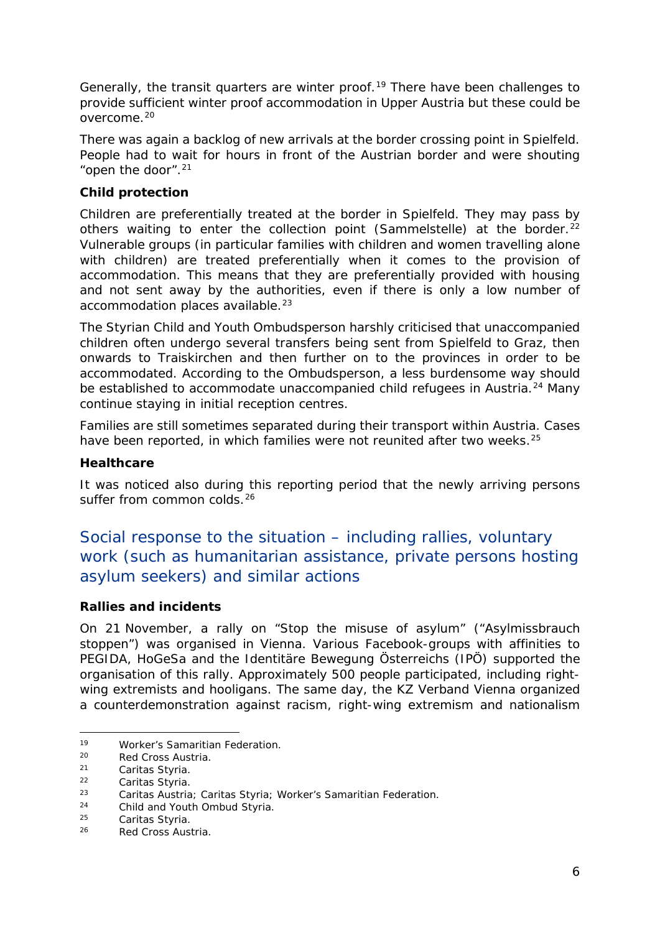Generally, the transit quarters are winter proof.<sup>[19](#page-5-0)</sup> There have been challenges to provide sufficient winter proof accommodation in Upper Austria but these could be overcome.[20](#page-5-1)

There was again a backlog of new arrivals at the border crossing point in Spielfeld. People had to wait for hours in front of the Austrian border and were shouting "open the door".<sup>[21](#page-5-2)</sup>

### **Child protection**

Children are preferentially treated at the border in Spielfeld. They may pass by others waiting to enter the collection point *(Sammelstelle)* at the border.<sup>[22](#page-5-3)</sup> Vulnerable groups (in particular families with children and women travelling alone with children) are treated preferentially when it comes to the provision of accommodation. This means that they are preferentially provided with housing and not sent away by the authorities, even if there is only a low number of accommodation places available.<sup>[23](#page-5-4)</sup>

The Styrian Child and Youth Ombudsperson harshly criticised that unaccompanied children often undergo several transfers being sent from Spielfeld to Graz, then onwards to Traiskirchen and then further on to the provinces in order to be accommodated. According to the Ombudsperson, a less burdensome way should be established to accommodate unaccompanied child refugees in Austria.<sup>[24](#page-5-5)</sup> Many continue staying in initial reception centres.

Families are still sometimes separated during their transport within Austria. Cases have been reported, in which families were not reunited after two weeks.<sup>[25](#page-5-6)</sup>

#### **Healthcare**

It was noticed also during this reporting period that the newly arriving persons suffer from common colds.<sup>[26](#page-5-7)</sup>

### Social response to the situation – including rallies, voluntary work (such as humanitarian assistance, private persons hosting asylum seekers) and similar actions

### **Rallies and incidents**

On 21 November, a rally on "Stop the misuse of asylum" *("Asylmissbrauch stoppen")* was organised in Vienna. Various Facebook-groups with affinities to PEGIDA, HoGeSa and the *Identitäre Bewegung Österreichs (IPÖ)* supported the organisation of this rally. Approximately 500 people participated, including rightwing extremists and hooligans. The same day, the *KZ Verband Vienna* organized a counterdemonstration against racism, right-wing extremism and nationalism

j. <sup>19</sup> Worker's Samaritian Federation*.*

<span id="page-5-1"></span><span id="page-5-0"></span><sup>20</sup> Red Cross Austria*.*

<span id="page-5-2"></span><sup>21</sup> Caritas Styria.<br>22 Caritas Styria.<br>23 Caritas Austria.

<span id="page-5-4"></span><span id="page-5-3"></span><sup>23</sup> Caritas Austria*;* Caritas Styria; Worker's Samaritian Federation*.*

<span id="page-5-5"></span><sup>24</sup> Child and Youth Ombud Styria*.*

<span id="page-5-6"></span> $25$  Caritas Styria.<br> $26$  Ped Cross Aust

<span id="page-5-7"></span><sup>26</sup> Red Cross Austria*.*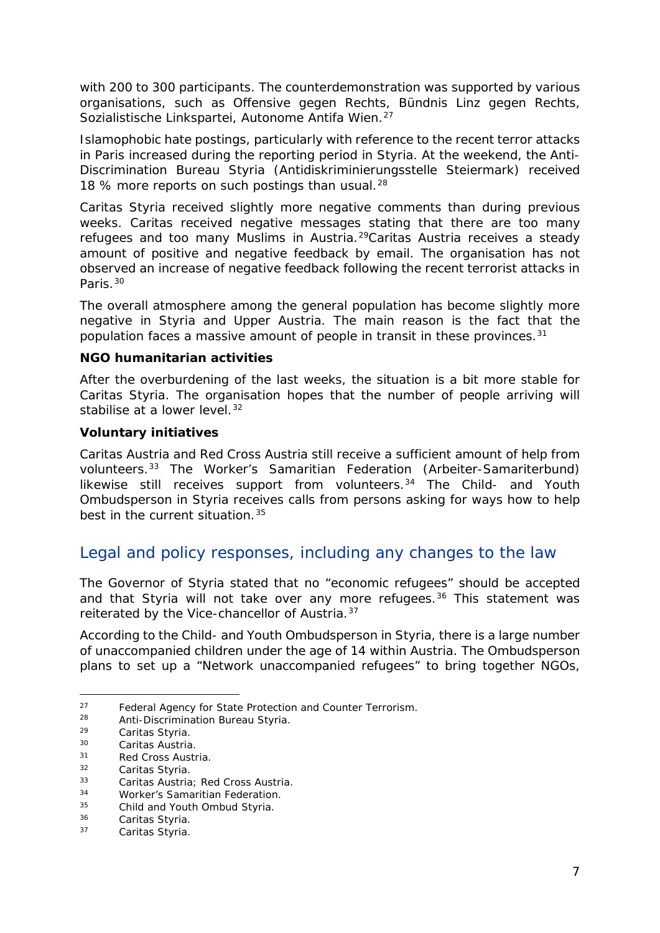with 200 to 300 participants. The counterdemonstration was supported by various organisations, such as *Offensive gegen Rechts, Bündnis Linz gegen Rechts, Sozialistische Linkspartei, Autonome Antifa Wien.*[27](#page-6-0)

Islamophobic hate postings, particularly with reference to the recent terror attacks in Paris increased during the reporting period in Styria. At the weekend, the Anti-Discrimination Bureau Styria *(Antidiskriminierungsstelle Steiermark)* received 18 % more reports on such postings than usual.<sup>[28](#page-6-1)</sup>

Caritas Styria received slightly more negative comments than during previous weeks. Caritas received negative messages stating that there are too many refugees and too many Muslims in Austria.[29C](#page-6-2)aritas Austria receives a steady amount of positive and negative feedback by email. The organisation has not observed an increase of negative feedback following the recent terrorist attacks in Paris.[30](#page-6-3)

The overall atmosphere among the general population has become slightly more negative in Styria and Upper Austria. The main reason is the fact that the population faces a massive amount of people in transit in these provinces.<sup>[31](#page-6-4)</sup>

#### **NGO humanitarian activities**

After the overburdening of the last weeks, the situation is a bit more stable for Caritas Styria. The organisation hopes that the number of people arriving will stabilise at a lower level.<sup>[32](#page-6-5)</sup>

#### **Voluntary initiatives**

Caritas Austria and Red Cross Austria still receive a sufficient amount of help from volunteers.[33](#page-6-6) The Worker's Samaritian Federation *(Arbeiter-Samariterbund)*  likewise still receives support from volunteers.[34](#page-6-7) The Child- and Youth Ombudsperson in Styria receives calls from persons asking for ways how to help best in the current situation.<sup>[35](#page-6-8)</sup>

### Legal and policy responses, including any changes to the law

The Governor of Styria stated that no "economic refugees" should be accepted and that Styria will not take over any more refugees.<sup>[36](#page-6-9)</sup> This statement was reiterated by the Vice-chancellor of Austria.<sup>[37](#page-6-10)</sup>

According to the Child- and Youth Ombudsperson in Styria, there is a large number of unaccompanied children under the age of 14 within Austria. The Ombudsperson plans to set up a "Network unaccompanied refugees" to bring together NGOs,

<span id="page-6-0"></span><sup>27</sup> Federal Agency for State Protection and Counter Terrorism*.*

<span id="page-6-1"></span><sup>28</sup> Anti-Discrimination Bureau Styria*.*

<span id="page-6-2"></span> $29$  Caritas Styria.<br> $29$  Caritas Austria

<span id="page-6-3"></span><sup>30</sup> Caritas Austria*.*

<span id="page-6-4"></span><sup>31</sup> Red Cross Austria*.*

<span id="page-6-5"></span><sup>&</sup>lt;sup>32</sup> Caritas Styria.<br><sup>33</sup> Caritas Austria

<span id="page-6-6"></span><sup>33</sup> Caritas Austria*;* Red Cross Austria*.*

<span id="page-6-7"></span><sup>34</sup> Worker's Samaritian Federation*.*

<span id="page-6-8"></span><sup>35</sup> Child and Youth Ombud Styria*.*

<span id="page-6-9"></span><sup>&</sup>lt;sup>36</sup> Caritas Styria.<br><sup>37</sup> Caritas Styria.

<span id="page-6-10"></span>Caritas Styria.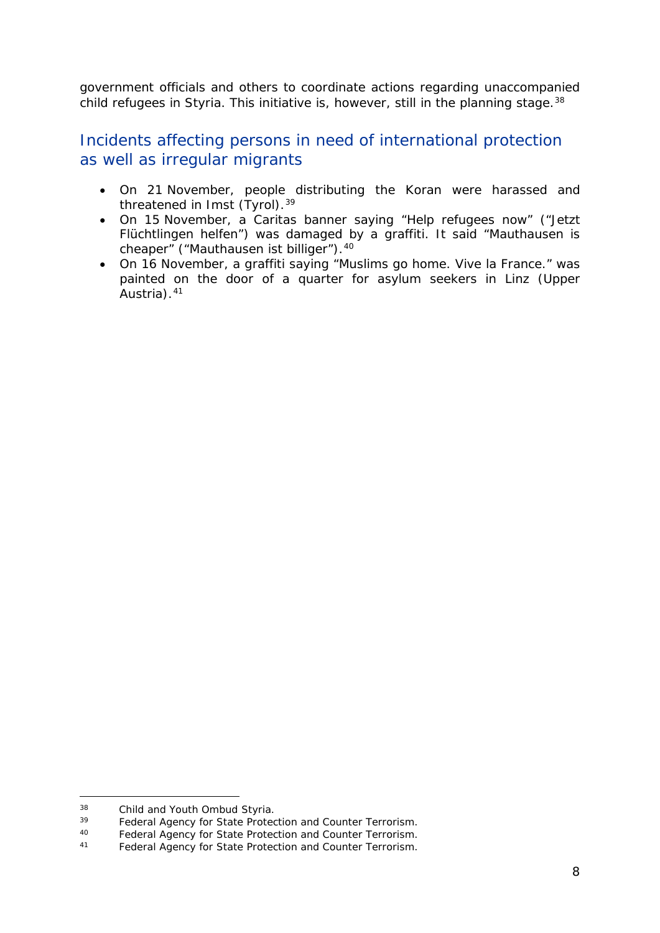government officials and others to coordinate actions regarding unaccompanied child refugees in Styria. This initiative is, however, still in the planning stage.<sup>[38](#page-7-0)</sup>

### Incidents affecting persons in need of international protection as well as irregular migrants

- On 21 November, people distributing the Koran were harassed and threatened in Imst (Tyrol).<sup>[39](#page-7-1)</sup>
- On 15 November, a Caritas banner saying "Help refugees now" *("Jetzt Flüchtlingen helfen")* was damaged by a graffiti. It said "Mauthausen is cheaper" *("Mauthausen ist billiger").*[40](#page-7-2)
- On 16 November, a graffiti saying "Muslims go home. Vive la France." was painted on the door of a quarter for asylum seekers in Linz (Upper Austria).<sup>[41](#page-7-3)</sup>

<span id="page-7-0"></span> $38$ <sup>38</sup> Child and Youth Ombud Styria*.*

<span id="page-7-1"></span><sup>39</sup> Federal Agency for State Protection and Counter Terrorism*.*

<span id="page-7-3"></span><span id="page-7-2"></span><sup>40</sup> Federal Agency for State Protection and Counter Terrorism*.*

<sup>41</sup> Federal Agency for State Protection and Counter Terrorism*.*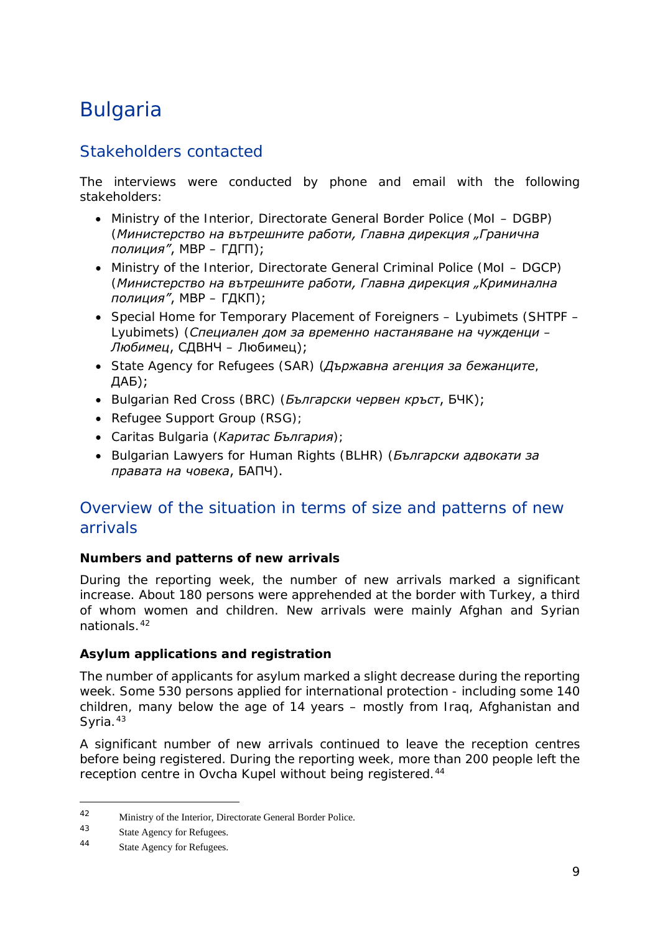## <span id="page-8-0"></span>Bulgaria

### Stakeholders contacted

The interviews were conducted by phone and email with the following stakeholders:

- Ministry of the Interior, Directorate General Border Police (MoI DGBP) (*Министерство на вътрешните работи, Главна дирекция "Гранична полиция"*, МВР – ГДГП);
- Ministry of the Interior, Directorate General Criminal Police (MoI DGCP) (*Министерство на вътрешните работи, Главна дирекция "Криминална полиция"*, МВР – ГДКП);
- Special Home for Temporary Placement of Foreigners Lyubimets (SHTPF Lyubimets) (*Специален дом за временно настаняване на чужденци – Любимец*, СДВНЧ – Любимец);
- State Agency for Refugees (SAR) (*Държавна агенция за бежанците*, ДАБ);
- Bulgarian Red Cross (BRC) (*Български червен кръст*, БЧК);
- Refugee Support Group (RSG);
- Caritas Bulgaria (*Каритас България*);
- Bulgarian Lawyers for Human Rights (BLHR) (*Български адвокати за правата на човека*, БАПЧ).

### Overview of the situation in terms of size and patterns of new arrivals

### **Numbers and patterns of new arrivals**

During the reporting week, the number of new arrivals marked a significant increase. About 180 persons were apprehended at the border with Turkey, a third of whom women and children. New arrivals were mainly Afghan and Syrian nationals.[42](#page-8-1)

### **Asylum applications and registration**

The number of applicants for asylum marked a slight decrease during the reporting week. Some 530 persons applied for international protection - including some 140 children, many below the age of 14 years – mostly from Iraq, Afghanistan and Syria.<sup>[43](#page-8-2)</sup>

A significant number of new arrivals continued to leave the reception centres before being registered. During the reporting week, more than 200 people left the reception centre in Ovcha Kupel without being registered.<sup>[44](#page-8-3)</sup>

<span id="page-8-1"></span><sup>42</sup> Ministry of the Interior, Directorate General Border Police.

<span id="page-8-3"></span><span id="page-8-2"></span> $\frac{43}{44}$  State Agency for Refugees.

State Agency for Refugees.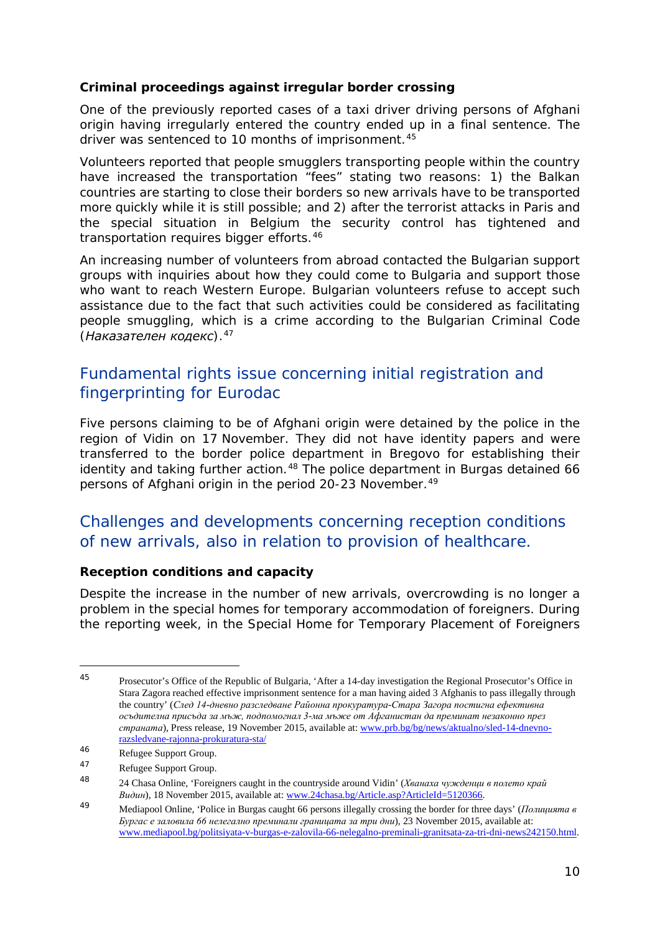### **Criminal proceedings against irregular border crossing**

One of the previously reported cases of a taxi driver driving persons of Afghani origin having irregularly entered the country ended up in a final sentence. The driver was sentenced to 10 months of imprisonment.<sup>[45](#page-9-0)</sup>

Volunteers reported that people smugglers transporting people within the country have increased the transportation "fees" stating two reasons: 1) the Balkan countries are starting to close their borders so new arrivals have to be transported more quickly while it is still possible; and 2) after the terrorist attacks in Paris and the special situation in Belgium the security control has tightened and transportation requires bigger efforts.<sup>[46](#page-9-1)</sup>

An increasing number of volunteers from abroad contacted the Bulgarian support groups with inquiries about how they could come to Bulgaria and support those who want to reach Western Europe. Bulgarian volunteers refuse to accept such assistance due to the fact that such activities could be considered as facilitating people smuggling, which is a crime according to the Bulgarian Criminal Code (*Наказателен кодекс*).[47](#page-9-2)

### Fundamental rights issue concerning initial registration and fingerprinting for Eurodac

Five persons claiming to be of Afghani origin were detained by the police in the region of Vidin on 17 November. They did not have identity papers and were transferred to the border police department in Bregovo for establishing their identity and taking further action.<sup>[48](#page-9-3)</sup> The police department in Burgas detained 66 persons of Afghani origin in the period 20-23 November.<sup>[49](#page-9-4)</sup>

### Challenges and developments concerning reception conditions of new arrivals, also in relation to provision of healthcare.

### **Reception conditions and capacity**

Despite the increase in the number of new arrivals, overcrowding is no longer a problem in the special homes for temporary accommodation of foreigners. During the reporting week, in the Special Home for Temporary Placement of Foreigners

j.

<span id="page-9-0"></span><sup>45</sup> Prosecutor's Office of the Republic of Bulgaria, 'After a 14-day investigation the Regional Prosecutor's Office in Stara Zagora reached effective imprisonment sentence for a man having aided 3 Afghanis to pass illegally through the country' (*След 14-дневно разследване Районна прокуратура-Стара Загора постигна ефективна осъдителна присъда за мъж, подпомогнал 3-ма мъже от Афганистан да преминат незаконно през страната*)*,* Press release, 19 November 2015, available at: [www.prb.bg/bg/news/aktualno/sled-14-dnevno](http://www.prb.bg/bg/news/aktualno/sled-14-dnevno-razsledvane-rajonna-prokuratura-sta/)[razsledvane-rajonna-prokuratura-sta/](http://www.prb.bg/bg/news/aktualno/sled-14-dnevno-razsledvane-rajonna-prokuratura-sta/)

<span id="page-9-1"></span><sup>46</sup> Refugee Support Group.

<span id="page-9-2"></span><sup>47</sup> Refugee Support Group.

<span id="page-9-3"></span><sup>48</sup> 24 Chasa Online, 'Foreigners caught in the countryside around Vidin' (*Хванаха чужденци в полето край Видин*)*,* 18 November 2015, available at: [www.24chasa.bg/Article.asp?ArticleId=5120366.](http://www.24chasa.bg/Article.asp?ArticleId=5120366)

<span id="page-9-4"></span><sup>49</sup> Mediapool Online, 'Police in Burgas caught 66 persons illegally crossing the border for three days' (*Полицията в Бургас е заловила 66 нелегално преминали границата за три дни*)*,* 23 November 2015, available at: [www.mediapool.bg/politsiyata-v-burgas-e-zalovila-66-nelegalno-preminali-granitsata-za-tri-dni-news242150.html.](http://www.mediapool.bg/politsiyata-v-burgas-e-zalovila-66-nelegalno-preminali-granitsata-za-tri-dni-news242150.html)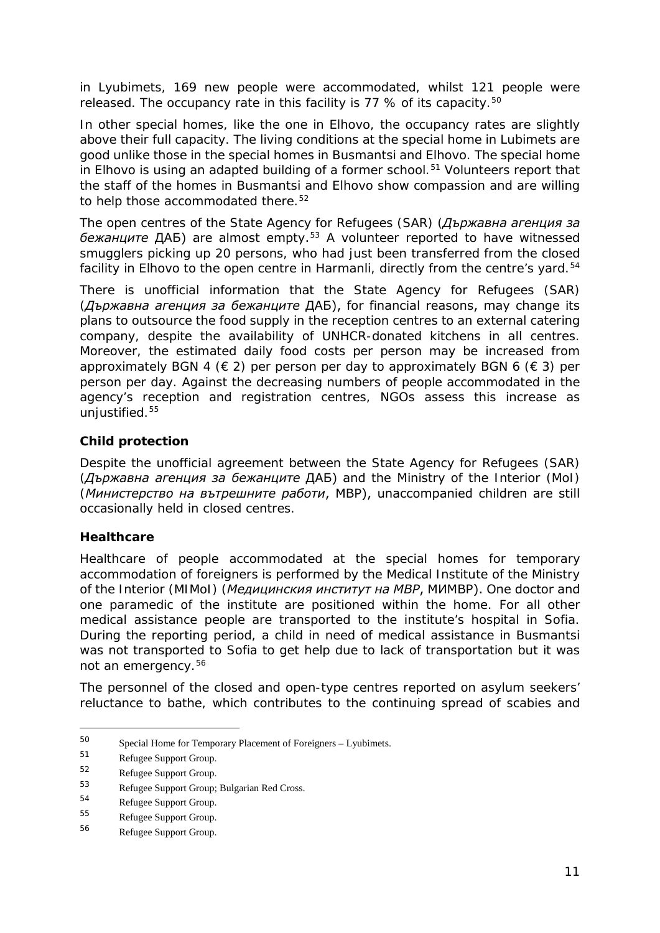in Lyubimets, 169 new people were accommodated, whilst 121 people were released. The occupancy rate in this facility is 77 % of its capacity.<sup>[50](#page-10-0)</sup>

In other special homes, like the one in Elhovo, the occupancy rates are slightly above their full capacity. The living conditions at the special home in Lubimets are good unlike those in the special homes in Busmantsi and Elhovo. The special home in Elhovo is using an adapted building of a former school.<sup>[51](#page-10-1)</sup> Volunteers report that the staff of the homes in Busmantsi and Elhovo show compassion and are willing to help those accommodated there.<sup>[52](#page-10-2)</sup>

The open centres of the State Agency for Refugees (SAR) (*Държавна агенция за бежанците* ДАБ) are almost empty.[53](#page-10-3) A volunteer reported to have witnessed smugglers picking up 20 persons, who had just been transferred from the closed facility in Elhovo to the open centre in Harmanli, directly from the centre's yard.<sup>[54](#page-10-4)</sup>

There is unofficial information that the State Agency for Refugees (SAR) (*Държавна агенция за бежанците* ДАБ), for financial reasons, may change its plans to outsource the food supply in the reception centres to an external catering company, despite the availability of UNHCR-donated kitchens in all centres. Moreover, the estimated daily food costs per person may be increased from approximately BGN 4 ( $\in$  2) per person per day to approximately BGN 6 ( $\in$  3) per person per day. Against the decreasing numbers of people accommodated in the agency's reception and registration centres, NGOs assess this increase as unjustified.[55](#page-10-5)

### **Child protection**

Despite the unofficial agreement between the State Agency for Refugees (SAR) (*Държавна агенция за бежанците* ДАБ) and the Ministry of the Interior (MoI) (*Министерство на вътрешните работи*, МВР), unaccompanied children are still occasionally held in closed centres.

### **Healthcare**

Healthcare of people accommodated at the special homes for temporary accommodation of foreigners is performed by the Medical Institute of the Ministry of the Interior (MIMoI) (*Медицинския институт на МВР*, МИМВР). One doctor and one paramedic of the institute are positioned within the home. For all other medical assistance people are transported to the institute's hospital in Sofia. During the reporting period, a child in need of medical assistance in Busmantsi was not transported to Sofia to get help due to lack of transportation but it was not an emergency.[56](#page-10-6)

The personnel of the closed and open-type centres reported on asylum seekers' reluctance to bathe, which contributes to the continuing spread of scabies and

<span id="page-10-0"></span><sup>50</sup> Special Home for Temporary Placement of Foreigners – Lyubimets.

<span id="page-10-1"></span> $^{51}$  Refugee Support Group.<br> $^{52}$  Refugee Support Group.

<span id="page-10-2"></span> $^{52}$  Refugee Support Group.<br>53

<span id="page-10-3"></span><sup>53</sup> Refugee Support Group; Bulgarian Red Cross.

<span id="page-10-4"></span>Refugee Support Group.

<span id="page-10-5"></span><sup>55</sup> Refugee Support Group.

<span id="page-10-6"></span><sup>56</sup> Refugee Support Group.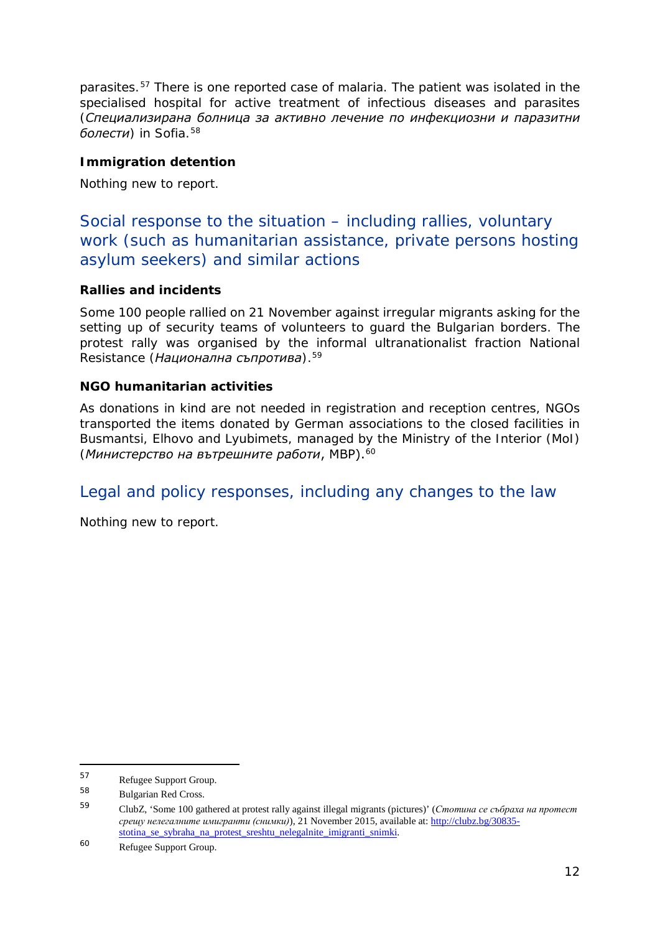parasites.[57](#page-11-0) There is one reported case of malaria. The patient was isolated in the specialised hospital for active treatment of infectious diseases and parasites (*Специализирана болница за активно лечение по инфекциозни и паразитни*  болести) in Sofia.<sup>[58](#page-11-1)</sup>

### **Immigration detention**

Nothing new to report.

Social response to the situation – including rallies, voluntary work (such as humanitarian assistance, private persons hosting asylum seekers) and similar actions

### **Rallies and incidents**

Some 100 people rallied on 21 November against irregular migrants asking for the setting up of security teams of volunteers to guard the Bulgarian borders. The protest rally was organised by the informal ultranationalist fraction National Resistance (*Национална съпротива*).[59](#page-11-2)

### **NGO humanitarian activities**

As donations in kind are not needed in registration and reception centres, NGOs transported the items donated by German associations to the closed facilities in Busmantsi, Elhovo and Lyubimets, managed by the Ministry of the Interior (MoI) (*Министерство на вътрешните работи*, МВР).[60](#page-11-3)

### Legal and policy responses, including any changes to the law

Nothing new to report.

<span id="page-11-0"></span><sup>57</sup>  $^{57}$  Refugee Support Group.<br> $^{58}$  Reflection Red Gross.

<span id="page-11-2"></span><span id="page-11-1"></span> $^{58}$  Bulgarian Red Cross.<br> $^{59}$   $^{61}$   $^{17}$   $^{60}$   $^{100}$ 

<sup>59</sup> ClubZ, 'Some 100 gathered at protest rally against illegal migrants (pictures)' (*Стотина се събраха на протест срещу нелегалните имигранти (снимки)*), 21 November 2015, available at: [http://clubz.bg/30835](http://clubz.bg/30835-stotina_se_sybraha_na_protest_sreshtu_nelegalnite_imigranti_snimki) [stotina\\_se\\_sybraha\\_na\\_protest\\_sreshtu\\_nelegalnite\\_imigranti\\_snimki.](http://clubz.bg/30835-stotina_se_sybraha_na_protest_sreshtu_nelegalnite_imigranti_snimki)

<span id="page-11-3"></span><sup>60</sup> Refugee Support Group.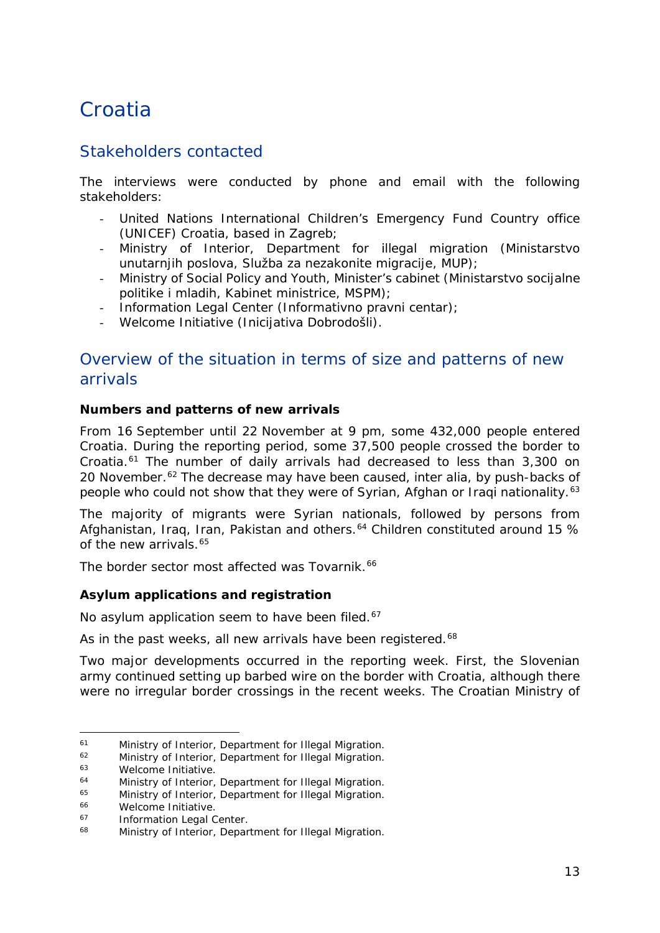## <span id="page-12-0"></span>**Croatia**

### Stakeholders contacted

The interviews were conducted by phone and email with the following stakeholders:

- United Nations International Children's Emergency Fund Country office (UNICEF) Croatia, based in Zagreb;
- Ministry of Interior, Department for illegal migration (*Ministarstvo unutarnjih poslova, Služba za nezakonite migracije*, *MUP*);
- Ministry of Social Policy and Youth, Minister's cabinet (*Ministarstvo socijalne politike i mladih, Kabinet ministrice, MSPM*);
- Information Legal Center (*Informativno pravni centar*);
- Welcome Initiative (*Inicijativa Dobrodošli*).

### Overview of the situation in terms of size and patterns of new arrivals

### **Numbers and patterns of new arrivals**

From 16 September until 22 November at 9 pm, some 432,000 people entered Croatia. During the reporting period, some 37,500 people crossed the border to Croatia.[61](#page-12-1) The number of daily arrivals had decreased to less than 3,300 on 20 November.<sup>[62](#page-12-2)</sup> The decrease may have been caused, inter alia, by push-backs of people who could not show that they were of Syrian, Afghan or Iraqi nationality.<sup>[63](#page-12-3)</sup>

The majority of migrants were Syrian nationals, followed by persons from Afghanistan, Iraq, Iran, Pakistan and others.<sup>[64](#page-12-4)</sup> Children constituted around 15 % of the new arrivals.<sup>[65](#page-12-5)</sup>

The border sector most affected was Tovarnik.<sup>[66](#page-12-6)</sup>

### **Asylum applications and registration**

No asylum application seem to have been filed.<sup>[67](#page-12-7)</sup>

As in the past weeks, all new arrivals have been registered.<sup>[68](#page-12-8)</sup>

Two major developments occurred in the reporting week. First, the Slovenian army continued setting up barbed wire on the border with Croatia, although there were no irregular border crossings in the recent weeks. The Croatian Ministry of

j.

<span id="page-12-1"></span><sup>61</sup> Ministry of Interior, Department for Illegal Migration.<br>
62 Ministry of Interior, Department for Illegal Migration.<br>
63 Melcome Initiative

<span id="page-12-2"></span>

<span id="page-12-3"></span> $^{63}$  Welcome Initiative.

<span id="page-12-4"></span><sup>&</sup>lt;sup>64</sup> Ministry of Interior, Department for Illegal Migration.<br><sup>65</sup> Ministry of Interior, Department for Illegal Migration.

<span id="page-12-5"></span><sup>&</sup>lt;sup>65</sup> Ministry of Interior, Department for Illegal Migration.<br><sup>66</sup> Melsome Initiative

<span id="page-12-6"></span><sup>&</sup>lt;sup>66</sup> Welcome Initiative.<br><sup>67</sup> Information Logal C

<span id="page-12-7"></span><sup>&</sup>lt;sup>67</sup> Information Legal Center.<br><sup>68</sup> Ministry of Interior, Donor

<span id="page-12-8"></span>Ministry of Interior, Department for Illegal Migration.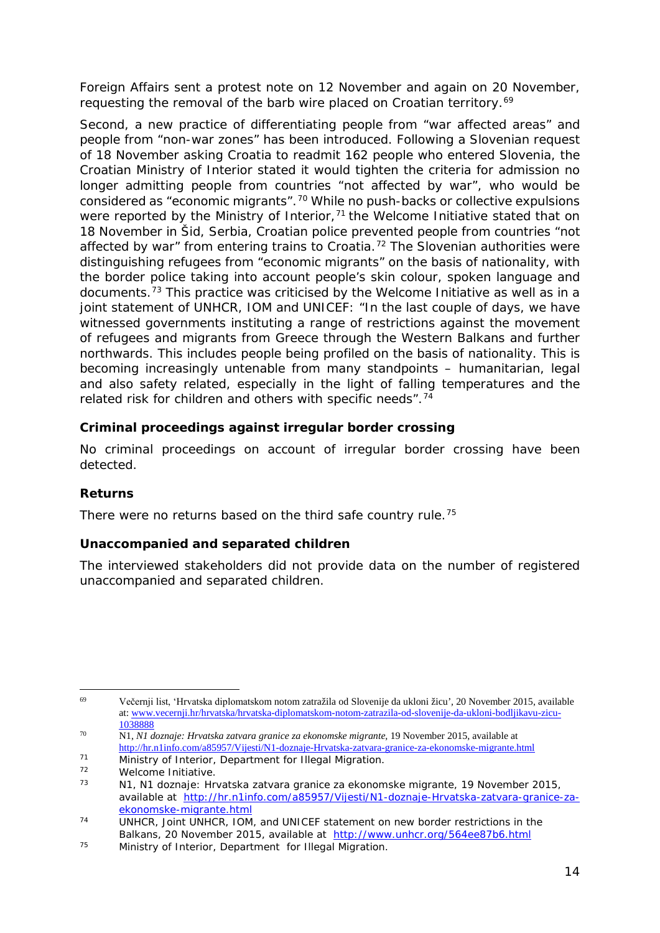Foreign Affairs sent a protest note on 12 November and again on 20 November, requesting the removal of the barb wire placed on Croatian territory.<sup>[69](#page-13-0)</sup>

Second, a new practice of differentiating people from "war affected areas" and people from "non-war zones" has been introduced. Following a Slovenian request of 18 November asking Croatia to readmit 162 people who entered Slovenia, the Croatian Ministry of Interior stated it would tighten the criteria for admission no longer admitting people from countries "not affected by war", who would be considered as "economic migrants".[70](#page-13-1) While no push-backs or collective expulsions were reported by the Ministry of Interior,<sup>[71](#page-13-2)</sup> the Welcome Initiative stated that on 18 November in Šid, Serbia, Croatian police prevented people from countries "not affected by war" from entering trains to Croatia.<sup>[72](#page-13-3)</sup> The Slovenian authorities were distinguishing refugees from "economic migrants" on the basis of nationality, with the border police taking into account people's skin colour, spoken language and documents.[73](#page-13-4) This practice was criticised by the Welcome Initiative as well as in a joint statement of UNHCR, IOM and UNICEF: "In the last couple of days, we have witnessed governments instituting a range of restrictions against the movement of refugees and migrants from Greece through the Western Balkans and further northwards. This includes people being profiled on the basis of nationality. This is becoming increasingly untenable from many standpoints – humanitarian, legal and also safety related, especially in the light of falling temperatures and the related risk for children and others with specific needs".[74](#page-13-5)

### **Criminal proceedings against irregular border crossing**

No criminal proceedings on account of irregular border crossing have been detected.

### **Returns**

There were no returns based on the third safe country rule.<sup>[75](#page-13-6)</sup>

### **Unaccompanied and separated children**

The interviewed stakeholders did not provide data on the number of registered unaccompanied and separated children.

<span id="page-13-0"></span><sup>69</sup> <sup>69</sup> Večernji list, 'Hrvatska diplomatskom notom zatražila od Slovenije da ukloni žicu'*,* 20 November 2015, available at[: www.vecernji.hr/hrvatska/hrvatska-diplomatskom-notom-zatrazila-od-slovenije-da-ukloni-bodljikavu-zicu-](http://www.vecernji.hr/hrvatska/hrvatska-diplomatskom-notom-zatrazila-od-slovenije-da-ukloni-bodljikavu-zicu-1038888)[1038888](http://www.vecernji.hr/hrvatska/hrvatska-diplomatskom-notom-zatrazila-od-slovenije-da-ukloni-bodljikavu-zicu-1038888)

<span id="page-13-1"></span><sup>70</sup> N1, *N1 doznaje: Hrvatska zatvara granice za ekonomske migrante,* 19 November 2015*,* available at <http://hr.n1info.com/a85957/Vijesti/N1-doznaje-Hrvatska-zatvara-granice-za-ekonomske-migrante.html>

<span id="page-13-2"></span><sup>71</sup> Ministry of Interior, Department for Illegal Migration.

<span id="page-13-4"></span><span id="page-13-3"></span> $72$  Welcome Initiative.

<sup>73</sup> N1, *N1 doznaje: Hrvatska zatvara granice za ekonomske migrante,* 19 November 2015*,* available at [http://hr.n1info.com/a85957/Vijesti/N1-doznaje-Hrvatska-zatvara-granice-za](http://hr.n1info.com/a85957/Vijesti/N1-doznaje-Hrvatska-zatvara-granice-za-ekonomske-migrante.html)[ekonomske-migrante.html](http://hr.n1info.com/a85957/Vijesti/N1-doznaje-Hrvatska-zatvara-granice-za-ekonomske-migrante.html)

<span id="page-13-5"></span><sup>74</sup> UNHCR, *Joint UNHCR, IOM, and UNICEF statement on new border restrictions in the Balkans,* 20 November 2015, available at <http://www.unhcr.org/564ee87b6.html>

<span id="page-13-6"></span><sup>75</sup> Ministry of Interior, Department for Illegal Migration.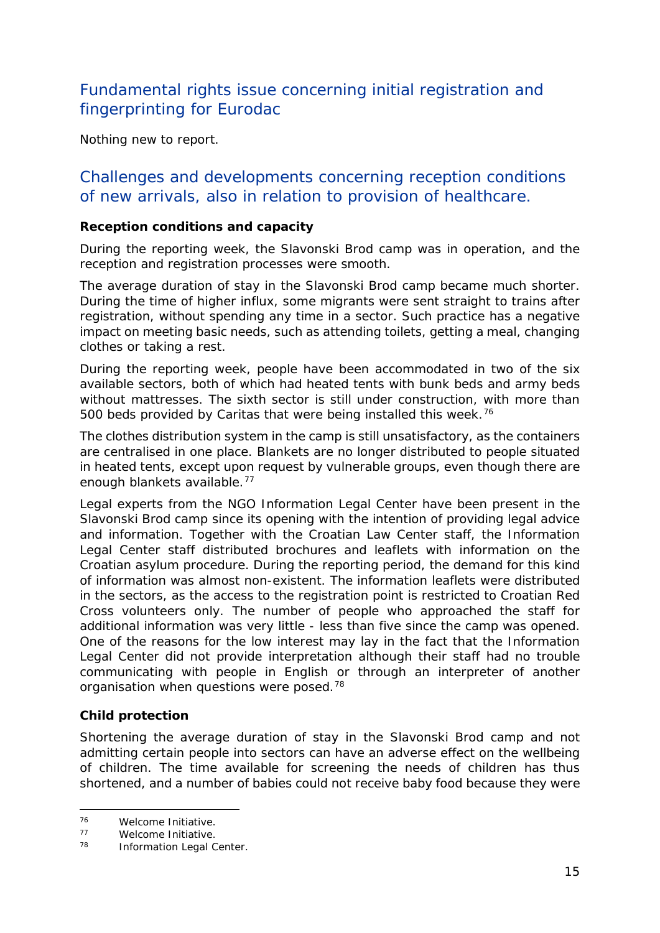### Fundamental rights issue concerning initial registration and fingerprinting for Eurodac

Nothing new to report.

### Challenges and developments concerning reception conditions of new arrivals, also in relation to provision of healthcare.

#### **Reception conditions and capacity**

During the reporting week, the Slavonski Brod camp was in operation, and the reception and registration processes were smooth.

The average duration of stay in the Slavonski Brod camp became much shorter. During the time of higher influx, some migrants were sent straight to trains after registration, without spending any time in a sector. Such practice has a negative impact on meeting basic needs, such as attending toilets, getting a meal, changing clothes or taking a rest.

During the reporting week, people have been accommodated in two of the six available sectors, both of which had heated tents with bunk beds and army beds without mattresses. The sixth sector is still under construction, with more than 500 beds provided by Caritas that were being installed this week.<sup>[76](#page-14-0)</sup>

The clothes distribution system in the camp is still unsatisfactory, as the containers are centralised in one place. Blankets are no longer distributed to people situated in heated tents, except upon request by vulnerable groups, even though there are enough blankets available.[77](#page-14-1)

Legal experts from the NGO Information Legal Center have been present in the Slavonski Brod camp since its opening with the intention of providing legal advice and information. Together with the Croatian Law Center staff, the Information Legal Center staff distributed brochures and leaflets with information on the Croatian asylum procedure. During the reporting period, the demand for this kind of information was almost non-existent. The information leaflets were distributed in the sectors, as the access to the registration point is restricted to Croatian Red Cross volunteers only. The number of people who approached the staff for additional information was very little - less than five since the camp was opened. One of the reasons for the low interest may lay in the fact that the Information Legal Center did not provide interpretation although their staff had no trouble communicating with people in English or through an interpreter of another organisation when questions were posed.<sup>[78](#page-14-2)</sup>

### **Child protection**

Shortening the average duration of stay in the Slavonski Brod camp and not admitting certain people into sectors can have an adverse effect on the wellbeing of children. The time available for screening the needs of children has thus shortened, and a number of babies could not receive baby food because they were

<span id="page-14-0"></span> $76$ <sup>76</sup> Welcome Initiative.

<span id="page-14-2"></span><span id="page-14-1"></span> $77$  Welcome Initiative.

Information Legal Center.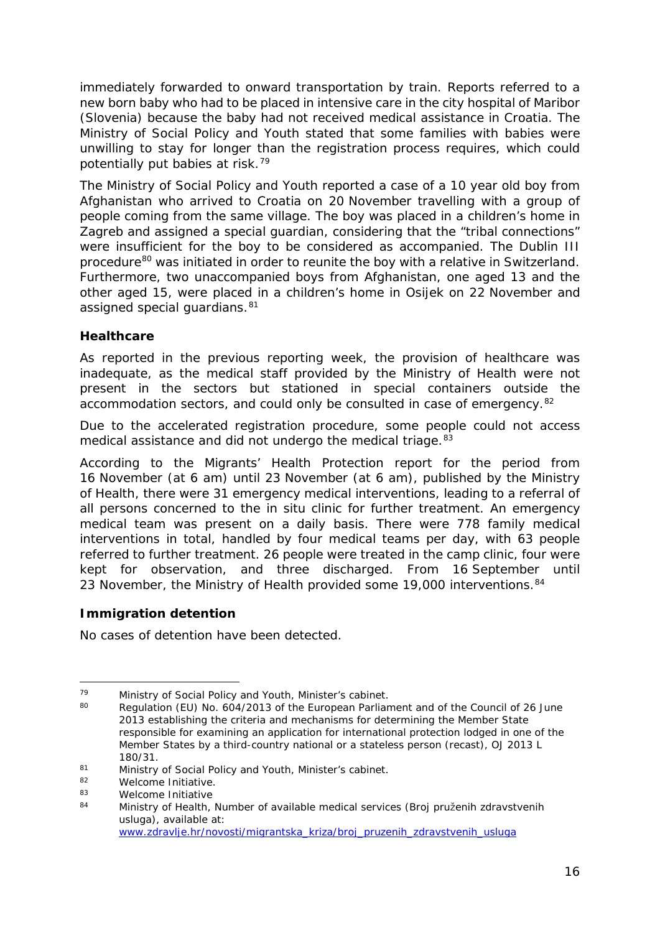immediately forwarded to onward transportation by train. Reports referred to a new born baby who had to be placed in intensive care in the city hospital of Maribor (Slovenia) because the baby had not received medical assistance in Croatia. The Ministry of Social Policy and Youth stated that some families with babies were unwilling to stay for longer than the registration process requires, which could potentially put babies at risk.[79](#page-15-0)

The Ministry of Social Policy and Youth reported a case of a 10 year old boy from Afghanistan who arrived to Croatia on 20 November travelling with a group of people coming from the same village. The boy was placed in a children's home in Zagreb and assigned a special guardian, considering that the "tribal connections" were insufficient for the boy to be considered as accompanied. The Dublin III procedure<sup>[80](#page-15-1)</sup> was initiated in order to reunite the boy with a relative in Switzerland. Furthermore, two unaccompanied boys from Afghanistan, one aged 13 and the other aged 15, were placed in a children's home in Osijek on 22 November and assigned special guardians. [81](#page-15-2)

### **Healthcare**

As reported in the previous reporting week, the provision of healthcare was inadequate, as the medical staff provided by the Ministry of Health were not present in the sectors but stationed in special containers outside the accommodation sectors, and could only be consulted in case of emergency.[82](#page-15-3)

Due to the accelerated registration procedure, some people could not access medical assistance and did not undergo the medical triage.<sup>[83](#page-15-4)</sup>

According to the Migrants' Health Protection report for the period from 16 November (at 6 am) until 23 November (at 6 am), published by the Ministry of Health, there were 31 emergency medical interventions, leading to a referral of all persons concerned to the *in situ* clinic for further treatment. An emergency medical team was present on a daily basis. There were 778 family medical interventions in total, handled by four medical teams per day, with 63 people referred to further treatment. 26 people were treated in the camp clinic, four were kept for observation, and three discharged. From 16 September until 23 November, the Ministry of Health provided some 19,000 interventions. [84](#page-15-5)

### **Immigration detention**

No cases of detention have been detected.

<span id="page-15-1"></span><span id="page-15-0"></span><sup>79</sup> Ministry of Social Policy and Youth, Minister's cabinet.<br>80 Degulation (EU) No. 604/2012 of the European Perlian

Regulation (EU) No. 604/2013 of the European Parliament and of the Council of 26 June 2013 establishing the criteria and mechanisms for determining the Member State responsible for examining an application for international protection lodged in one of the Member States by a third-country national or a stateless person (recast), OJ 2013 L 180/31.

<span id="page-15-2"></span><sup>81</sup> Ministry of Social Policy and Youth, Minister's cabinet.<br>82 Melsome Initiative

<span id="page-15-3"></span><sup>82</sup> Welcome Initiative.<br>83 Melcome Initiative

<span id="page-15-5"></span><span id="page-15-4"></span> $83$  Welcome Initiative<br> $84$  Ministry of Hoalth

<sup>84</sup> Ministry of Health, Number of available medical services (*Broj pruženih zdravstvenih usluga)*, available at: [www.zdravlje.hr/novosti/migrantska\\_kriza/broj\\_pruzenih\\_zdravstvenih\\_usluga](http://www.zdravlje.hr/novosti/migrantska_kriza/broj_pruzenih_zdravstvenih_usluga)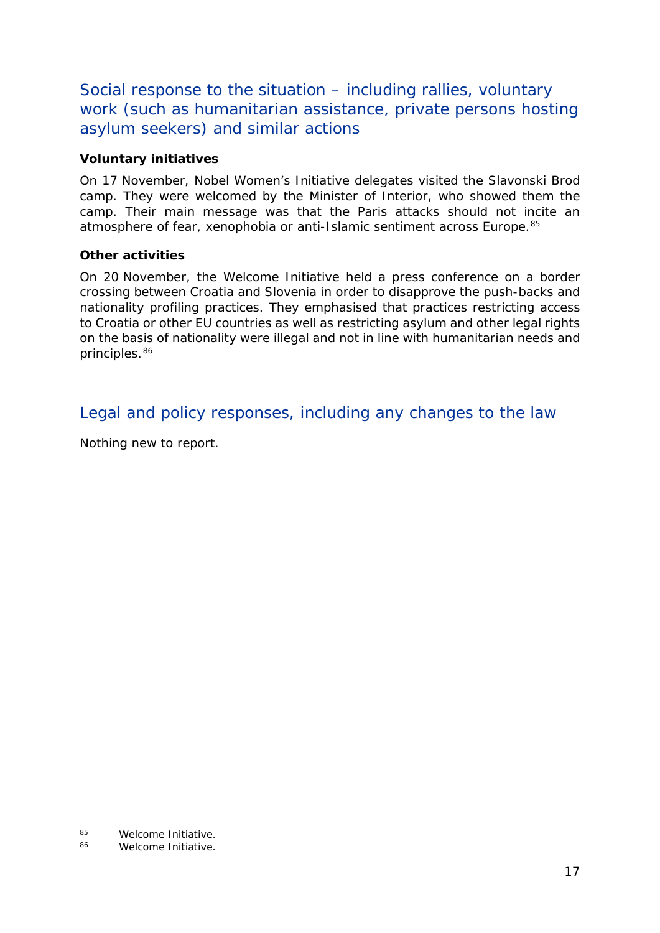Social response to the situation – including rallies, voluntary work (such as humanitarian assistance, private persons hosting asylum seekers) and similar actions

### **Voluntary initiatives**

On 17 November, Nobel Women's Initiative delegates visited the Slavonski Brod camp. They were welcomed by the Minister of Interior, who showed them the camp. Their main message was that the Paris attacks should not incite an atmosphere of fear, xenophobia or anti-Islamic sentiment across Europe.<sup>[85](#page-16-0)</sup>

### **Other activities**

On 20 November, the Welcome Initiative held a press conference on a border crossing between Croatia and Slovenia in order to disapprove the push-backs and nationality profiling practices. They emphasised that practices restricting access to Croatia or other EU countries as well as restricting asylum and other legal rights on the basis of nationality were illegal and not in line with humanitarian needs and principles.<sup>[86](#page-16-1)</sup>

Legal and policy responses, including any changes to the law

Nothing new to report.

<span id="page-16-0"></span> $85$ <sup>85</sup> Welcome Initiative.<br><sup>86</sup> Melcome Initiative

<span id="page-16-1"></span>Welcome Initiative.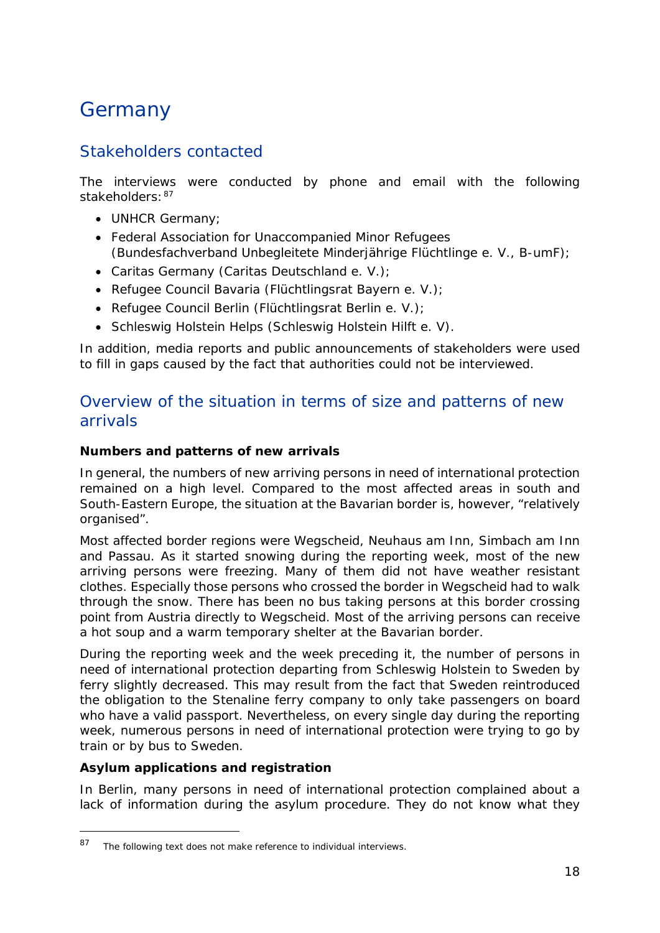## <span id="page-17-0"></span>Germany

### Stakeholders contacted

The interviews were conducted by phone and email with the following stakeholders:  $87$ 

- UNHCR Germany;
- Federal Association for Unaccompanied Minor Refugees (*Bundesfachverband Unbegleitete Minderjährige Flüchtlinge e. V., B-umF*);
- Caritas Germany (*Caritas Deutschland e. V*.);
- Refugee Council Bavaria (*Flüchtlingsrat Bayern e. V*.);
- Refugee Council Berlin (*Flüchtlingsrat Berlin e. V*.);
- Schleswig Holstein Helps (*Schleswig Holstein Hilft e. V*).

In addition, media reports and public announcements of stakeholders were used to fill in gaps caused by the fact that authorities could not be interviewed.

### Overview of the situation in terms of size and patterns of new arrivals

### **Numbers and patterns of new arrivals**

In general, the numbers of new arriving persons in need of international protection remained on a high level. Compared to the most affected areas in south and South-Eastern Europe, the situation at the Bavarian border is, however, "relatively organised".

Most affected border regions were Wegscheid, Neuhaus am Inn, Simbach am Inn and Passau. As it started snowing during the reporting week, most of the new arriving persons were freezing. Many of them did not have weather resistant clothes. Especially those persons who crossed the border in Wegscheid had to walk through the snow. There has been no bus taking persons at this border crossing point from Austria directly to Wegscheid. Most of the arriving persons can receive a hot soup and a warm temporary shelter at the Bavarian border.

During the reporting week and the week preceding it, the number of persons in need of international protection departing from Schleswig Holstein to Sweden by ferry slightly decreased. This may result from the fact that Sweden reintroduced the obligation to the Stenaline ferry company to only take passengers on board who have a valid passport. Nevertheless, on every single day during the reporting week, numerous persons in need of international protection were trying to go by train or by bus to Sweden.

### **Asylum applications and registration**

-

In Berlin, many persons in need of international protection complained about a lack of information during the asylum procedure. They do not know what they

<span id="page-17-1"></span><sup>87</sup> The following text does not make reference to individual interviews.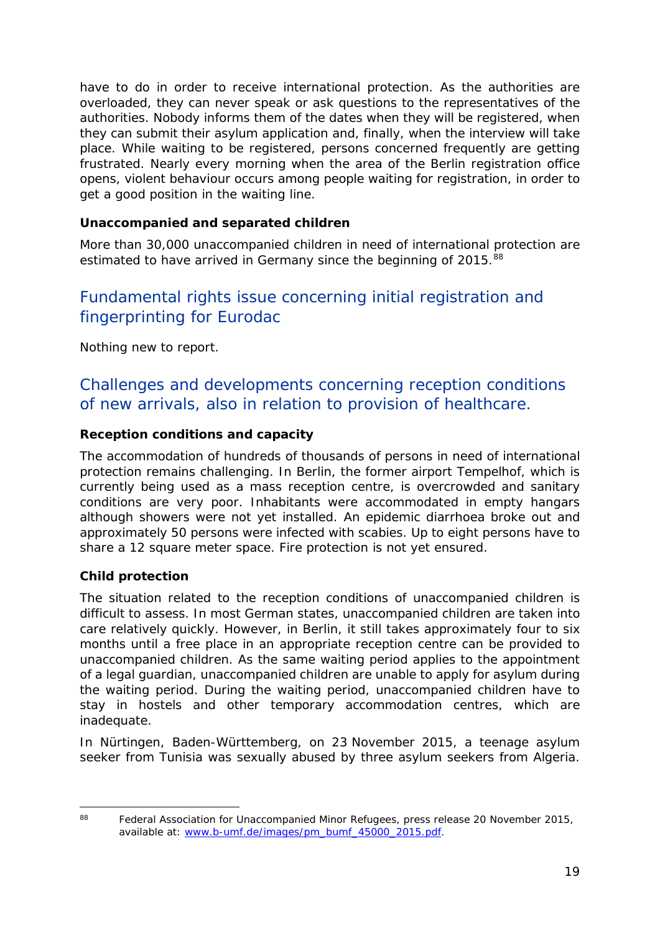have to do in order to receive international protection. As the authorities are overloaded, they can never speak or ask questions to the representatives of the authorities. Nobody informs them of the dates when they will be registered, when they can submit their asylum application and, finally, when the interview will take place. While waiting to be registered, persons concerned frequently are getting frustrated. Nearly every morning when the area of the Berlin registration office opens, violent behaviour occurs among people waiting for registration, in order to get a good position in the waiting line.

### **Unaccompanied and separated children**

More than 30,000 unaccompanied children in need of international protection are estimated to have arrived in Germany since the beginning of 2015.<sup>[88](#page-18-0)</sup>

### Fundamental rights issue concerning initial registration and fingerprinting for Eurodac

Nothing new to report.

### Challenges and developments concerning reception conditions of new arrivals, also in relation to provision of healthcare.

### **Reception conditions and capacity**

The accommodation of hundreds of thousands of persons in need of international protection remains challenging. In Berlin, the former airport Tempelhof, which is currently being used as a mass reception centre, is overcrowded and sanitary conditions are very poor. Inhabitants were accommodated in empty hangars although showers were not yet installed. An epidemic diarrhoea broke out and approximately 50 persons were infected with scabies. Up to eight persons have to share a 12 square meter space. Fire protection is not yet ensured.

### **Child protection**

The situation related to the reception conditions of unaccompanied children is difficult to assess. In most German states, unaccompanied children are taken into care relatively quickly. However, in Berlin, it still takes approximately four to six months until a free place in an appropriate reception centre can be provided to unaccompanied children. As the same waiting period applies to the appointment of a legal guardian, unaccompanied children are unable to apply for asylum during the waiting period. During the waiting period, unaccompanied children have to stay in hostels and other temporary accommodation centres, which are inadequate.

In Nürtingen, Baden-Württemberg, on 23 November 2015, a teenage asylum seeker from Tunisia was sexually abused by three asylum seekers from Algeria.

<span id="page-18-0"></span> $88$ 

Federal Association for Unaccompanied Minor Refugees, press release 20 November 2015, available at: [www.b-umf.de/images/pm\\_bumf\\_45000\\_2015.pdf.](http://www.b-umf.de/images/pm_bumf_45000_2015.pdf)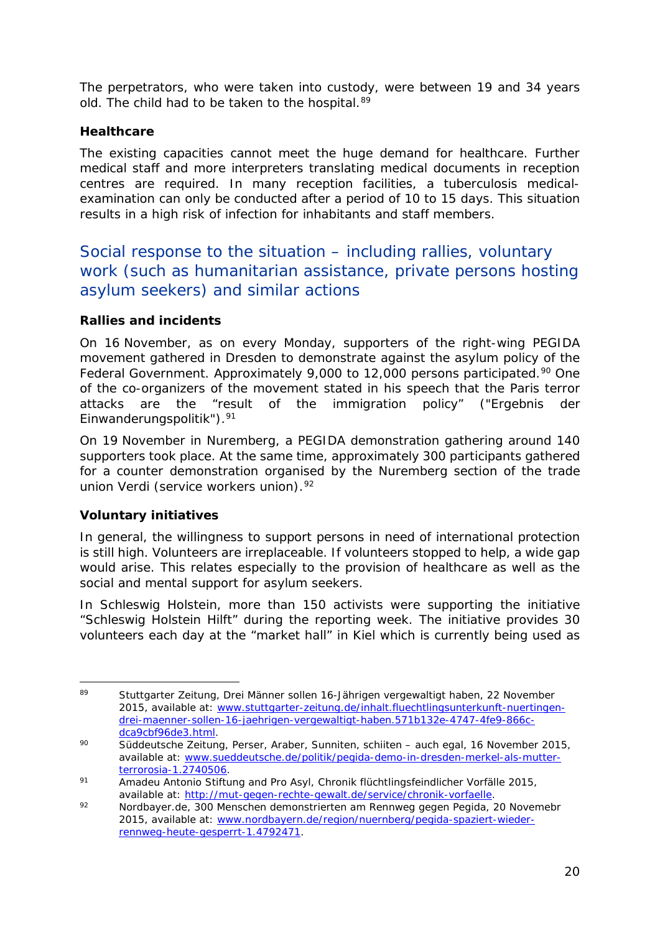The perpetrators, who were taken into custody, were between 19 and 34 years old. The child had to be taken to the hospital.<sup>[89](#page-19-0)</sup>

### **Healthcare**

The existing capacities cannot meet the huge demand for healthcare. Further medical staff and more interpreters translating medical documents in reception centres are required. In many reception facilities, a tuberculosis medicalexamination can only be conducted after a period of 10 to 15 days. This situation results in a high risk of infection for inhabitants and staff members.

Social response to the situation – including rallies, voluntary work (such as humanitarian assistance, private persons hosting asylum seekers) and similar actions

### **Rallies and incidents**

On 16 November, as on every Monday, supporters of the right-wing PEGIDA movement gathered in Dresden to demonstrate against the asylum policy of the Federal Government. Approximately 9,000 to 12,000 persons participated.<sup>[90](#page-19-1)</sup> One of the co-organizers of the movement stated in his speech that the Paris terror attacks are the "result of the immigration policy" ("*Ergebnis der Einwanderungspolitik*").[91](#page-19-2)

On 19 November in Nuremberg, a PEGIDA demonstration gathering around 140 supporters took place. At the same time, approximately 300 participants gathered for a counter demonstration organised by the Nuremberg section of the trade union Verdi (service workers union).<sup>[92](#page-19-3)</sup>

### **Voluntary initiatives**

In general, the willingness to support persons in need of international protection is still high. Volunteers are irreplaceable. If volunteers stopped to help, a wide gap would arise. This relates especially to the provision of healthcare as well as the social and mental support for asylum seekers.

In Schleswig Holstein, more than 150 activists were supporting the initiative "Schleswig Holstein Hilft" during the reporting week. The initiative provides 30 volunteers each day at the "market hall" in Kiel which is currently being used as

<span id="page-19-0"></span><sup>-</sup><sup>89</sup> Stuttgarter Zeitung, *Drei Männer sollen 16-Jährigen vergewaltigt haben,* 22 November 2015, available at: [www.stuttgarter-zeitung.de/inhalt.fluechtlingsunterkunft-nuertingen](http://www.stuttgarter-zeitung.de/inhalt.fluechtlingsunterkunft-nuertingen-drei-maenner-sollen-16-jaehrigen-vergewaltigt-haben.571b132e-4747-4fe9-866c-dca9cbf96de3.html)[drei-maenner-sollen-16-jaehrigen-vergewaltigt-haben.571b132e-4747-4fe9-866c](http://www.stuttgarter-zeitung.de/inhalt.fluechtlingsunterkunft-nuertingen-drei-maenner-sollen-16-jaehrigen-vergewaltigt-haben.571b132e-4747-4fe9-866c-dca9cbf96de3.html)[dca9cbf96de3.html.](http://www.stuttgarter-zeitung.de/inhalt.fluechtlingsunterkunft-nuertingen-drei-maenner-sollen-16-jaehrigen-vergewaltigt-haben.571b132e-4747-4fe9-866c-dca9cbf96de3.html)

<span id="page-19-1"></span><sup>90</sup> Süddeutsche Zeitung, *Perser, Araber, Sunniten, schiiten – auch egal,* 16 November 2015, available at: [www.sueddeutsche.de/politik/pegida-demo-in-dresden-merkel-als-mutter](http://www.sueddeutsche.de/politik/pegida-demo-in-dresden-merkel-als-mutter-terrorosia-1.2740506)[terrorosia-1.2740506.](http://www.sueddeutsche.de/politik/pegida-demo-in-dresden-merkel-als-mutter-terrorosia-1.2740506)

<span id="page-19-2"></span><sup>91</sup> Amadeu Antonio Stiftung and Pro Asyl, *Chronik flüchtlingsfeindlicher Vorfälle 2015*, available at: [http://mut-gegen-rechte-gewalt.de/service/chronik-vorfaelle.](http://mut-gegen-rechte-gewalt.de/service/chronik-vorfaelle)

<span id="page-19-3"></span><sup>92</sup> Nordbayer.de, *300 Menschen demonstrierten am Rennweg gegen Pegida,* 20 Novemebr 2015, available at: [www.nordbayern.de/region/nuernberg/pegida-spaziert-wieder](http://www.nordbayern.de/region/nuernberg/pegida-spaziert-wieder-rennweg-heute-gesperrt-1.4792471)[rennweg-heute-gesperrt-1.4792471.](http://www.nordbayern.de/region/nuernberg/pegida-spaziert-wieder-rennweg-heute-gesperrt-1.4792471)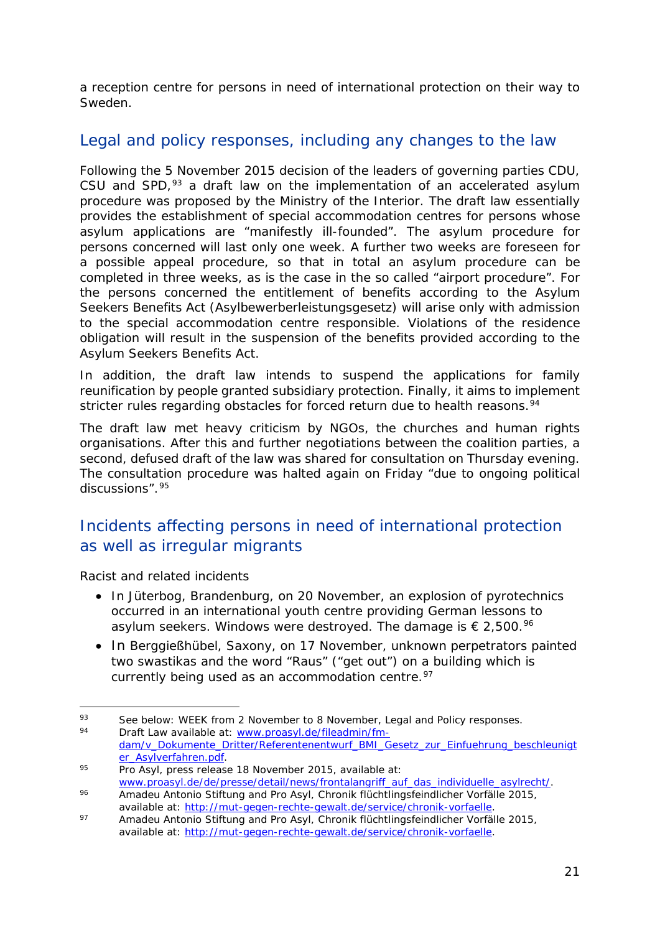a reception centre for persons in need of international protection on their way to Sweden.

### Legal and policy responses, including any changes to the law

Following the 5 November 2015 decision of the leaders of governing parties CDU, CSU and SPD,<sup>[93](#page-20-0)</sup> a draft law on the implementation of an accelerated asylum procedure was proposed by the Ministry of the Interior. The draft law essentially provides the establishment of special accommodation centres for persons whose asylum applications are "manifestly ill-founded". The asylum procedure for persons concerned will last only one week. A further two weeks are foreseen for a possible appeal procedure, so that in total an asylum procedure can be completed in three weeks, as is the case in the so called "airport procedure". For the persons concerned the entitlement of benefits according to the Asylum Seekers Benefits Act (*Asylbewerberleistungsgesetz*) will arise only with admission to the special accommodation centre responsible. Violations of the residence obligation will result in the suspension of the benefits provided according to the Asylum Seekers Benefits Act.

In addition, the draft law intends to suspend the applications for family reunification by people granted subsidiary protection. Finally, it aims to implement stricter rules regarding obstacles for forced return due to health reasons.<sup>[94](#page-20-1)</sup>

The draft law met heavy criticism by NGOs, the churches and human rights organisations. After this and further negotiations between the coalition parties, a second, defused draft of the law was shared for consultation on Thursday evening. The consultation procedure was halted again on Friday "due to ongoing political discussions".[95](#page-20-2)

### Incidents affecting persons in need of international protection as well as irregular migrants

*Racist and related incidents*

- In Jüterbog, Brandenburg, on 20 November, an explosion of pyrotechnics occurred in an international youth centre providing German lessons to asylum seekers. Windows were destroyed. The damage is  $\epsilon$  2,500.<sup>[96](#page-20-3)</sup>
- In Berggießhübel, Saxony, on 17 November, unknown perpetrators painted two swastikas and the word "Raus" ("get out") on a building which is currently being used as an accommodation centre.<sup>[97](#page-20-4)</sup>

<span id="page-20-1"></span><span id="page-20-0"></span>j. 93 See below: WEEK from 2 November to 8 November, Legal and Policy responses. Draft Law available at: [www.proasyl.de/fileadmin/fm](http://www.proasyl.de/fileadmin/fm-dam/v_Dokumente_Dritter/Referentenentwurf_BMI_Gesetz_zur_Einfuehrung_beschleunigter_Asylverfahren.pdf)[dam/v\\_Dokumente\\_Dritter/Referentenentwurf\\_BMI\\_Gesetz\\_zur\\_Einfuehrung\\_beschleunigt](http://www.proasyl.de/fileadmin/fm-dam/v_Dokumente_Dritter/Referentenentwurf_BMI_Gesetz_zur_Einfuehrung_beschleunigter_Asylverfahren.pdf) [er\\_Asylverfahren.pdf.](http://www.proasyl.de/fileadmin/fm-dam/v_Dokumente_Dritter/Referentenentwurf_BMI_Gesetz_zur_Einfuehrung_beschleunigter_Asylverfahren.pdf)

<span id="page-20-2"></span><sup>95</sup> Pro Asyl, press release 18 November 2015, available at: [www.proasyl.de/de/presse/detail/news/frontalangriff\\_auf\\_das\\_individuelle\\_asylrecht/.](http://www.proasyl.de/de/presse/detail/news/frontalangriff_auf_das_individuelle_asylrecht/)

<span id="page-20-3"></span><sup>96</sup> Amadeu Antonio Stiftung and Pro Asyl, *Chronik flüchtlingsfeindlicher Vorfälle 2015*, available at: [http://mut-gegen-rechte-gewalt.de/service/chronik-vorfaelle.](http://mut-gegen-rechte-gewalt.de/service/chronik-vorfaelle)

<span id="page-20-4"></span><sup>97</sup> Amadeu Antonio Stiftung and Pro Asyl, *Chronik flüchtlingsfeindlicher Vorfälle 2015*, available at: [http://mut-gegen-rechte-gewalt.de/service/chronik-vorfaelle.](http://mut-gegen-rechte-gewalt.de/service/chronik-vorfaelle)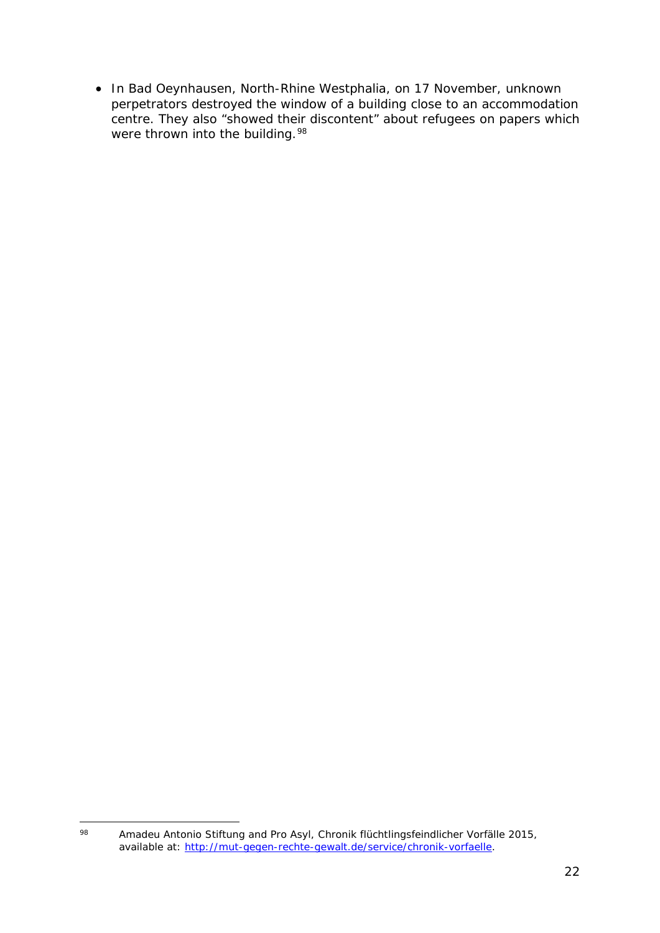• In Bad Oeynhausen, North-Rhine Westphalia, on 17 November, unknown perpetrators destroyed the window of a building close to an accommodation centre. They also "showed their discontent" about refugees on papers which were thrown into the building.<sup>[98](#page-21-0)</sup>

<span id="page-21-0"></span><sup>98</sup> <sup>98</sup> Amadeu Antonio Stiftung and Pro Asyl, *Chronik flüchtlingsfeindlicher Vorfälle 2015*, available at: [http://mut-gegen-rechte-gewalt.de/service/chronik-vorfaelle.](http://mut-gegen-rechte-gewalt.de/service/chronik-vorfaelle)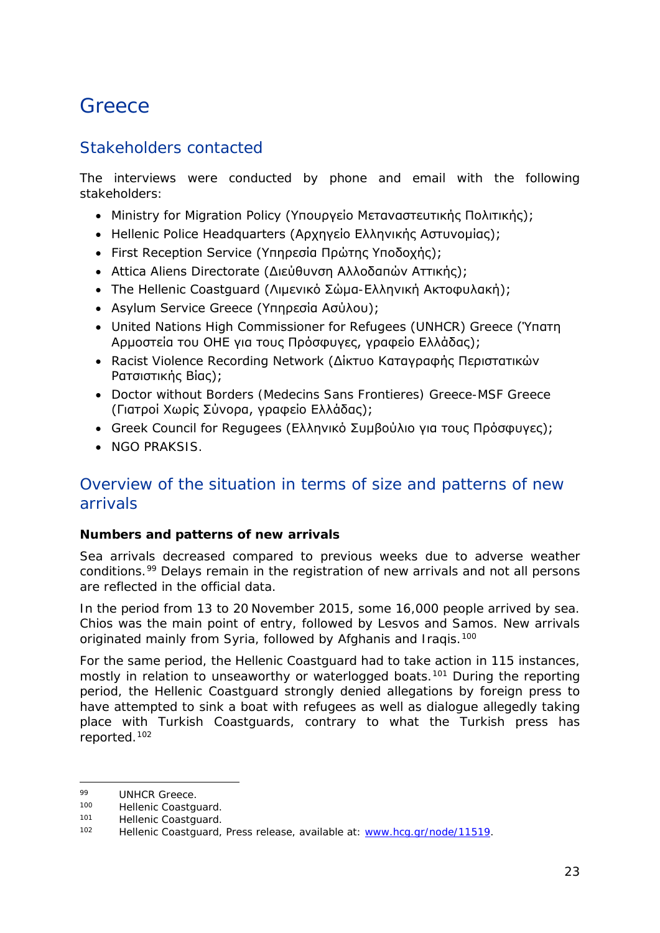## <span id="page-22-0"></span>**Greece**

### Stakeholders contacted

The interviews were conducted by phone and email with the following stakeholders:

- Ministry for Migration Policy (Υπουργείο Μεταναστευτικής Πολιτικής);
- Hellenic Police Headquarters (Αρχηγείο Ελληνικής Αστυνομίας);
- First Reception Service (Υπηρεσία Πρώτης Υποδοχής);
- Attica Aliens Directorate (Διεύθυνση Αλλοδαπών Αττικής);
- The Hellenic Coastguard (Λιμενικό Σώμα-Ελληνική Ακτοφυλακή);
- Asylum Service Greece (Υπηρεσία Ασύλου);
- United Nations High Commissioner for Refugees (UNHCR) Greece (Ύπατη Αρμοστεία του ΟΗΕ για τους Πρόσφυγες, γραφείο Ελλάδας);
- Racist Violence Recording Network (Δίκτυο Καταγραφής Περιστατικών Ρατσιστικής Βίας);
- Doctor without Borders (Medecins Sans Frontieres) Greece-MSF Greece (Γιατροί Χωρίς Σύνορα, γραφείο Ελλάδας);
- Greek Council for Regugees (Ελληνικό Συμβούλιο για τους Πρόσφυγες);
- NGO PRAKSIS.

### Overview of the situation in terms of size and patterns of new arrivals

### **Numbers and patterns of new arrivals**

Sea arrivals decreased compared to previous weeks due to adverse weather conditions.[99](#page-22-1) Delays remain in the registration of new arrivals and not all persons are reflected in the official data.

In the period from 13 to 20 November 2015, some 16,000 people arrived by sea. Chios was the main point of entry, followed by Lesvos and Samos. New arrivals originated mainly from Syria, followed by Afghanis and Iraqis.<sup>[100](#page-22-2)</sup>

For the same period, the Hellenic Coastguard had to take action in 115 instances, mostly in relation to unseaworthy or waterlogged boats.<sup>[101](#page-22-3)</sup> During the reporting period, the Hellenic Coastguard strongly denied allegations by foreign press to have attempted to sink a boat with refugees as well as dialogue allegedly taking place with Turkish Coastguards, contrary to what the Turkish press has reported.[102](#page-22-4)

j.

<span id="page-22-1"></span><sup>&</sup>lt;sup>99</sup> UNHCR Greece.<br><sup>100</sup> Hollonic Coastau

<span id="page-22-2"></span><sup>100</sup> Hellenic Coastguard.<br>101 Hellenic Coastguard

<span id="page-22-4"></span><span id="page-22-3"></span><sup>101</sup> Hellenic Coastguard.<br>102 Hellenic Coastguard

Hellenic Coastguard, Press release, available at: [www.hcg.gr/node/11519.](http://www.hcg.gr/node/11519)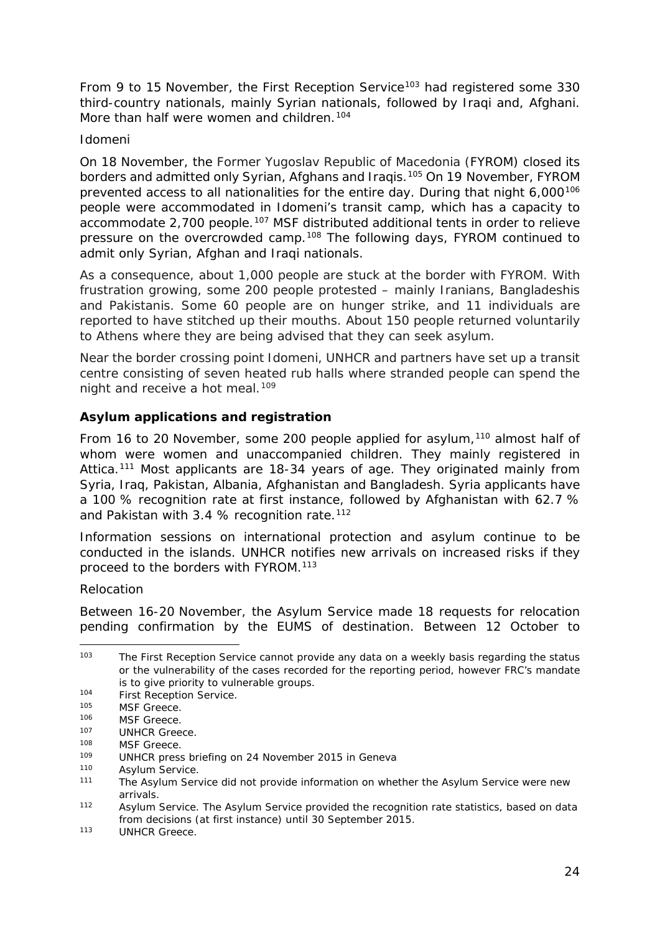From 9 to 15 November, the First Reception Service<sup>[103](#page-23-0)</sup> had registered some 330 third-country nationals, mainly Syrian nationals, followed by Iraqi and, Afghani. More than half were women and children.<sup>[104](#page-23-1)</sup>

### *Idomeni*

On 18 November, the Former Yugoslav Republic of Macedonia (FYROM) closed its borders and admitted only Syrian, Afghans and Iraqis.[105](#page-23-2) On 19 November, FYROM prevented access to all nationalities for the entire day. During that night 6,000<sup>[106](#page-23-3)</sup> people were accommodated in Idomeni's transit camp, which has a capacity to accommodate 2,700 people.<sup>[107](#page-23-4)</sup> MSF distributed additional tents in order to relieve pressure on the overcrowded camp.[108](#page-23-5) The following days, FYROM continued to admit only Syrian, Afghan and Iraqi nationals.

As a consequence, about 1,000 people are stuck at the border with FYROM. With frustration growing, some 200 people protested – mainly Iranians, Bangladeshis and Pakistanis. Some 60 people are on hunger strike, and 11 individuals are reported to have stitched up their mouths. About 150 people returned voluntarily to Athens where they are being advised that they can seek asylum.

Near the border crossing point Idomeni, UNHCR and partners have set up a transit centre consisting of seven heated rub halls where stranded people can spend the night and receive a hot meal.<sup>[109](#page-23-6)</sup>

### **Asylum applications and registration**

From 16 to 20 November, some 200 people applied for asylum,<sup>[110](#page-23-7)</sup> almost half of whom were women and unaccompanied children. They mainly registered in Attica.<sup>[111](#page-23-8)</sup> Most applicants are 18-34 years of age. They originated mainly from Syria, Iraq, Pakistan, Albania, Afghanistan and Bangladesh. Syria applicants have a 100 % recognition rate at first instance, followed by Afghanistan with 62.7 % and Pakistan with 3.4 % recognition rate.<sup>[112](#page-23-9)</sup>

Information sessions on international protection and asylum continue to be conducted in the islands. UNHCR notifies new arrivals on increased risks if they proceed to the borders with FYROM.[113](#page-23-10)

### *Relocation*

Between 16-20 November, the Asylum Service made 18 requests for relocation pending confirmation by the EUMS of destination. Between 12 October to

<span id="page-23-0"></span><sup>-</sup><sup>103</sup> The First Reception Service cannot provide any data on a weekly basis regarding the status or the vulnerability of the cases recorded for the reporting period, however FRC's mandate is to give priority to vulnerable groups.

<span id="page-23-1"></span><sup>104</sup> First Reception Service.

<span id="page-23-2"></span><sup>105</sup> MSF Greece.

<span id="page-23-3"></span><sup>106</sup> MSF Greece.

<span id="page-23-4"></span><sup>&</sup>lt;sup>107</sup> UNHCR Greece.<br><sup>108</sup> MSE Greece.

<span id="page-23-5"></span> $^{108}$  MSF Greece.

<span id="page-23-6"></span><sup>109</sup> UNHCR press briefing on 24 November 2015 in Geneva<br>110 Asylum Service

<span id="page-23-7"></span><sup>&</sup>lt;sup>110</sup> Asylum Service.<br><sup>111</sup> The Asylum Serv

<span id="page-23-8"></span>The Asylum Service did not provide information on whether the Asylum Service were new arrivals.

<span id="page-23-9"></span><sup>&</sup>lt;sup>112</sup> Asylum Service. The Asylum Service provided the recognition rate statistics, based on data from decisions (at first instance) until 30 September 2015.

<span id="page-23-10"></span><sup>&</sup>lt;sup>113</sup> UNHCR Greece.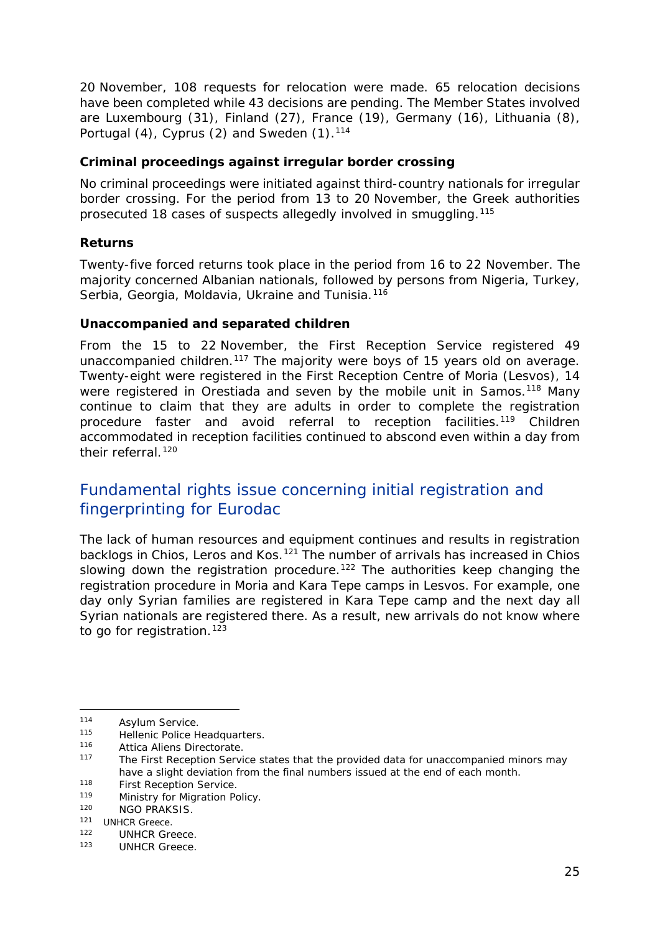20 November, 108 requests for relocation were made. 65 relocation decisions have been completed while 43 decisions are pending. The Member States involved are Luxembourg (31), Finland (27), France (19), Germany (16), Lithuania (8), Portugal  $(4)$ , Cyprus  $(2)$  and Sweden  $(1)$ .<sup>[114](#page-24-0)</sup>

### **Criminal proceedings against irregular border crossing**

No criminal proceedings were initiated against third-country nationals for irregular border crossing. For the period from 13 to 20 November, the Greek authorities prosecuted 18 cases of suspects allegedly involved in smuggling.[115](#page-24-1)

### **Returns**

Twenty-five forced returns took place in the period from 16 to 22 November. The majority concerned Albanian nationals, followed by persons from Nigeria, Turkey, Serbia, Georgia, Moldavia, Ukraine and Tunisia.<sup>[116](#page-24-2)</sup>

### **Unaccompanied and separated children**

From the 15 to 22 November, the First Reception Service registered 49 unaccompanied children.<sup>[117](#page-24-3)</sup> The majority were boys of 15 years old on average. Twenty-eight were registered in the First Reception Centre of Moria (Lesvos), 14 were registered in Orestiada and seven by the mobile unit in Samos.<sup>[118](#page-24-4)</sup> Many continue to claim that they are adults in order to complete the registration procedure faster and avoid referral to reception facilities[.119](#page-24-5) Children accommodated in reception facilities continued to abscond even within a day from their referral.<sup>120</sup>

### Fundamental rights issue concerning initial registration and fingerprinting for Eurodac

The lack of human resources and equipment continues and results in registration backlogs in Chios, Leros and Kos.<sup>[121](#page-24-7)</sup> The number of arrivals has increased in Chios slowing down the registration procedure.<sup>122</sup> The authorities keep changing the registration procedure in Moria and Kara Tepe camps in Lesvos. For example, one day only Syrian families are registered in Kara Tepe camp and the next day all Syrian nationals are registered there. As a result, new arrivals do not know where to go for registration.<sup>[123](#page-24-9)</sup>

<span id="page-24-0"></span><sup>114</sup> Asylum Service.<br>115 Hollonic Police H

<span id="page-24-1"></span><sup>115</sup> Hellenic Police Headquarters.<br>116 Attice Aliene Directorate

<span id="page-24-2"></span><sup>116</sup> Attica Aliens Directorate.<br>117 The First Peception Servi

<span id="page-24-3"></span>The First Reception Service states that the provided data for unaccompanied minors may have a slight deviation from the final numbers issued at the end of each month.

<span id="page-24-4"></span><sup>&</sup>lt;sup>118</sup> First Reception Service.<br>
<sup>119</sup> Ministry for Migration Pe

<span id="page-24-5"></span><sup>119</sup> Ministry for Migration Policy.<br>120 MGO PRAKSIS

NGO PRAKSIS.

<span id="page-24-7"></span><span id="page-24-6"></span> $121$  UNHCR Greece.<br> $122$  UNHCP Gre

<span id="page-24-9"></span><span id="page-24-8"></span><sup>&</sup>lt;sup>122</sup> UNHCR Greece.<br><sup>123</sup> UNHCR Creece.

UNHCR Greece.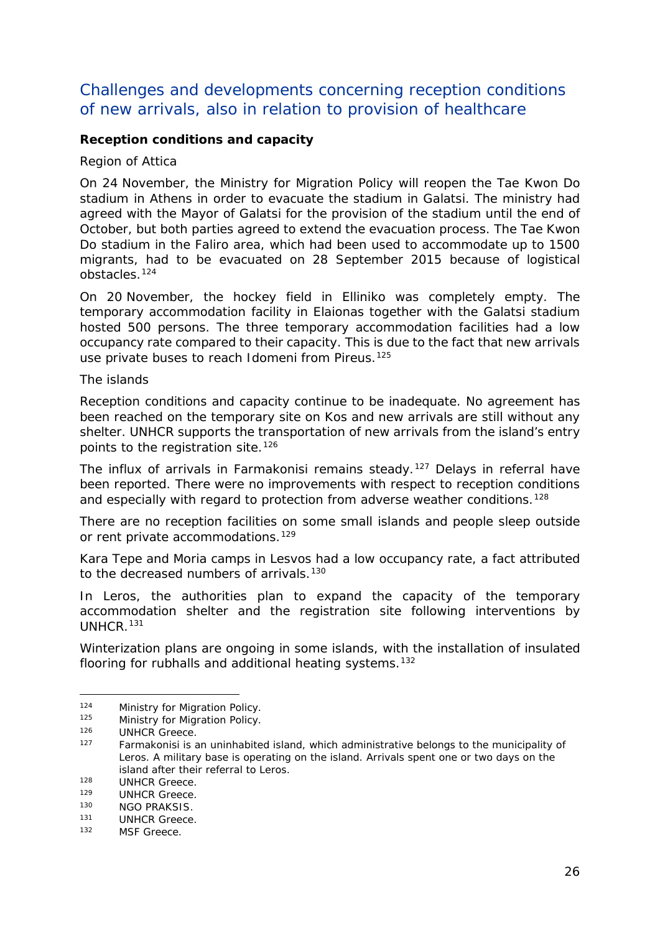### Challenges and developments concerning reception conditions of new arrivals, also in relation to provision of healthcare

### **Reception conditions and capacity**

#### *Region of Attica*

On 24 November, the Ministry for Migration Policy will reopen the Tae Kwon Do stadium in Athens in order to evacuate the stadium in Galatsi. The ministry had agreed with the Mayor of Galatsi for the provision of the stadium until the end of October, but both parties agreed to extend the evacuation process. The Tae Kwon Do stadium in the Faliro area, which had been used to accommodate up to 1500 migrants, had to be evacuated on 28 September 2015 because of logistical obstacles.[124](#page-25-0)

On 20 November, the hockey field in Elliniko was completely empty. The temporary accommodation facility in Elaionas together with the Galatsi stadium hosted 500 persons. The three temporary accommodation facilities had a low occupancy rate compared to their capacity. This is due to the fact that new arrivals use private buses to reach Idomeni from Pireus.<sup>[125](#page-25-1)</sup>

#### *The islands*

Reception conditions and capacity continue to be inadequate. No agreement has been reached on the temporary site on Kos and new arrivals are still without any shelter. UNHCR supports the transportation of new arrivals from the island's entry points to the registration site.<sup>[126](#page-25-2)</sup>

The influx of arrivals in Farmakonisi remains steady.<sup>[127](#page-25-3)</sup> Delays in referral have been reported. There were no improvements with respect to reception conditions and especially with regard to protection from adverse weather conditions.<sup>[128](#page-25-4)</sup>

There are no reception facilities on some small islands and people sleep outside or rent private accommodations.<sup>[129](#page-25-5)</sup>

Kara Tepe and Moria camps in Lesvos had a low occupancy rate, a fact attributed to the decreased numbers of arrivals.<sup>[130](#page-25-6)</sup>

In Leros, the authorities plan to expand the capacity of the temporary accommodation shelter and the registration site following interventions by UNHCR.[131](#page-25-7)

Winterization plans are ongoing in some islands, with the installation of insulated flooring for rubhalls and additional heating systems.<sup>[132](#page-25-8)</sup>

<span id="page-25-0"></span><sup>124</sup> Ministry for Migration Policy.<br>125 Ministry for Migration Policy.

Ministry for Migration Policy.

<span id="page-25-2"></span><span id="page-25-1"></span><sup>126</sup> UNHCR Greece.<br>127 Earmakenisi is a

<span id="page-25-3"></span>Farmakonisi is an uninhabited island, which administrative belongs to the municipality of Leros. A military base is operating on the island. Arrivals spent one or two days on the island after their referral to Leros.

<span id="page-25-4"></span><sup>&</sup>lt;sup>128</sup> UNHCR Greece.<br><sup>129</sup> UNHCP Greece.

<span id="page-25-5"></span><sup>&</sup>lt;sup>129</sup> UNHCR Greece.<br><sup>130</sup> NGO PRAKSIS

<span id="page-25-6"></span><sup>130</sup> NGO PRAKSIS.

<span id="page-25-7"></span><sup>&</sup>lt;sup>131</sup> UNHCR Greece.<br><sup>132</sup> MSE Greece

<span id="page-25-8"></span>MSF Greece.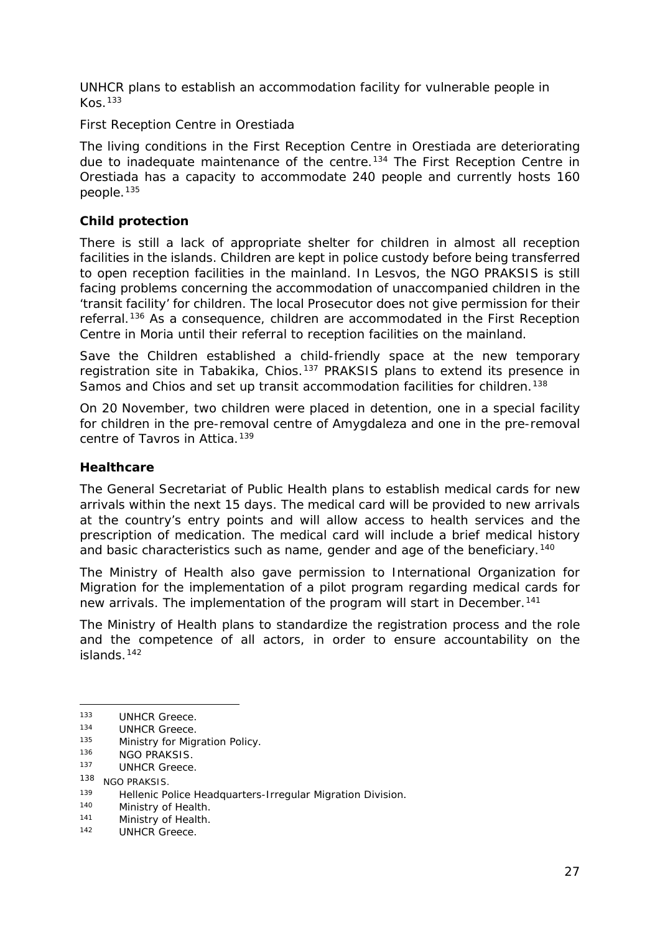UNHCR plans to establish an accommodation facility for vulnerable people in  $K$ os.  $133$ 

#### *First Reception Centre in Orestiada*

The living conditions in the First Reception Centre in Orestiada are deteriorating due to inadequate maintenance of the centre.<sup>[134](#page-26-1)</sup> The First Reception Centre in Orestiada has a capacity to accommodate 240 people and currently hosts 160 people.[135](#page-26-2)

#### **Child protection**

There is still a lack of appropriate shelter for children in almost all reception facilities in the islands. Children are kept in police custody before being transferred to open reception facilities in the mainland. In Lesvos, the NGO PRAKSIS is still facing problems concerning the accommodation of unaccompanied children in the 'transit facility' for children. The local Prosecutor does not give permission for their referral.<sup>[136](#page-26-3)</sup> As a consequence, children are accommodated in the First Reception Centre in Moria until their referral to reception facilities on the mainland.

Save the Children established a child-friendly space at the new temporary registration site in Tabakika, Chios.<sup>[137](#page-26-4)</sup> PRAKSIS plans to extend its presence in Samos and Chios and set up transit accommodation facilities for children.<sup>[138](#page-26-5)</sup>

On 20 November, two children were placed in detention, one in a special facility for children in the pre-removal centre of Amygdaleza and one in the pre-removal centre of Tavros in Attica.<sup>[139](#page-26-6)</sup>

#### **Healthcare**

The General Secretariat of Public Health plans to establish medical cards for new arrivals within the next 15 days. The medical card will be provided to new arrivals at the country's entry points and will allow access to health services and the prescription of medication. The medical card will include a brief medical history and basic characteristics such as name, gender and age of the beneficiary.<sup>[140](#page-26-7)</sup>

The Ministry of Health also gave permission to International Organization for Migration for the implementation of a pilot program regarding medical cards for new arrivals. The implementation of the program will start in December.<sup>141</sup>

The Ministry of Health plans to standardize the registration process and the role and the competence of all actors, in order to ensure accountability on the islands.[142](#page-26-9)

-

<span id="page-26-7"></span><sup>140</sup> Ministry of Health.<br><sup>141</sup> Ministry of Health

<span id="page-26-0"></span><sup>&</sup>lt;sup>133</sup> UNHCR Greece.<br><sup>134</sup> UNHCR Greece.

<span id="page-26-1"></span> $^{134}$  UNHCR Greece.<br> $^{135}$  Ministry for Migu

<span id="page-26-2"></span> $^{135}$  Ministry for Migration Policy.<br> $^{136}$  MCO BRAKSIS

<span id="page-26-4"></span><span id="page-26-3"></span> $^{136}$  NGO PRAKSIS.

UNHCR Greece.

<span id="page-26-5"></span><sup>138</sup> NGO PRAKSIS.

<span id="page-26-6"></span><sup>139</sup> Hellenic Police Headquarters-Irregular Migration Division.<br>140 Ministry of Health

<span id="page-26-8"></span><sup>&</sup>lt;sup>141</sup> Ministry of Health.<br><sup>142</sup> UNHCP Greece

<span id="page-26-9"></span>UNHCR Greece.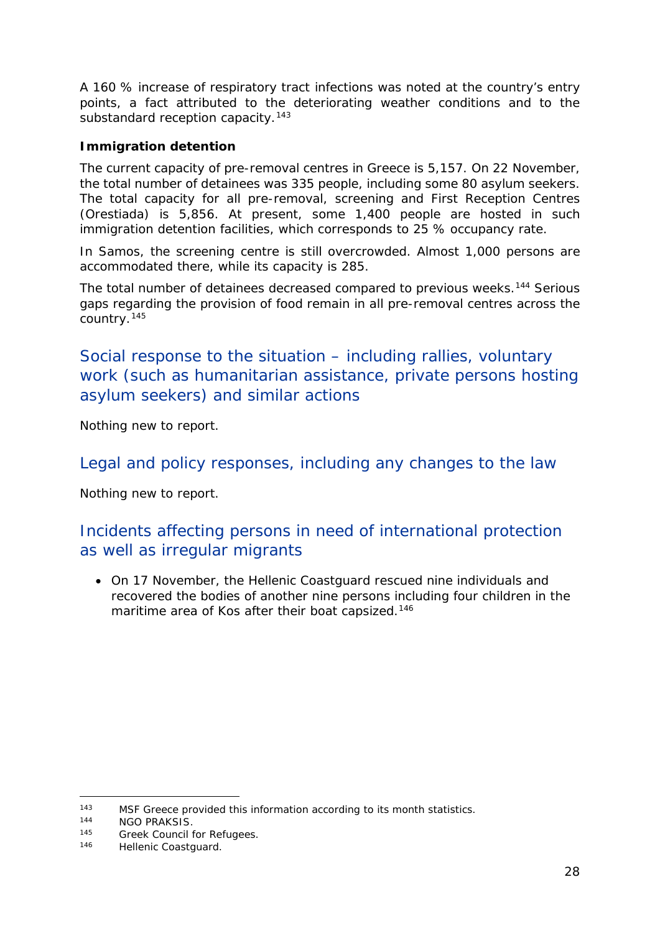A 160 % increase of respiratory tract infections was noted at the country's entry points, a fact attributed to the deteriorating weather conditions and to the substandard reception capacity.<sup>[143](#page-27-0)</sup>

### **Immigration detention**

The current capacity of pre-removal centres in Greece is 5,157. On 22 November, the total number of detainees was 335 people, including some 80 asylum seekers. The total capacity for all pre-removal, screening and First Reception Centres (Orestiada) is 5,856. At present, some 1,400 people are hosted in such immigration detention facilities, which corresponds to 25 % occupancy rate.

In Samos, the screening centre is still overcrowded. Almost 1,000 persons are accommodated there, while its capacity is 285.

The total number of detainees decreased compared to previous weeks.<sup>[144](#page-27-1)</sup> Serious gaps regarding the provision of food remain in all pre-removal centres across the country.[145](#page-27-2)

Social response to the situation – including rallies, voluntary work (such as humanitarian assistance, private persons hosting asylum seekers) and similar actions

Nothing new to report.

### Legal and policy responses, including any changes to the law

Nothing new to report.

### Incidents affecting persons in need of international protection as well as irregular migrants

• On 17 November, the Hellenic Coastguard rescued nine individuals and recovered the bodies of another nine persons including four children in the maritime area of Kos after their boat capsized.<sup>[146](#page-27-3)</sup>

<sup>-</sup>143 MSF Greece provided this information according to its month statistics.

<span id="page-27-1"></span><span id="page-27-0"></span><sup>&</sup>lt;sup>144</sup> NGO PRAKSIS.

<span id="page-27-3"></span><span id="page-27-2"></span><sup>145</sup> Greek Council for Refugees.<br>146 Hollonic Constallard

Hellenic Coastguard.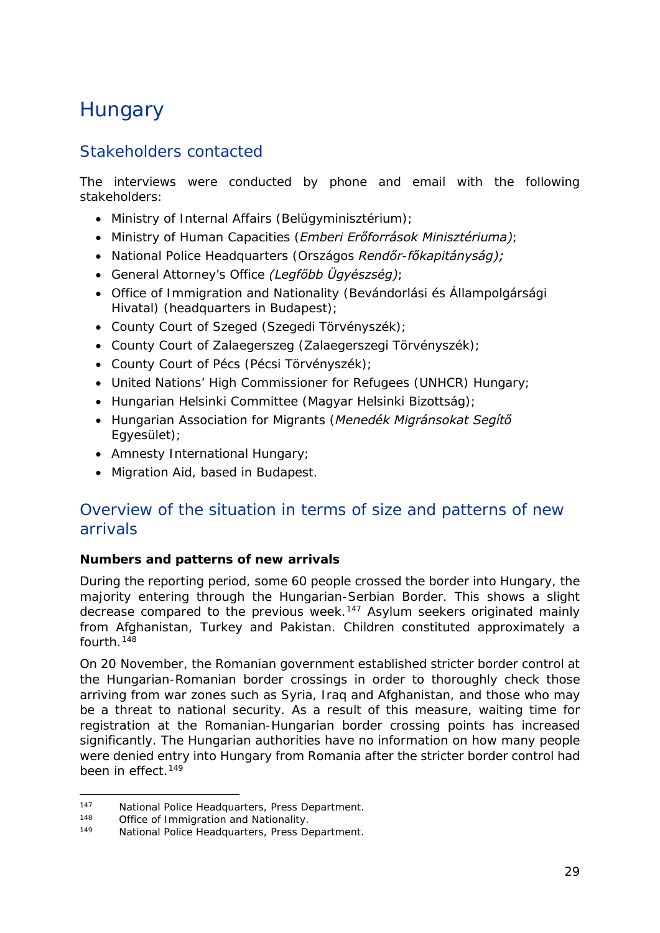## <span id="page-28-0"></span>**Hungary**

### Stakeholders contacted

The interviews were conducted by phone and email with the following stakeholders:

- Ministry of Internal Affairs (*Belügyminisztérium)*;
- Ministry of Human Capacities (*Emberi Erőforrások Minisztériuma)*;
- National Police Headquarters *(Országos Rendőr-főkapitányság);*
- General Attorney's Office *(Legfőbb Ügyészség)*;
- Office of Immigration and Nationality (*Bevándorlási és Állampolgársági Hivatal*) (headquarters in Budapest);
- County Court of Szeged (*Szegedi Törvényszék);*
- County Court of Zalaegerszeg (*Zalaegerszegi Törvényszék*);
- County Court of Pécs (*Pécsi Törvényszék);*
- United Nations' High Commissioner for Refugees (UNHCR) Hungary;
- Hungarian Helsinki Committee (*Magyar Helsinki Bizottság)*;
- Hungarian Association for Migrants (*Menedék Migránsokat Segítő Egyesület)*;
- Amnesty International Hungary;
- Migration Aid, based in Budapest.

### Overview of the situation in terms of size and patterns of new arrivals

### **Numbers and patterns of new arrivals**

During the reporting period, some 60 people crossed the border into Hungary, the majority entering through the Hungarian-Serbian Border. This shows a slight decrease compared to the previous week.[147](#page-28-1) Asylum seekers originated mainly from Afghanistan, Turkey and Pakistan. Children constituted approximately a fourth.[148](#page-28-2)

On 20 November, the Romanian government established stricter border control at the Hungarian-Romanian border crossings in order to thoroughly check those arriving from war zones such as Syria, Iraq and Afghanistan, and those who may be a threat to national security. As a result of this measure, waiting time for registration at the Romanian-Hungarian border crossing points has increased significantly. The Hungarian authorities have no information on how many people were denied entry into Hungary from Romania after the stricter border control had been in effect.<sup>[149](#page-28-3)</sup>

<span id="page-28-1"></span> $147$ <sup>147</sup> National Police Headquarters, Press Department.<br><sup>148</sup> Office of Immigration and Nationality.

<span id="page-28-3"></span><span id="page-28-2"></span><sup>&</sup>lt;sup>148</sup> Office of Immigration and Nationality.<br>
<sup>149</sup> Mational Police Headquarters, Press De

National Police Headquarters, Press Department.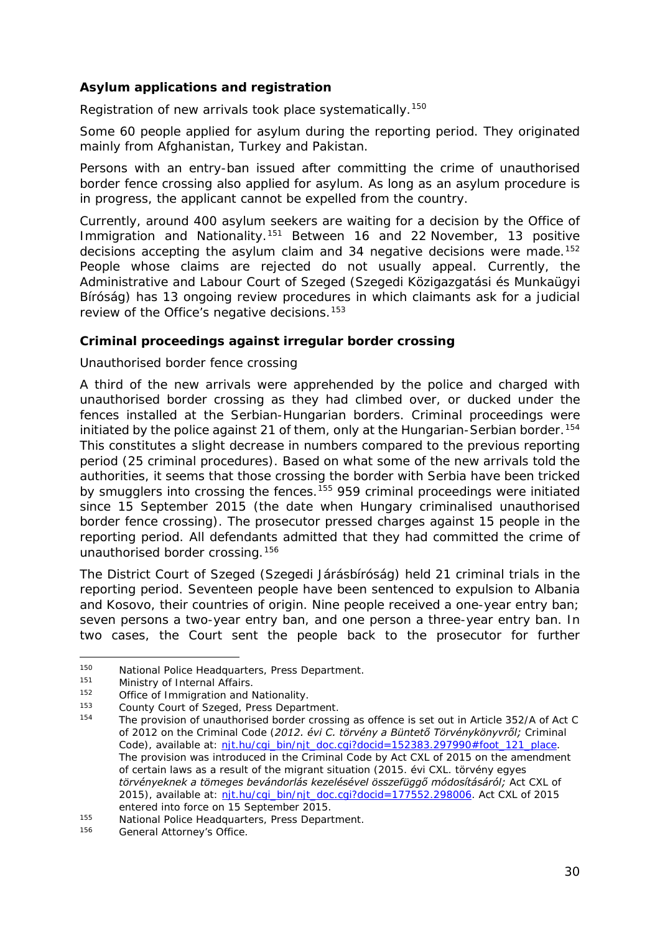### **Asylum applications and registration**

Registration of new arrivals took place systematically.<sup>[150](#page-29-0)</sup>

Some 60 people applied for asylum during the reporting period. They originated mainly from Afghanistan, Turkey and Pakistan.

Persons with an entry-ban issued after committing the crime of unauthorised border fence crossing also applied for asylum. As long as an asylum procedure is in progress, the applicant cannot be expelled from the country.

Currently, around 400 asylum seekers are waiting for a decision by the Office of Immigration and Nationality.[151](#page-29-1) Between 16 and 22 November, 13 positive decisions accepting the asylum claim and 34 negative decisions were made.<sup>[152](#page-29-2)</sup> People whose claims are rejected do not usually appeal. Currently, the Administrative and Labour Court of Szeged (*Szegedi Közigazgatási és Munkaügyi Bíróság)* has 13 ongoing review procedures in which claimants ask for a judicial review of the Office's negative decisions.<sup>[153](#page-29-3)</sup>

### **Criminal proceedings against irregular border crossing**

#### *Unauthorised border fence crossing*

A third of the new arrivals were apprehended by the police and charged with unauthorised border crossing as they had climbed over, or ducked under the fences installed at the Serbian-Hungarian borders. Criminal proceedings were initiated by the police against 21 of them, only at the Hungarian-Serbian border.<sup>[154](#page-29-4)</sup> This constitutes a slight decrease in numbers compared to the previous reporting period (25 criminal procedures). Based on what some of the new arrivals told the authorities, it seems that those crossing the border with Serbia have been tricked by smugglers into crossing the fences.<sup>[155](#page-29-5)</sup> 959 criminal proceedings were initiated since 15 September 2015 (the date when Hungary criminalised unauthorised border fence crossing). The prosecutor pressed charges against 15 people in the reporting period. All defendants admitted that they had committed the crime of unauthorised border crossing.[156](#page-29-6)

The District Court of Szeged (*Szegedi Járásbíróság*) held 21 criminal trials in the reporting period. Seventeen people have been sentenced to expulsion to Albania and Kosovo, their countries of origin. Nine people received a one-year entry ban; seven persons a two-year entry ban, and one person a three-year entry ban. In two cases, the Court sent the people back to the prosecutor for further

<sup>-</sup>150 National Police Headquarters, Press Department.<br>151 Ministry of Internal Affairs

<span id="page-29-1"></span><span id="page-29-0"></span><sup>151</sup> Ministry of Internal Affairs.

Office of Immigration and Nationality.<br>County Court of Szeged, Press Department.

<span id="page-29-4"></span><span id="page-29-3"></span><span id="page-29-2"></span><sup>&</sup>lt;sup>153</sup> County Court of Szeged, Press Department.<br><sup>154</sup> The provision of unauthorised border crossing as offence is set out in Article 352/A of Act C of 2012 on the Criminal Code (*2012. évi C. törvény a Büntető Törvénykönyvről;* Criminal Code), available at: [njt.hu/cgi\\_bin/njt\\_doc.cgi?docid=152383.297990#foot\\_121\\_place.](http://njt.hu/cgi_bin/njt_doc.cgi?docid=152383.297990%23foot_121_place) The provision was introduced in the Criminal Code by Act CXL of 2015 on the amendment of certain laws as a result of the migrant situation (*2015. évi CXL. törvény egyes törvényeknek a tömeges bevándorlás kezelésével összefüggő módosításáról;* Act CXL of 2015), available at: nit.hu/cgi\_bin/njt\_doc.cgi?docid=177552.298006. Act CXL of 2015

<span id="page-29-5"></span>entered into force on 15 September 2015.<br>
155 National Police Headquarters, Press Department.<br>
156 Coneral Attorney's Office

<span id="page-29-6"></span>General Attorney's Office.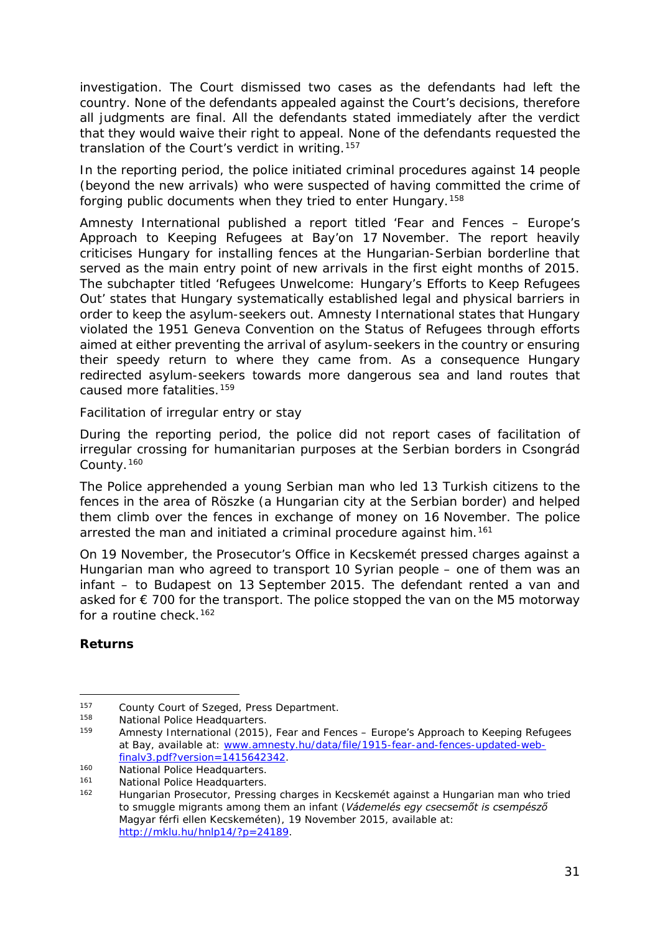investigation. The Court dismissed two cases as the defendants had left the country. None of the defendants appealed against the Court's decisions, therefore all judgments are final. All the defendants stated immediately after the verdict that they would waive their right to appeal. None of the defendants requested the translation of the Court's verdict in writing.<sup>[157](#page-30-0)</sup>

In the reporting period, the police initiated criminal procedures against 14 people (beyond the new arrivals) who were suspected of having committed the crime of forging public documents when they tried to enter Hungary.[158](#page-30-1)

Amnesty International published a report titled 'Fear and Fences – Europe's Approach to Keeping Refugees at Bay'on 17 November. The report heavily criticises Hungary for installing fences at the Hungarian-Serbian borderline that served as the main entry point of new arrivals in the first eight months of 2015. The subchapter titled 'Refugees Unwelcome: Hungary's Efforts to Keep Refugees Out' states that Hungary systematically established legal and physical barriers in order to keep the asylum-seekers out. Amnesty International states that Hungary violated the 1951 Geneva Convention on the Status of Refugees through efforts aimed at either preventing the arrival of asylum-seekers in the country or ensuring their speedy return to where they came from. As a consequence Hungary redirected asylum-seekers towards more dangerous sea and land routes that caused more fatalities.[159](#page-30-2)

#### *Facilitation of irregular entry or stay*

During the reporting period, the police did not report cases of facilitation of irregular crossing for humanitarian purposes at the Serbian borders in Csongrád County.[160](#page-30-3)

The Police apprehended a young Serbian man who led 13 Turkish citizens to the fences in the area of Röszke (a Hungarian city at the Serbian border) and helped them climb over the fences in exchange of money on 16 November. The police arrested the man and initiated a criminal procedure against him.<sup>[161](#page-30-4)</sup>

On 19 November, the Prosecutor's Office in Kecskemét pressed charges against a Hungarian man who agreed to transport 10 Syrian people – one of them was an infant – to Budapest on 13 September 2015. The defendant rented a van and asked for  $\epsilon$  700 for the transport. The police stopped the van on the M5 motorway for a routine check.  $162$ 

### **Returns**

<sup>-</sup>157 County Court of Szeged, Press Department.

<span id="page-30-1"></span><span id="page-30-0"></span><sup>158</sup> National Police Headquarters.

<span id="page-30-2"></span><sup>159</sup> Amnesty International (2015), Fear and Fences – Europe's Approach to Keeping Refugees at Bay, available at: [www.amnesty.hu/data/file/1915-fear-and-fences-updated-web-](http://www.amnesty.hu/data/file/1915-fear-and-fences-updated-web-finalv3.pdf?version=1415642342)

<span id="page-30-3"></span>[finalv3.pdf?version=1415642342.](http://www.amnesty.hu/data/file/1915-fear-and-fences-updated-web-finalv3.pdf?version=1415642342)<br>160 National Police Headquarters.<br>161 National Police Headquarters.

<span id="page-30-5"></span><span id="page-30-4"></span><sup>&</sup>lt;sup>161</sup> National Police Headquarters.<br><sup>162</sup> Hungarian Prosecutor, Pressing charges in Kecskemét against a Hungarian man who tried to smuggle migrants among them an infant (*Vádemelés egy csecsemőt is csempésző Magyar férfi ellen Kecskeméten),* 19 November 2015, available at: [http://mklu.hu/hnlp14/?p=24189.](http://mklu.hu/hnlp14/?p=24189)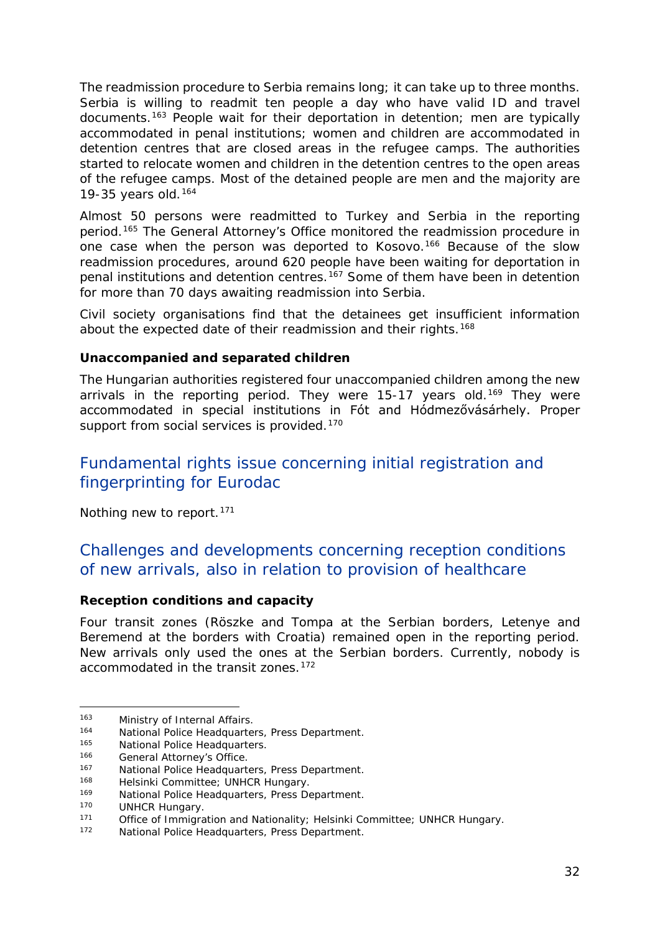The readmission procedure to Serbia remains long; it can take up to three months. Serbia is willing to readmit ten people a day who have valid ID and travel documents.[163](#page-31-0) People wait for their deportation in detention; men are typically accommodated in penal institutions; women and children are accommodated in detention centres that are closed areas in the refugee camps. The authorities started to relocate women and children in the detention centres to the open areas of the refugee camps. Most of the detained people are men and the majority are 19-35 years old.[164](#page-31-1)

Almost 50 persons were readmitted to Turkey and Serbia in the reporting period.<sup>[165](#page-31-2)</sup> The General Attorney's Office monitored the readmission procedure in one case when the person was deported to Kosovo.<sup>[166](#page-31-3)</sup> Because of the slow readmission procedures, around 620 people have been waiting for deportation in penal institutions and detention centres.[167](#page-31-4) Some of them have been in detention for more than 70 days awaiting readmission into Serbia.

Civil society organisations find that the detainees get insufficient information about the expected date of their readmission and their rights.<sup>[168](#page-31-5)</sup>

#### **Unaccompanied and separated children**

The Hungarian authorities registered four unaccompanied children among the new arrivals in the reporting period. They were  $15-17$  years old.<sup>[169](#page-31-6)</sup> They were accommodated in special institutions in Fót and Hódmezővásárhely. Proper support from social services is provided.<sup>[170](#page-31-7)</sup>

### Fundamental rights issue concerning initial registration and fingerprinting for Eurodac

Nothing new to report.<sup>[171](#page-31-8)</sup>

### Challenges and developments concerning reception conditions of new arrivals, also in relation to provision of healthcare

### **Reception conditions and capacity**

Four transit zones (Röszke and Tompa at the Serbian borders, Letenye and Beremend at the borders with Croatia) remained open in the reporting period. New arrivals only used the ones at the Serbian borders. Currently, nobody is accommodated in the transit zones.<sup>[172](#page-31-9)</sup>

j, 163 Ministry of Internal Affairs.

<span id="page-31-1"></span><span id="page-31-0"></span><sup>164</sup> National Police Headquarters, Press Department.<br>165 National Police Headquarters

<span id="page-31-2"></span><sup>165</sup> National Police Headquarters.<br>166 General Attorney's Office

<span id="page-31-3"></span><sup>&</sup>lt;sup>166</sup> General Attorney's Office.<br><sup>167</sup> National Police Hoadquarte

<span id="page-31-4"></span><sup>167</sup> National Police Headquarters, Press Department.<br>168 Helsinki Committee: UNHCP Hungary

<span id="page-31-5"></span><sup>168</sup> Helsinki Committee; UNHCR Hungary.<br>169 Mational Police Headquarters, Press De

<span id="page-31-6"></span><sup>169</sup> National Police Headquarters, Press Department.<br>170 | INHCP Hungary

<span id="page-31-7"></span> $170$  UNHCR Hungary.<br> $171$  Office of Immigra

<span id="page-31-8"></span><sup>171</sup> Office of Immigration and Nationality; Helsinki Committee; UNHCR Hungary.<br>172 Mational Police Headquarters, Press Department

<span id="page-31-9"></span>National Police Headquarters, Press Department.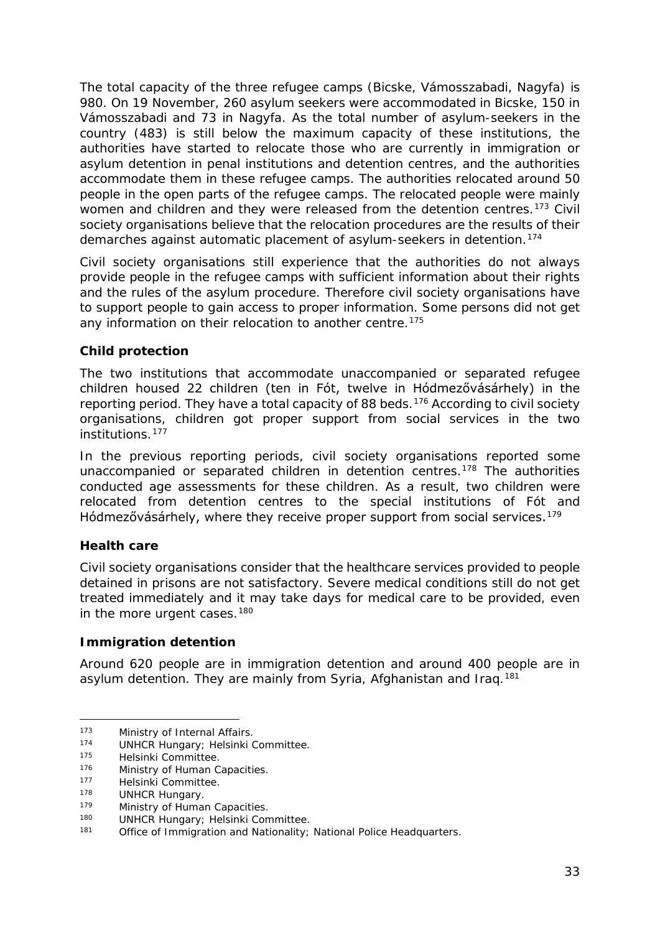The total capacity of the three refugee camps (Bicske, Vámosszabadi, Nagyfa) is 980. On 19 November, 260 asylum seekers were accommodated in Bicske, 150 in Vámosszabadi and 73 in Nagyfa. As the total number of asylum-seekers in the country (483) is still below the maximum capacity of these institutions, the authorities have started to relocate those who are currently in immigration or asylum detention in penal institutions and detention centres, and the authorities accommodate them in these refugee camps. The authorities relocated around 50 people in the open parts of the refugee camps. The relocated people were mainly women and children and they were released from the detention centres.<sup>[173](#page-32-0)</sup> Civil society organisations believe that the relocation procedures are the results of their demarches against automatic placement of asylum-seekers in detention.<sup>[174](#page-32-1)</sup>

Civil society organisations still experience that the authorities do not always provide people in the refugee camps with sufficient information about their rights and the rules of the asylum procedure. Therefore civil society organisations have to support people to gain access to proper information. Some persons did not get any information on their relocation to another centre.<sup>[175](#page-32-2)</sup>

### **Child protection**

The two institutions that accommodate unaccompanied or separated refugee children housed 22 children (ten in Fót, twelve in Hódmezővásárhely) in the reporting period. They have a total capacity of 88 beds.<sup>[176](#page-32-3)</sup> According to civil society organisations, children got proper support from social services in the two institutions.[177](#page-32-4)

In the previous reporting periods, civil society organisations reported some unaccompanied or separated children in detention centres.[178](#page-32-5) The authorities conducted age assessments for these children. As a result, two children were relocated from detention centres to the special institutions of Fót and Hódmezővásárhely, where they receive proper support from social services.<sup>[179](#page-32-6)</sup>

### **Health care**

Civil society organisations consider that the healthcare services provided to people detained in prisons are not satisfactory. Severe medical conditions still do not get treated immediately and it may take days for medical care to be provided, even in the more urgent cases.<sup>[180](#page-32-7)</sup>

### **Immigration detention**

Around 620 people are in immigration detention and around 400 people are in asylum detention. They are mainly from Syria, Afghanistan and Iraq.<sup>[181](#page-32-8)</sup>

j, <sup>173</sup> Ministry of Internal Affairs.<br><sup>174</sup> HINHCR Hungary: Helsinki (

<span id="page-32-1"></span><span id="page-32-0"></span><sup>&</sup>lt;sup>174</sup> UNHCR Hungary; Helsinki Committee.<br><sup>175</sup> Helsinki Committee

<span id="page-32-2"></span><sup>&</sup>lt;sup>175</sup> Helsinki Committee.<br><sup>176</sup> Ministry of Human C

<span id="page-32-3"></span><sup>&</sup>lt;sup>176</sup> Ministry of Human Capacities.<br><sup>177</sup> Holsinki Committee

<span id="page-32-4"></span> $177$  Helsinki Committee.<br> $178$  HINHCP HUDGAEV

<span id="page-32-5"></span><sup>&</sup>lt;sup>178</sup> UNHCR Hungary.<br><sup>179</sup> Ministry of Huma

<span id="page-32-6"></span><sup>&</sup>lt;sup>179</sup> Ministry of Human Capacities.<br><sup>180</sup> HINHCP Hungary: Holsinki Con

<span id="page-32-8"></span><span id="page-32-7"></span><sup>180</sup> UNHCR Hungary; Helsinki Committee.<br>181 Office of Immigration and Nationality:

Office of Immigration and Nationality; National Police Headquarters.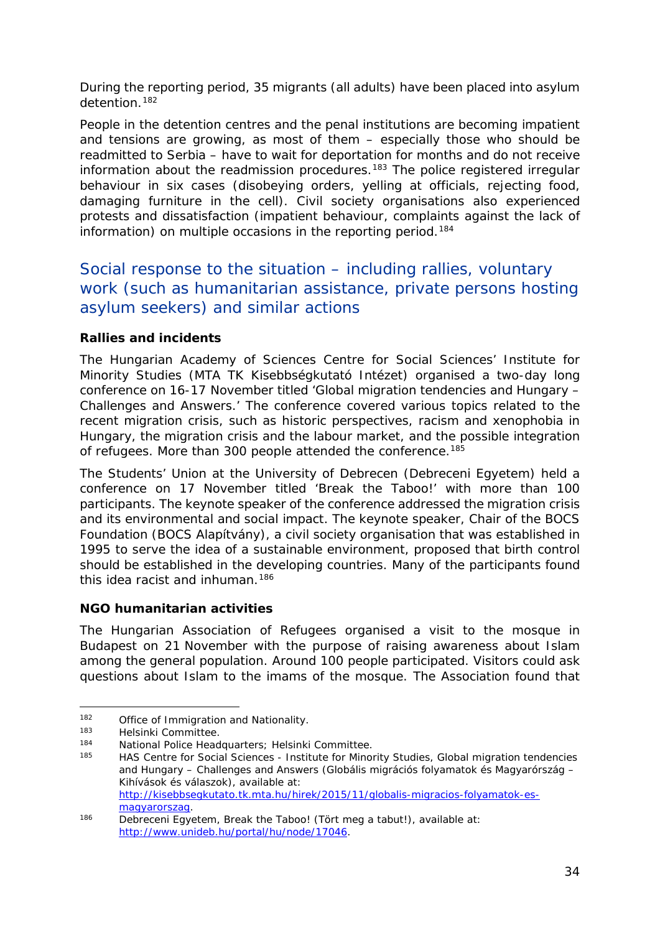During the reporting period, 35 migrants (all adults) have been placed into asylum detention.[182](#page-33-0)

People in the detention centres and the penal institutions are becoming impatient and tensions are growing, as most of them – especially those who should be readmitted to Serbia – have to wait for deportation for months and do not receive information about the readmission procedures.<sup>[183](#page-33-1)</sup> The police registered irregular behaviour in six cases (disobeying orders, yelling at officials, rejecting food, damaging furniture in the cell). Civil society organisations also experienced protests and dissatisfaction (impatient behaviour, complaints against the lack of information) on multiple occasions in the reporting period.<sup>[184](#page-33-2)</sup>

### Social response to the situation – including rallies, voluntary work (such as humanitarian assistance, private persons hosting asylum seekers) and similar actions

### **Rallies and incidents**

The Hungarian Academy of Sciences Centre for Social Sciences' Institute for Minority Studies (*MTA TK Kisebbségkutató Intézet*) organised a two-day long conference on 16-17 November titled 'Global migration tendencies and Hungary – Challenges and Answers.' The conference covered various topics related to the recent migration crisis, such as historic perspectives, racism and xenophobia in Hungary, the migration crisis and the labour market, and the possible integration of refugees. More than 300 people attended the conference.<sup>185</sup>

The Students' Union at the University of Debrecen (*Debreceni Egyetem*) held a conference on 17 November titled 'Break the Taboo!' with more than 100 participants. The keynote speaker of the conference addressed the migration crisis and its environmental and social impact. The keynote speaker, Chair of the BOCS Foundation (*BOCS Alapítvány),* a civil society organisation that was established in 1995 to serve the idea of a sustainable environment, proposed that birth control should be established in the developing countries. Many of the participants found this idea racist and inhuman.[186](#page-33-4)

### **NGO humanitarian activities**

The Hungarian Association of Refugees organised a visit to the mosque in Budapest on 21 November with the purpose of raising awareness about Islam among the general population. Around 100 people participated. Visitors could ask questions about Islam to the imams of the mosque. The Association found that

<span id="page-33-0"></span>j, 182 Office of Immigration and Nationality.

<span id="page-33-1"></span><sup>183</sup> Helsinki Committee.<br>184 Mational Police Hoad

<span id="page-33-3"></span><span id="page-33-2"></span><sup>184</sup> National Police Headquarters; Helsinki Committee.<br>185 HAS Centre for Social Sciences Hestitute for Minor

<sup>185</sup> HAS Centre for Social Sciences - Institute for Minority Studies, Global migration tendencies and Hungary – Challenges and Answers *(Globális migrációs folyamatok és Magyarórszág – Kihívások és válaszok)*, available at: [http://kisebbsegkutato.tk.mta.hu/hirek/2015/11/globalis-migracios-folyamatok-es-](http://kisebbsegkutato.tk.mta.hu/hirek/2015/11/globalis-migracios-folyamatok-es-magyarorszag)

<span id="page-33-4"></span>[magyarorszag.](http://kisebbsegkutato.tk.mta.hu/hirek/2015/11/globalis-migracios-folyamatok-es-magyarorszag) 186 Debreceni Egyetem, Break the Taboo! (*Tört meg a tabut!*), available at: [http://www.unideb.hu/portal/hu/node/17046.](http://www.unideb.hu/portal/hu/node/17046)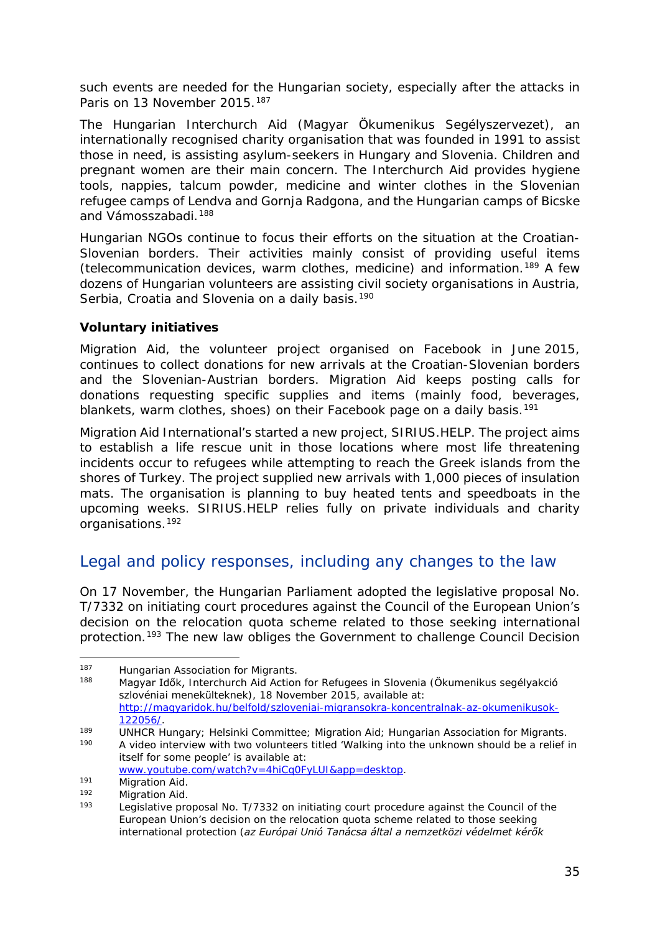such events are needed for the Hungarian society, especially after the attacks in Paris on 13 November 2015.<sup>[187](#page-34-0)</sup>

The Hungarian Interchurch Aid (*Magyar Ökumenikus Segélyszervezet)*, an internationally recognised charity organisation that was founded in 1991 to assist those in need, is assisting asylum-seekers in Hungary and Slovenia. Children and pregnant women are their main concern. The Interchurch Aid provides hygiene tools, nappies, talcum powder, medicine and winter clothes in the Slovenian refugee camps of Lendva and Gornja Radgona, and the Hungarian camps of Bicske and Vámosszabadi.[188](#page-34-1)

Hungarian NGOs continue to focus their efforts on the situation at the Croatian-Slovenian borders. Their activities mainly consist of providing useful items (telecommunication devices, warm clothes, medicine) and information.[189](#page-34-2) A few dozens of Hungarian volunteers are assisting civil society organisations in Austria, Serbia, Croatia and Slovenia on a daily basis.<sup>[190](#page-34-3)</sup>

### **Voluntary initiatives**

Migration Aid, the volunteer project organised on Facebook in June 2015, continues to collect donations for new arrivals at the Croatian-Slovenian borders and the Slovenian-Austrian borders. Migration Aid keeps posting calls for donations requesting specific supplies and items (mainly food, beverages, blankets, warm clothes, shoes) on their Facebook page on a daily basis.<sup>[191](#page-34-4)</sup>

Migration Aid International's started a new project, SIRIUS.HELP. The project aims to establish a life rescue unit in those locations where most life threatening incidents occur to refugees while attempting to reach the Greek islands from the shores of Turkey. The project supplied new arrivals with 1,000 pieces of insulation mats. The organisation is planning to buy heated tents and speedboats in the upcoming weeks. SIRIUS.HELP relies fully on private individuals and charity organisations.[192](#page-34-5)

### Legal and policy responses, including any changes to the law

On 17 November, the Hungarian Parliament adopted the legislative proposal No. T/7332 on initiating court procedures against the Council of the European Union's decision on the relocation quota scheme related to those seeking international protection.[193](#page-34-6) The new law obliges the Government to challenge Council Decision

<span id="page-34-0"></span><sup>-</sup>187 Hungarian Association for Migrants.<br>188 Magyar Idők Jotecchurch Aid Action

<span id="page-34-1"></span><sup>188</sup> Magyar Idők, Interchurch Aid Action for Refugees in Slovenia (*Ökumenikus segélyakció szlovéniai menekülteknek),* 18 November 2015, available at: [http://magyaridok.hu/belfold/szloveniai-migransokra-koncentralnak-az-okumenikusok-](http://magyaridok.hu/belfold/szloveniai-migransokra-koncentralnak-az-okumenikusok-122056/)

<span id="page-34-2"></span>[<sup>122056/.</sup>](http://magyaridok.hu/belfold/szloveniai-migransokra-koncentralnak-az-okumenikusok-122056/)<br>189 UNHCR Hungary; Helsinki Committee; Migration Aid; Hungarian Association for Migrants.<br>190 A video interview with two volunteers titled Walking into the unknown should be a relief. A video interview with two volunteers titled 'Walking into the unknown should be a relief in itself for some people' is available at:

<span id="page-34-4"></span><span id="page-34-3"></span>[www.youtube.com/watch?v=4hiCq0FyLUI&app=desktop.](http://www.youtube.com/watch?v=4hiCq0FyLUI&app=desktop)<br>
191 Migration Aid.<br>
192 Migration Aid.<br>
193 Logislative proposal No. 7/7333 on initiating court proceed

<span id="page-34-6"></span><span id="page-34-5"></span>

Legislative proposal No. T/7332 on initiating court procedure against the Council of the European Union's decision on the relocation quota scheme related to those seeking international protection (*az Európai Unió Tanácsa által a nemzetközi védelmet kérők*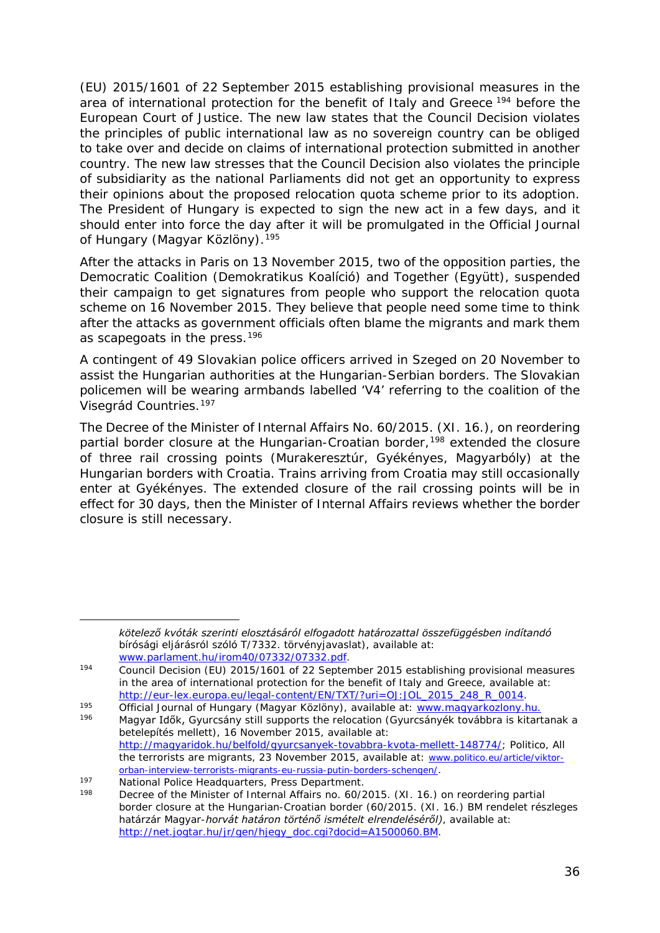(EU) 2015/1601 of 22 September 2015 establishing provisional measures in the area of international protection for the benefit of Italy and Greece <sup>[194](#page-35-0)</sup> before the European Court of Justice. The new law states that the Council Decision violates the principles of public international law as no sovereign country can be obliged to take over and decide on claims of international protection submitted in another country. The new law stresses that the Council Decision also violates the principle of subsidiarity as the national Parliaments did not get an opportunity to express their opinions about the proposed relocation quota scheme prior to its adoption. The President of Hungary is expected to sign the new act in a few days, and it should enter into force the day after it will be promulgated in the Official Journal of Hungary (*Magyar Közlöny*).[195](#page-35-1)

After the attacks in Paris on 13 November 2015, two of the opposition parties, the Democratic Coalition (*Demokratikus Koalíció)* and Together (*Együtt),* suspended their campaign to get signatures from people who support the relocation quota scheme on 16 November 2015. They believe that people need some time to think after the attacks as government officials often blame the migrants and mark them as scapegoats in the press[.196](#page-35-2)

A contingent of 49 Slovakian police officers arrived in Szeged on 20 November to assist the Hungarian authorities at the Hungarian-Serbian borders. The Slovakian policemen will be wearing armbands labelled 'V4' referring to the coalition of the Visegrád Countries.[197](#page-35-3)

The Decree of the Minister of Internal Affairs No. 60/2015. (XI. 16.), on reordering partial border closure at the Hungarian-Croatian border,<sup>[198](#page-35-4)</sup> extended the closure of three rail crossing points (Murakeresztúr, Gyékényes, Magyarbóly) at the Hungarian borders with Croatia. Trains arriving from Croatia may still occasionally enter at Gyékényes. The extended closure of the rail crossing points will be in effect for 30 days, then the Minister of Internal Affairs reviews whether the border closure is still necessary.

*kötelező kvóták szerinti elosztásáról elfogadott határozattal összefüggésben indítandó bírósági eljárásról szóló T/7332. törvényjavaslat),* available at:

<span id="page-35-0"></span>[www.parlament.hu/irom40/07332/07332.pdf.](http://www.parlament.hu/irom40/07332/07332.pdf)<br>Council Decision (EU) 2015/1601 of 22 September 2015 establishing provisional measures

in the area of international protection for the benefit of Italy and Greece, available at:

<span id="page-35-2"></span><span id="page-35-1"></span>[http://eur-lex.europa.eu/legal-content/EN/TXT/?uri=OJ:JOL\\_2015\\_248\\_R\\_0014.](http://eur-lex.europa.eu/legal-content/EN/TXT/?uri=OJ:JOL_2015_248_R_0014)<br>Official Journal of Hungary (Magyar Közlöny), available at: [www.magyarkozlony.hu.](http://magyarkozlony.hu/)<br>Magyar Idők, Gyurcsány still supports the relocation (Gyurcsányék *betelepítés mellett)*, 16 November 2015, available at: [http://magyaridok.hu/belfold/gyurcsanyek-tovabbra-kvota-mellett-148774/;](http://magyaridok.hu/belfold/gyurcsanyek-tovabbra-kvota-mellett-148774/) Politico, *All the terrorists are migrants*, 23 November 2015, available at: [www.politico.eu/article/viktor](http://www.politico.eu/article/viktor-orban-interview-terrorists-migrants-eu-russia-putin-borders-schengen/)[orban-interview-terrorists-migrants-eu-russia-putin-borders-schengen/.](http://www.politico.eu/article/viktor-orban-interview-terrorists-migrants-eu-russia-putin-borders-schengen/)

<span id="page-35-4"></span><span id="page-35-3"></span><sup>197</sup> National Police Headquarters, Press Department.<br>198 Decree of the Minister of Internal Affairs no. 60/2

Decree of the Minister of Internal Affairs no. 60/2015. (XI. 16.) on reordering partial border closure at the Hungarian-Croatian border (*60/2015. (XI. 16.) BM rendelet részleges határzár Magyar-horvát határon történő ismételt elrendeléséről)*, available at: [http://net.jogtar.hu/jr/gen/hjegy\\_doc.cgi?docid=A1500060.BM.](http://net.jogtar.hu/jr/gen/hjegy_doc.cgi?docid=A1500060.BM)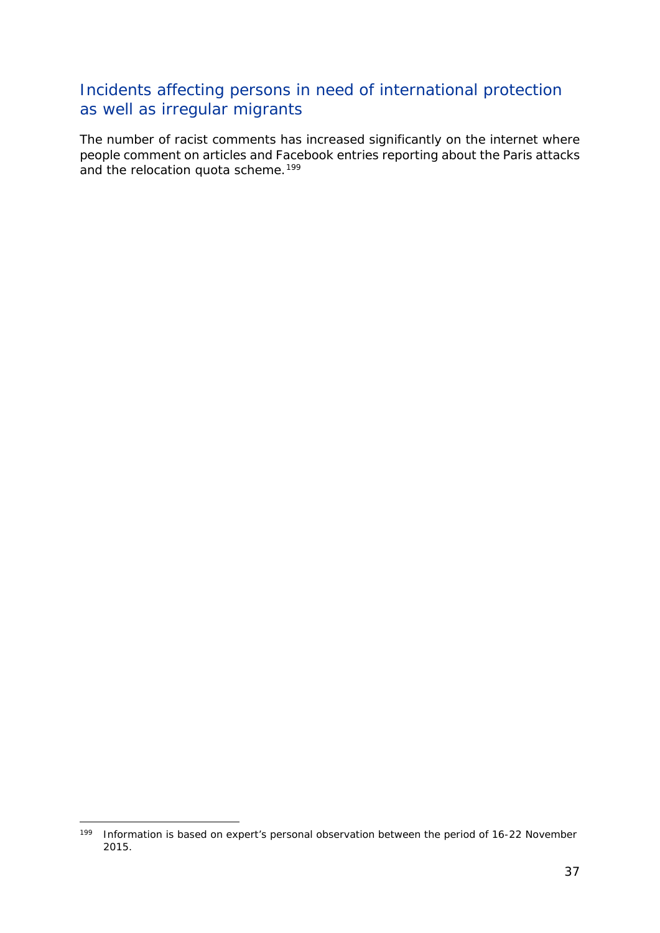### Incidents affecting persons in need of international protection as well as irregular migrants

The number of racist comments has increased significantly on the internet where people comment on articles and Facebook entries reporting about the Paris attacks and the relocation quota scheme.<sup>[199](#page-36-0)</sup>

<span id="page-36-0"></span><sup>-</sup><sup>199</sup> Information is based on expert's personal observation between the period of 16-22 November 2015.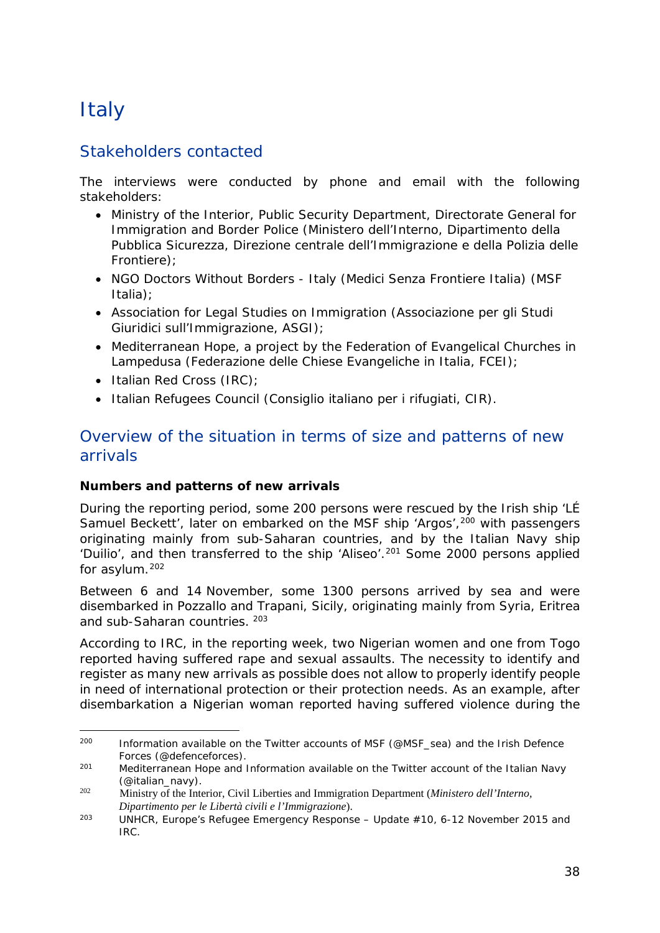## <span id="page-37-0"></span>**Italy**

### Stakeholders contacted

The interviews were conducted by phone and email with the following stakeholders:

- Ministry of the Interior, Public Security Department, Directorate General for Immigration and Border Police (Ministero dell'Interno, Dipartimento della Pubblica Sicurezza, Direzione centrale dell'Immigrazione e della Polizia delle Frontiere);
- NGO Doctors Without Borders Italy (Medici Senza Frontiere Italia) (MSF Italia);
- Association for Legal Studies on Immigration (Associazione per gli Studi Giuridici sull'Immigrazione, ASGI);
- Mediterranean Hope, a project by the Federation of Evangelical Churches in Lampedusa (Federazione delle Chiese Evangeliche in Italia, FCEI);
- Italian Red Cross (IRC);
- Italian Refugees Council (Consiglio italiano per i rifugiati, CIR).

### Overview of the situation in terms of size and patterns of new arrivals

### **Numbers and patterns of new arrivals**

During the reporting period, some 200 persons were rescued by the Irish ship 'LÉ Samuel Beckett', later on embarked on the MSF ship 'Argos', <sup>200</sup> with passengers originating mainly from sub-Saharan countries, and by the Italian Navy ship 'Duilio', and then transferred to the ship 'Aliseo'.<sup>[201](#page-37-2)</sup> Some 2000 persons applied for asylum.[202](#page-37-3)

Between 6 and 14 November, some 1300 persons arrived by sea and were disembarked in Pozzallo and Trapani, Sicily, originating mainly from Syria, Eritrea and sub-Saharan countries. [203](#page-37-4)

According to IRC, in the reporting week, two Nigerian women and one from Togo reported having suffered rape and sexual assaults. The necessity to identify and register as many new arrivals as possible does not allow to properly identify people in need of international protection or their protection needs. As an example, after disembarkation a Nigerian woman reported having suffered violence during the

<span id="page-37-1"></span> $200$ Information available on the Twitter accounts of MSF (@MSF\_sea) and the Irish Defence Forces (@defenceforces).

<span id="page-37-2"></span> $201$  Mediterranean Hope and Information available on the Twitter account of the Italian Navy (@italian\_navy).

<span id="page-37-3"></span><sup>202</sup> Ministry of the Interior, Civil Liberties and Immigration Department (*Ministero dell'Interno, Dipartimento per le Libertà civili e l'Immigrazione*).

<span id="page-37-4"></span><sup>203</sup> UNHCR, *Europe's Refugee Emergency Response – Update #10,* 6-12 November 2015 and IRC.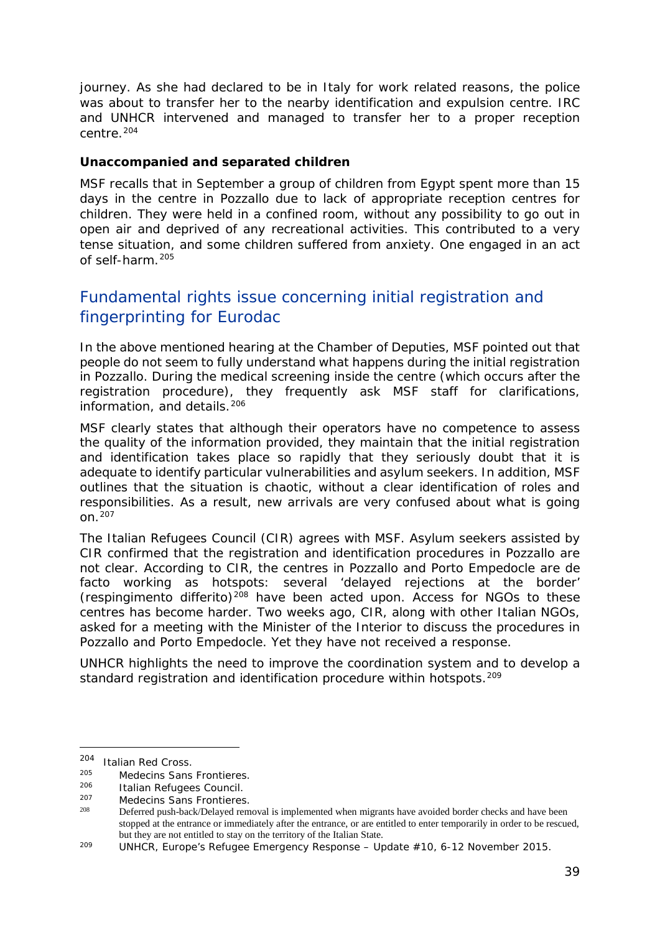journey. As she had declared to be in Italy for work related reasons, the police was about to transfer her to the nearby identification and expulsion centre. IRC and UNHCR intervened and managed to transfer her to a proper reception centre.[204](#page-38-0)

#### **Unaccompanied and separated children**

MSF recalls that in September a group of children from Egypt spent more than 15 days in the centre in Pozzallo due to lack of appropriate reception centres for children. They were held in a confined room, without any possibility to go out in open air and deprived of any recreational activities. This contributed to a very tense situation, and some children suffered from anxiety. One engaged in an act of self-harm.[205](#page-38-1)

### Fundamental rights issue concerning initial registration and fingerprinting for Eurodac

In the above mentioned hearing at the Chamber of Deputies, MSF pointed out that people do not seem to fully understand what happens during the initial registration in Pozzallo. During the medical screening inside the centre (which occurs after the registration procedure), they frequently ask MSF staff for clarifications, information, and details.<sup>[206](#page-38-2)</sup>

MSF clearly states that although their operators have no competence to assess the quality of the information provided, they maintain that the initial registration and identification takes place so rapidly that they seriously doubt that it is adequate to identify particular vulnerabilities and asylum seekers. In addition, MSF outlines that the situation is chaotic, without a clear identification of roles and responsibilities. As a result, new arrivals are very confused about what is going on.[207](#page-38-3)

The Italian Refugees Council (CIR) agrees with MSF. Asylum seekers assisted by CIR confirmed that the registration and identification procedures in Pozzallo are not clear. According to CIR, the centres in Pozzallo and Porto Empedocle are *de facto* working as hotspots: several 'delayed rejections at the border' (*respingimento differito*)[208](#page-38-4) have been acted upon. Access for NGOs to these centres has become harder. Two weeks ago, CIR, along with other Italian NGOs, asked for a meeting with the Minister of the Interior to discuss the procedures in Pozzallo and Porto Empedocle. Yet they have not received a response.

UNHCR highlights the need to improve the coordination system and to develop a standard registration and identification procedure within hotspots.<sup>209</sup>

<span id="page-38-0"></span> $^{204}$  Italian Red Cross.

<span id="page-38-1"></span><sup>205</sup> Medecins Sans Frontieres.<br>206 Litelian Refugees Council

<span id="page-38-3"></span><span id="page-38-2"></span><sup>206</sup> Italian Refugees Council.<br>207 Medecins Sans Frontieres.<br>208 Defensed and back/Delayed and

<span id="page-38-4"></span>Deferred push-back/Delayed removal is implemented when migrants have avoided border checks and have been stopped at the entrance or immediately after the entrance, or are entitled to enter temporarily in order to be rescued, but they are not entitled to stay on the territory of the Italian State.

<span id="page-38-5"></span><sup>209</sup> UNHCR, *Europe's Refugee Emergency Response – Update #10,* 6-12 November 2015.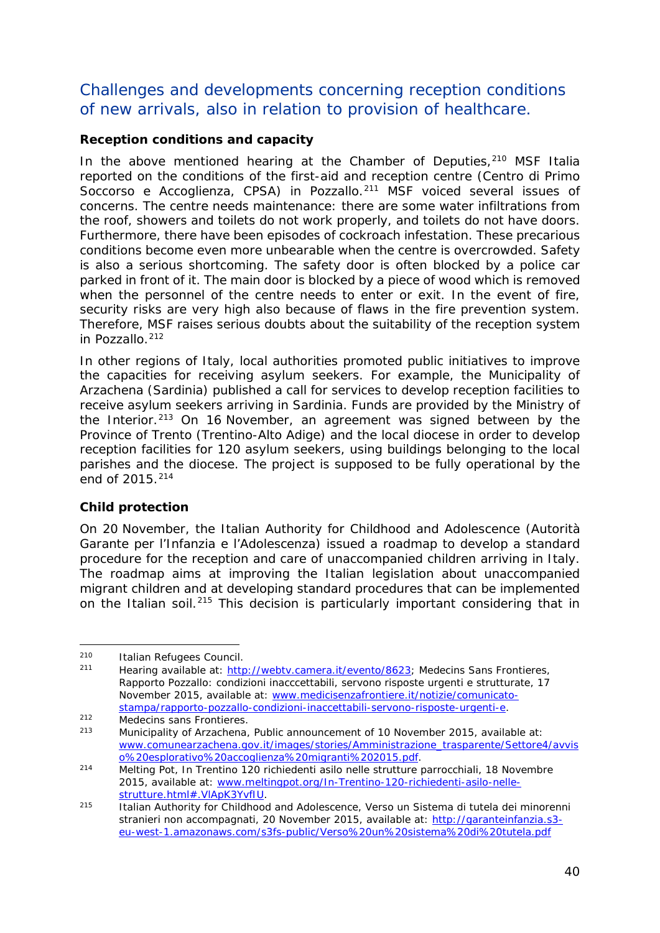### Challenges and developments concerning reception conditions of new arrivals, also in relation to provision of healthcare.

### **Reception conditions and capacity**

In the above mentioned hearing at the Chamber of Deputies, $210$  MSF Italia reported on the conditions of the first-aid and reception centre (*Centro di Primo Soccorso e Accoglienza*, CPSA) in Pozzallo.[211](#page-39-1) MSF voiced several issues of concerns. The centre needs maintenance: there are some water infiltrations from the roof, showers and toilets do not work properly, and toilets do not have doors. Furthermore, there have been episodes of cockroach infestation. These precarious conditions become even more unbearable when the centre is overcrowded. Safety is also a serious shortcoming. The safety door is often blocked by a police car parked in front of it. The main door is blocked by a piece of wood which is removed when the personnel of the centre needs to enter or exit. In the event of fire, security risks are very high also because of flaws in the fire prevention system. Therefore, MSF raises serious doubts about the suitability of the reception system in Pozzallo.<sup>[212](#page-39-2)</sup>

In other regions of Italy, local authorities promoted public initiatives to improve the capacities for receiving asylum seekers. For example, the Municipality of Arzachena (Sardinia) published a call for services to develop reception facilities to receive asylum seekers arriving in Sardinia. Funds are provided by the Ministry of the Interior.<sup>[213](#page-39-3)</sup> On 16 November, an agreement was signed between by the Province of Trento (Trentino-Alto Adige) and the local diocese in order to develop reception facilities for 120 asylum seekers, using buildings belonging to the local parishes and the diocese. The project is supposed to be fully operational by the end of  $2015.<sup>214</sup>$  $2015.<sup>214</sup>$  $2015.<sup>214</sup>$ 

### **Child protection**

-

On 20 November, the Italian Authority for Childhood and Adolescence (*Autorità Garante per l'Infanzia e l'Adolescenza*) issued a roadmap to develop a standard procedure for the reception and care of unaccompanied children arriving in Italy. The roadmap aims at improving the Italian legislation about unaccompanied migrant children and at developing standard procedures that can be implemented on the Italian soil.[215](#page-39-5) This decision is particularly important considering that in

<span id="page-39-1"></span><span id="page-39-0"></span><sup>&</sup>lt;sup>210</sup> Italian Refugees Council.<br><sup>211</sup> Hearing available at: [http://webtv.camera.it/evento/8623;](http://webtv.camera.it/evento/8623) Medecins Sans Frontieres, *Rapporto Pozzallo: condizioni inacccettabili, servono risposte urgenti e strutturate,* 17 November 2015, available at: [www.medicisenzafrontiere.it/notizie/comunicato](http://www.medicisenzafrontiere.it/notizie/comunicato-stampa/rapporto-pozzallo-condizioni-inaccettabili-servono-risposte-urgenti-e)[stampa/rapporto-pozzallo-condizioni-inaccettabili-servono-risposte-urgenti-e.](http://www.medicisenzafrontiere.it/notizie/comunicato-stampa/rapporto-pozzallo-condizioni-inaccettabili-servono-risposte-urgenti-e)<br>
Medecins sans Frontieres.<br>
Municipality of Arzochene. Public appeupement of 10 November 2015, availa

<span id="page-39-2"></span>

<span id="page-39-3"></span>Municipality of Arzachena, Public announcement of 10 November 2015, available at: [www.comunearzachena.gov.it/images/stories/Amministrazione\\_trasparente/Settore4/avvis](http://www.comunearzachena.gov.it/images/stories/Amministrazione_trasparente/Settore4/avviso%20esplorativo%20accoglienza%20migranti%202015.pdf)<br>0%20esplorativo%20accoglienza%20migranti%202015.pdf

<span id="page-39-4"></span><sup>&</sup>lt;sup>214</sup> Melting Pot, *In Trentino 120 richiedenti asilo nelle strutture parrocchiali,* 18 Novembre 2015, available at: [www.meltingpot.org/In-Trentino-120-richiedenti-asilo-nelle](http://www.meltingpot.org/In-Trentino-120-richiedenti-asilo-nelle-strutture.html%23.VlApK3YvfIU)[strutture.html#.VlApK3YvfIU.](http://www.meltingpot.org/In-Trentino-120-richiedenti-asilo-nelle-strutture.html%23.VlApK3YvfIU)

<span id="page-39-5"></span><sup>215</sup> Italian Authority for Childhood and Adolescence, *Verso un Sistema di tutela dei minorenni stranieri non accompagnati,* 20 November 2015, available at: [http://garanteinfanzia.s3](http://garanteinfanzia.s3-eu-west-1.amazonaws.com/s3fs-public/Verso%20un%20sistema%20di%20tutela.pdf) [eu-west-1.amazonaws.com/s3fs-public/Verso%20un%20sistema%20di%20tutela.pdf](http://garanteinfanzia.s3-eu-west-1.amazonaws.com/s3fs-public/Verso%20un%20sistema%20di%20tutela.pdf)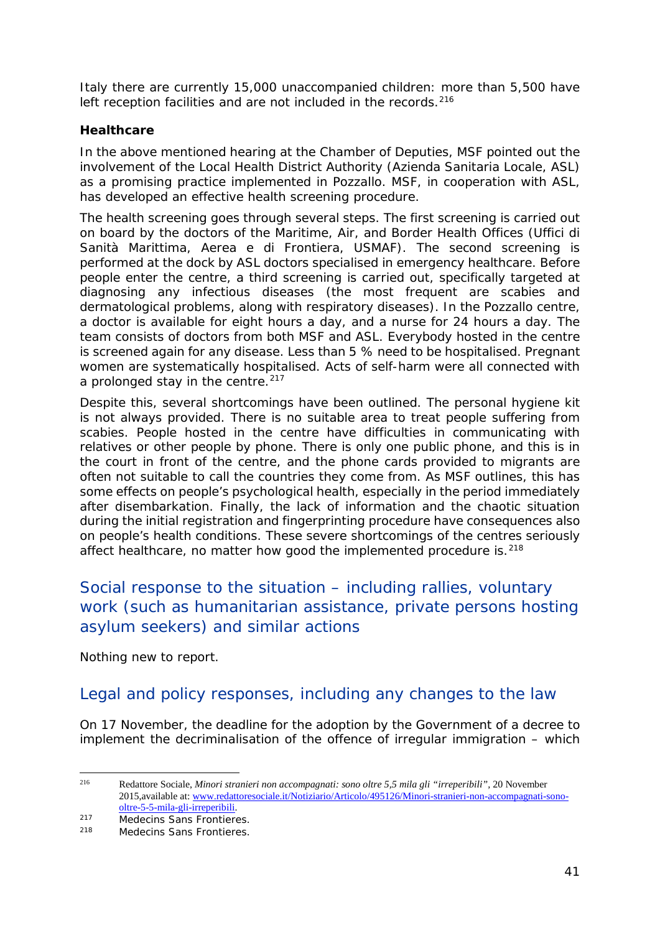Italy there are currently 15,000 unaccompanied children: more than 5,500 have left reception facilities and are not included in the records.<sup>[216](#page-40-0)</sup>

### **Healthcare**

In the above mentioned hearing at the Chamber of Deputies, MSF pointed out the involvement of the Local Health District Authority (*Azienda Sanitaria Locale*, ASL) as a promising practice implemented in Pozzallo. MSF, in cooperation with ASL, has developed an effective health screening procedure.

The health screening goes through several steps. The first screening is carried out on board by the doctors of the Maritime, Air, and Border Health Offices (*Uffici di Sanità Marittima, Aerea e di Frontiera*, USMAF). The second screening is performed at the dock by ASL doctors specialised in emergency healthcare. Before people enter the centre, a third screening is carried out, specifically targeted at diagnosing any infectious diseases (the most frequent are scabies and dermatological problems, along with respiratory diseases). In the Pozzallo centre, a doctor is available for eight hours a day, and a nurse for 24 hours a day. The team consists of doctors from both MSF and ASL. Everybody hosted in the centre is screened again for any disease. Less than 5 % need to be hospitalised. Pregnant women are systematically hospitalised. Acts of self-harm were all connected with a prolonged stay in the centre.<sup>217</sup>

Despite this, several shortcomings have been outlined. The personal hygiene kit is not always provided. There is no suitable area to treat people suffering from scabies. People hosted in the centre have difficulties in communicating with relatives or other people by phone. There is only one public phone, and this is in the court in front of the centre, and the phone cards provided to migrants are often not suitable to call the countries they come from. As MSF outlines, this has some effects on people's psychological health, especially in the period immediately after disembarkation. Finally, the lack of information and the chaotic situation during the initial registration and fingerprinting procedure have consequences also on people's health conditions. These severe shortcomings of the centres seriously affect healthcare, no matter how good the implemented procedure is.<sup>[218](#page-40-2)</sup>

### Social response to the situation – including rallies, voluntary work (such as humanitarian assistance, private persons hosting asylum seekers) and similar actions

Nothing new to report.

### Legal and policy responses, including any changes to the law

On 17 November, the deadline for the adoption by the Government of a decree to implement the decriminalisation of the offence of irregular immigration – which

<span id="page-40-0"></span><sup>216</sup> Redattore Sociale, *Minori stranieri non accompagnati: sono oltre 5,5 mila gli "irreperibili"*, 20 November 2015,available at[: www.redattoresociale.it/Notiziario/Articolo/495126/Minori-stranieri-non-accompagnati-sono](http://www.redattoresociale.it/Notiziario/Articolo/495126/Minori-stranieri-non-accompagnati-sono-oltre-5-5-mila-gli-irreperibili)[oltre-5-5-mila-gli-irreperibili.](http://www.redattoresociale.it/Notiziario/Articolo/495126/Minori-stranieri-non-accompagnati-sono-oltre-5-5-mila-gli-irreperibili)

<span id="page-40-1"></span><sup>217</sup> Medecins Sans Frontieres.<br>218 Medecins Sans Frontieres.

<span id="page-40-2"></span>Medecins Sans Frontieres.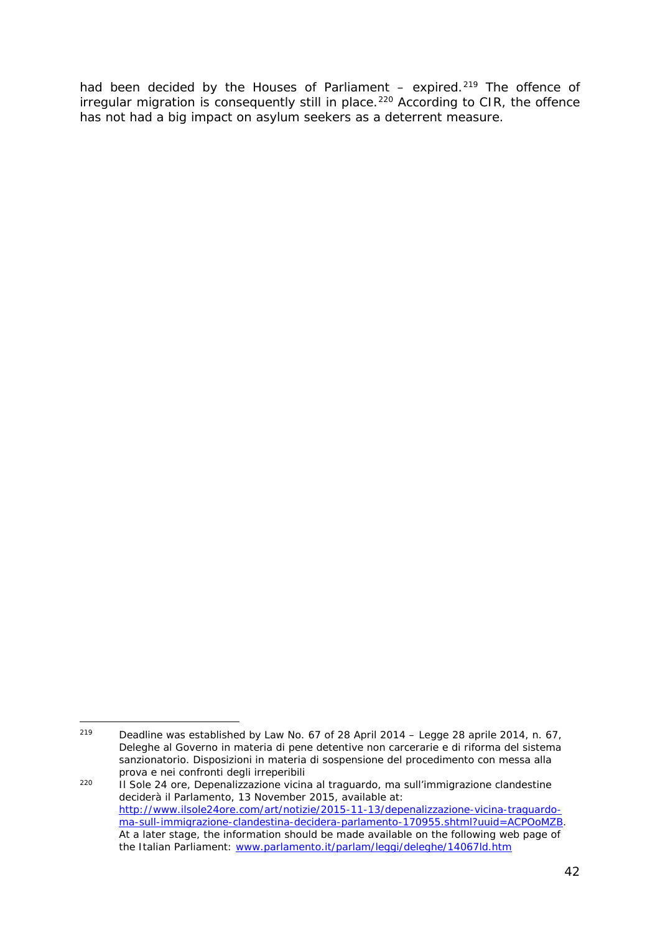had been decided by the Houses of Parliament  $-$  expired.<sup>[219](#page-41-0)</sup> The offence of  $irregular migration is consequently still in place.<sup>220</sup> According to CIR, the office$  $irregular migration is consequently still in place.<sup>220</sup> According to CIR, the office$  $irregular migration is consequently still in place.<sup>220</sup> According to CIR, the office$ has not had a big impact on asylum seekers as a deterrent measure.

<span id="page-41-0"></span><sup>219</sup> <sup>219</sup> Deadline was established by Law No. 67 of 28 April 2014 – *Legge 28 aprile 2014, n. 67, Deleghe al Governo in materia di pene detentive non carcerarie e di riforma del sistema sanzionatorio. Disposizioni in materia di sospensione del procedimento con messa alla prova e nei confronti degli irreperibili*

<span id="page-41-1"></span><sup>220</sup> Il Sole 24 ore, *Depenalizzazione vicina al traguardo, ma sull'immigrazione clandestine deciderà il Parlamento,* 13 November 2015, available at: [http://www.ilsole24ore.com/art/notizie/2015-11-13/depenalizzazione-vicina-traguardo](http://www.ilsole24ore.com/art/notizie/2015-11-13/depenalizzazione-vicina-traguardo-ma-sull-immigrazione-clandestina-decidera-parlamento-170955.shtml?uuid=ACPOoMZB)[ma-sull-immigrazione-clandestina-decidera-parlamento-170955.shtml?uuid=ACPOoMZB.](http://www.ilsole24ore.com/art/notizie/2015-11-13/depenalizzazione-vicina-traguardo-ma-sull-immigrazione-clandestina-decidera-parlamento-170955.shtml?uuid=ACPOoMZB) At a later stage, the information should be made available on the following web page of the Italian Parliament: [www.parlamento.it/parlam/leggi/deleghe/14067ld.htm](http://www.parlamento.it/parlam/leggi/deleghe/14067ld.htm)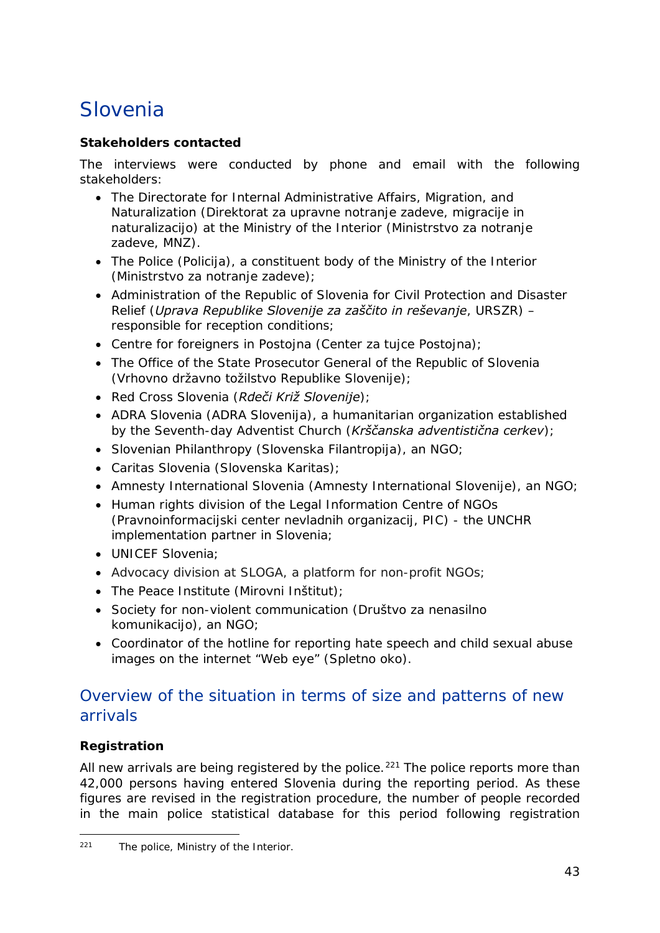## <span id="page-42-0"></span>Slovenia

### **Stakeholders contacted**

The interviews were conducted by phone and email with the following stakeholders:

- The Directorate for Internal Administrative Affairs, Migration, and Naturalization (*Direktorat za upravne notranje zadeve, migracije in naturalizacijo*) at the Ministry of the Interior (*Ministrstvo za notranje zadeve*, *MNZ*).
- The Police (*Policija*), a constituent body of the Ministry of the Interior (*Ministrstvo za notranje zadeve*);
- Administration of the Republic of Slovenia for Civil Protection and Disaster Relief (*Uprava Republike Slovenije za zaščito in reševanje*, *URSZR*) – responsible for reception conditions;
- Centre for foreigners in Postojna (*Center za tujce Postojna*);
- The Office of the State Prosecutor General of the Republic of Slovenia (*Vrhovno državno tožilstvo Republike Slovenije*);
- Red Cross Slovenia (*Rdeči Križ Slovenije*);
- ADRA Slovenia (*ADRA Slovenija*), a humanitarian organization established by the Seventh-day Adventist Church (*Krščanska adventistična cerkev*);
- Slovenian Philanthropy (*Slovenska Filantropija*), an NGO;
- Caritas Slovenia (Slovenska Karitas);
- Amnesty International Slovenia (*Amnesty International Slovenije*), an NGO;
- Human rights division of the Legal Information Centre of NGOs (*Pravnoinformacijski center nevladnih organizacij, PIC*) - the UNCHR implementation partner in Slovenia;
- UNICEF Slovenia;
- Advocacy division at SLOGA, a platform for non-profit NGOs;
- The Peace Institute (*Mirovni Inštitut*);
- Society for non-violent communication (*Društvo za nenasilno komunikacijo*), an NGO;
- Coordinator of the hotline for reporting hate speech and child sexual abuse images on the internet "Web eye" (*Spletno oko*).

### Overview of the situation in terms of size and patterns of new arrivals

### **Registration**

All new arrivals are being registered by the police.<sup>[221](#page-42-1)</sup> The police reports more than 42,000 persons having entered Slovenia during the reporting period. As these figures are revised in the registration procedure, the number of people recorded in the main police statistical database for this period following registration

<span id="page-42-1"></span> $221$ The police, Ministry of the Interior.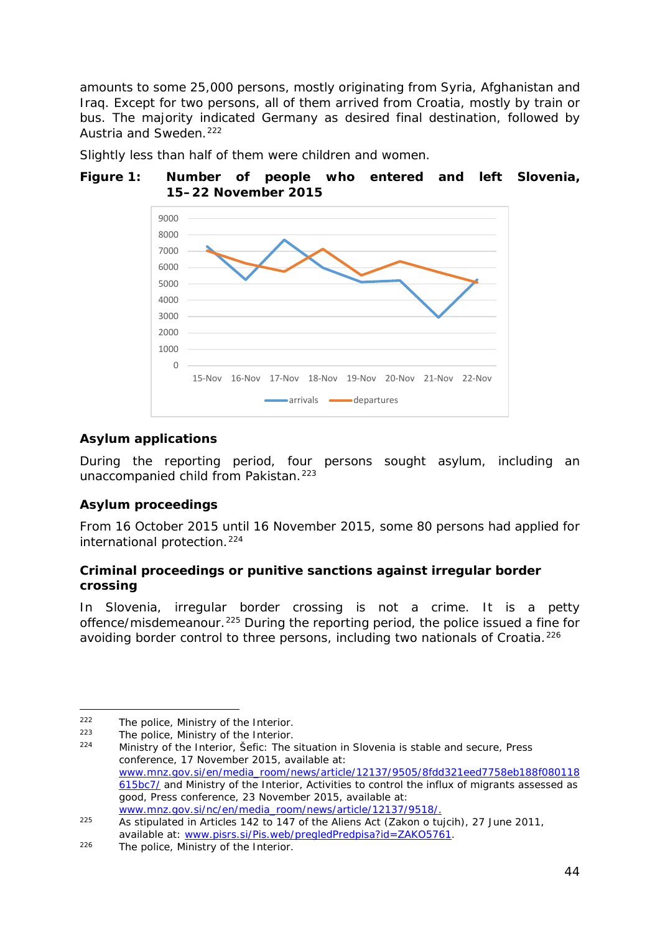amounts to some 25,000 persons, mostly originating from Syria, Afghanistan and Iraq. Except for two persons, all of them arrived from Croatia, mostly by train or bus. The majority indicated Germany as desired final destination, followed by Austria and Sweden.<sup>[222](#page-43-0)</sup>

Slightly less than half of them were children and women.

#### **Figure 1: Number of people who entered and left Slovenia, 15–22 November 2015**



### **Asylum applications**

During the reporting period, four persons sought asylum, including an unaccompanied child from Pakistan.<sup>[223](#page-43-1)</sup>

### **Asylum proceedings**

From 16 October 2015 until 16 November 2015, some 80 persons had applied for international protection.<sup>[224](#page-43-2)</sup>

### **Criminal proceedings or punitive sanctions against irregular border crossing**

In Slovenia, irregular border crossing is not a crime. It is a petty offence/misdemeanour.[225](#page-43-3) During the reporting period, the police issued a fine for avoiding border control to three persons, including two nationals of Croatia.<sup>[226](#page-43-4)</sup>

<span id="page-43-0"></span> $222$  $222$  The police, Ministry of the Interior.<br> $223$  The police, Ministry of the Interior.

<span id="page-43-1"></span><sup>&</sup>lt;sup>223</sup> The police, Ministry of the Interior.

<span id="page-43-2"></span><sup>224</sup> Ministry of the Interior, *Šefic: The situation in Slovenia is stable and secure*, Press conference, 17 November 2015, available at: [www.mnz.gov.si/en/media\\_room/news/article/12137/9505/8fdd321eed7758eb188f080118](http://www.mnz.gov.si/en/media_room/news/article/12137/9505/8fdd321eed7758eb188f080118615bc7/) [615bc7/](http://www.mnz.gov.si/en/media_room/news/article/12137/9505/8fdd321eed7758eb188f080118615bc7/) and Ministry of the Interior, *Activities to control the influx of migrants assessed as good*, Press conference, 23 November 2015, available at: [www.mnz.gov.si/nc/en/media\\_room/news/article/12137/9518/.](http://www.mnz.gov.si/nc/en/media_room/news/article/12137/9518/)

<span id="page-43-3"></span><sup>225</sup> As stipulated in Articles 142 to 147 of the Aliens Act (*Zakon o tujcih*), 27 June 2011, available at: [www.pisrs.si/Pis.web/pregledPredpisa?id=ZAKO5761.](http://www.pisrs.si/Pis.web/pregledPredpisa?id=ZAKO5761)

<span id="page-43-4"></span><sup>226</sup> The police, Ministry of the Interior.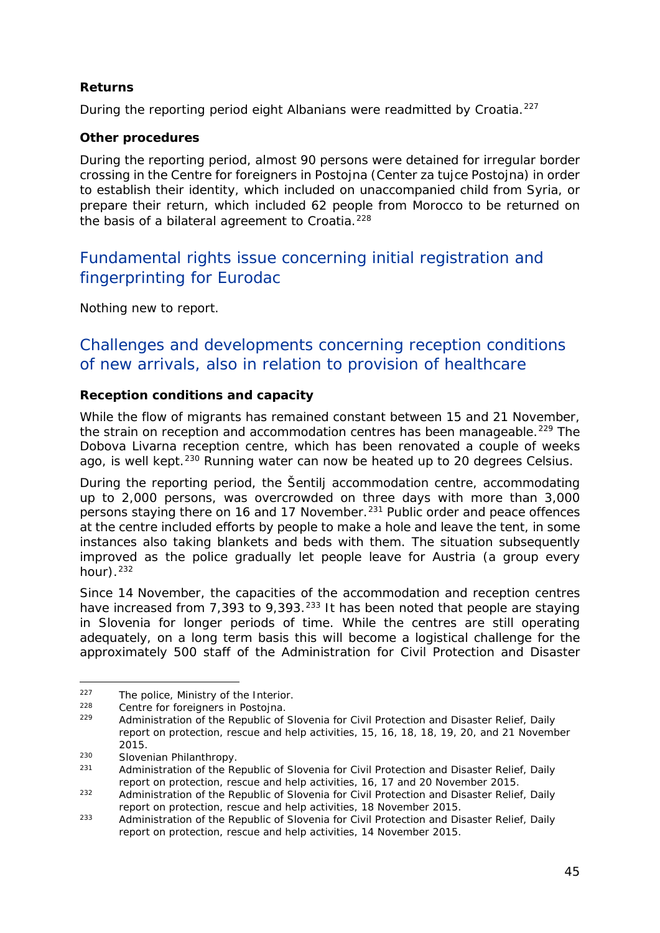### **Returns**

During the reporting period eight Albanians were readmitted by Croatia.<sup>[227](#page-44-0)</sup>

### **Other procedures**

During the reporting period, almost 90 persons were detained for irregular border crossing in the Centre for foreigners in Postojna (*Center za tujce Postojna*) in order to establish their identity, which included on unaccompanied child from Syria, or prepare their return, which included 62 people from Morocco to be returned on the basis of a bilateral agreement to Croatia.<sup>[228](#page-44-1)</sup>

### Fundamental rights issue concerning initial registration and fingerprinting for Eurodac

Nothing new to report.

### Challenges and developments concerning reception conditions of new arrivals, also in relation to provision of healthcare

### **Reception conditions and capacity**

While the flow of migrants has remained constant between 15 and 21 November, the strain on reception and accommodation centres has been manageable.<sup>[229](#page-44-2)</sup> The Dobova Livarna reception centre, which has been renovated a couple of weeks ago, is well kept.<sup>[230](#page-44-3)</sup> Running water can now be heated up to 20 degrees Celsius.

During the reporting period, the Šentilj accommodation centre, accommodating up to 2,000 persons, was overcrowded on three days with more than 3,000 persons staying there on 16 and 17 November.<sup>[231](#page-44-4)</sup> Public order and peace offences at the centre included efforts by people to make a hole and leave the tent, in some instances also taking blankets and beds with them. The situation subsequently improved as the police gradually let people leave for Austria (a group every hour $)$ .  $^{232}$  $^{232}$  $^{232}$ 

Since 14 November, the capacities of the accommodation and reception centres have increased from 7,393 to 9,393.<sup>[233](#page-44-6)</sup> It has been noted that people are staying in Slovenia for longer periods of time. While the centres are still operating adequately, on a long term basis this will become a logistical challenge for the approximately 500 staff of the Administration for Civil Protection and Disaster

<span id="page-44-0"></span> $227$  The police, Ministry of the Interior.<br> $228$  Centre for foreigners in Dectains.

<span id="page-44-2"></span><span id="page-44-1"></span> $228$  Centre for foreigners in Postojna.<br> $229$  Administration of the Republic of

<sup>229</sup> Administration of the Republic of Slovenia for Civil Protection and Disaster Relief, *Daily report on protection, rescue and help activities*, 15, 16, 18, 18, 19, 20, and 21 November 2015.

<span id="page-44-3"></span><sup>&</sup>lt;sup>230</sup> Slovenian Philanthropy.<br> $231$  Administration of the Pe

<span id="page-44-4"></span><sup>231</sup> Administration of the Republic of Slovenia for Civil Protection and Disaster Relief, *Daily report on protection, rescue and help activities*, 16, 17 and 20 November 2015.

<span id="page-44-5"></span><sup>232</sup> Administration of the Republic of Slovenia for Civil Protection and Disaster Relief, *Daily report on protection, rescue and help activities*, 18 November 2015.

<span id="page-44-6"></span><sup>233</sup> Administration of the Republic of Slovenia for Civil Protection and Disaster Relief, *Daily report on protection, rescue and help activities*, 14 November 2015.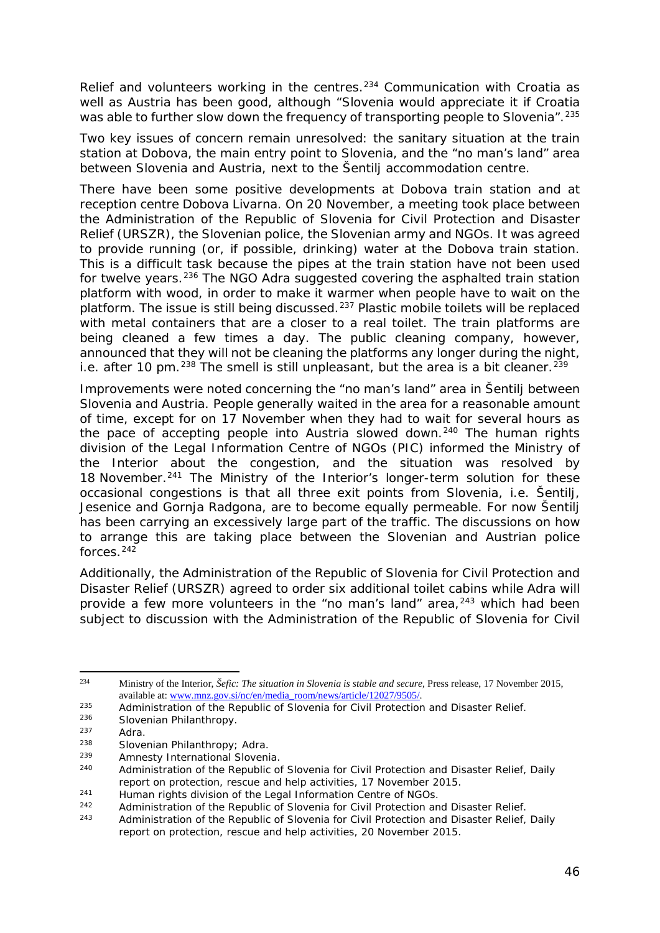Relief and volunteers working in the centres.<sup>[234](#page-45-0)</sup> Communication with Croatia as well as Austria has been good, although "Slovenia would appreciate it if Croatia was able to further slow down the frequency of transporting people to Slovenia". <sup>[235](#page-45-1)</sup>

Two key issues of concern remain unresolved: the sanitary situation at the train station at Dobova, the main entry point to Slovenia, and the "no man's land" area between Slovenia and Austria, next to the Šentilj accommodation centre.

There have been some positive developments at Dobova train station and at reception centre Dobova Livarna. On 20 November, a meeting took place between the Administration of the Republic of Slovenia for Civil Protection and Disaster Relief (*URSZR*), the Slovenian police, the Slovenian army and NGOs. It was agreed to provide running (or, if possible, drinking) water at the Dobova train station. This is a difficult task because the pipes at the train station have not been used for twelve years.<sup>[236](#page-45-2)</sup> The NGO Adra suggested covering the asphalted train station platform with wood, in order to make it warmer when people have to wait on the platform. The issue is still being discussed.<sup>[237](#page-45-3)</sup> Plastic mobile toilets will be replaced with metal containers that are a closer to a real toilet. The train platforms are being cleaned a few times a day. The public cleaning company, however, announced that they will not be cleaning the platforms any longer during the night, i.e. after 10 pm. $^{238}$  $^{238}$  $^{238}$  The smell is still unpleasant, but the area is a bit cleaner. $^{239}$  $^{239}$  $^{239}$ 

Improvements were noted concerning the "no man's land" area in Šentilj between Slovenia and Austria. People generally waited in the area for a reasonable amount of time, except for on 17 November when they had to wait for several hours as the pace of accepting people into Austria slowed down.<sup>[240](#page-45-6)</sup> The human rights division of the Legal Information Centre of NGOs (*PIC*) informed the Ministry of the Interior about the congestion, and the situation was resolved by 18 November.<sup>[241](#page-45-7)</sup> The Ministry of the Interior's longer-term solution for these occasional congestions is that all three exit points from Slovenia, i.e. Šentilj, Jesenice and Gornja Radgona, are to become equally permeable. For now Šentilj has been carrying an excessively large part of the traffic. The discussions on how to arrange this are taking place between the Slovenian and Austrian police forces.[242](#page-45-8)

Additionally, the Administration of the Republic of Slovenia for Civil Protection and Disaster Relief (*URSZR*) agreed to order six additional toilet cabins while Adra will provide a few more volunteers in the "no man's land" area, $243$  which had been subject to discussion with the Administration of the Republic of Slovenia for Civil

<span id="page-45-0"></span><sup>234</sup> <sup>234</sup> Ministry of the Interior, *Šefic: The situation in Slovenia is stable and secure,* Press release, 17 November 2015, available at[: www.mnz.gov.si/nc/en/media\\_room/news/article/12027/9505/.](http://www.mnz.gov.si/nc/en/media_room/news/article/12027/9505/)

<span id="page-45-1"></span><sup>&</sup>lt;sup>235</sup> Administration of the Republic of Slovenia for Civil Protection and Disaster Relief.

<span id="page-45-2"></span><sup>236</sup> Slovenian Philanthropy.

<span id="page-45-3"></span> $237$  Adra.<br> $238$  Slove

<span id="page-45-4"></span><sup>&</sup>lt;sup>238</sup> Slovenian Philanthropy; Adra.<br><sup>239</sup> Amnesty International Sloveni

<span id="page-45-5"></span><sup>&</sup>lt;sup>239</sup> Amnesty International Slovenia.<br>240 Administration of the Penublic of

<span id="page-45-6"></span><sup>240</sup> Administration of the Republic of Slovenia for Civil Protection and Disaster Relief, *Daily report on protection, rescue and help activities*, 17 November 2015.

<span id="page-45-7"></span><sup>&</sup>lt;sup>241</sup> Human rights division of the Legal Information Centre of NGOs.<br>242 **Administration of the Republic of Slovenia for Civil Protection and** 

<span id="page-45-8"></span> $242$  Administration of the Republic of Slovenia for Civil Protection and Disaster Relief.<br>
Administration of the Republic of Slovenia for Civil Protection and Disaster Relief

<span id="page-45-9"></span><sup>243</sup> Administration of the Republic of Slovenia for Civil Protection and Disaster Relief, *Daily report on protection, rescue and help activities*, 20 November 2015.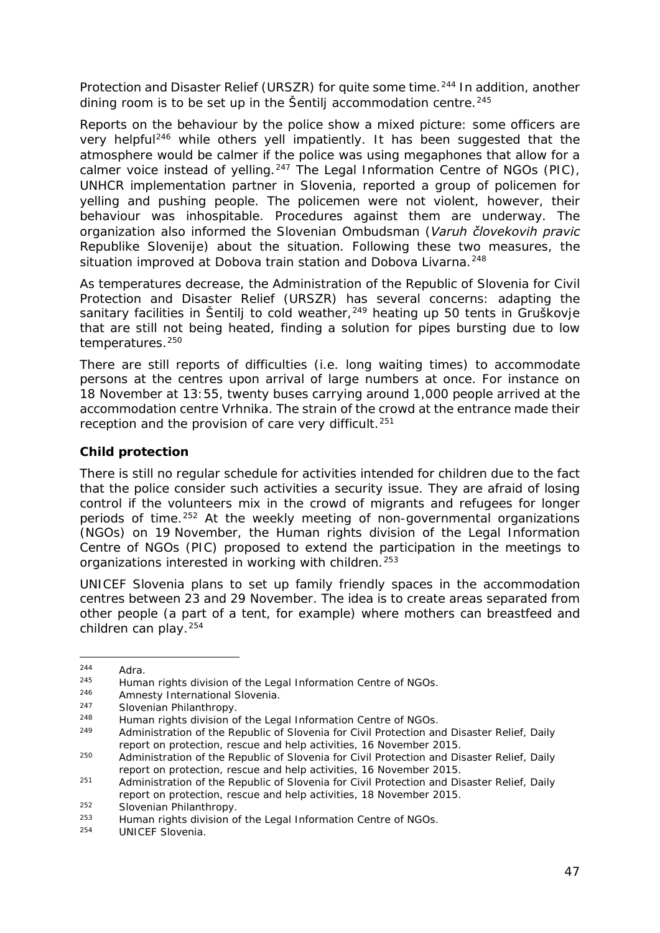Protection and Disaster Relief (URSZR) for quite some time.<sup>[244](#page-46-0)</sup> In addition, another dining room is to be set up in the Šentilj accommodation centre. $245$ 

Reports on the behaviour by the police show a mixed picture: some officers are very helpful<sup>[246](#page-46-2)</sup> while others yell impatiently. It has been suggested that the atmosphere would be calmer if the police was using megaphones that allow for a calmer voice instead of yelling.[247](#page-46-3) The Legal Information Centre of NGOs (*PIC*), UNHCR implementation partner in Slovenia, reported a group of policemen for yelling and pushing people. The policemen were not violent, however, their behaviour was inhospitable. Procedures against them are underway. The organization also informed the Slovenian Ombudsman (*Varuh človekovih pravic Republike Slovenije*) about the situation. Following these two measures, the situation improved at Dobova train station and Dobova Livarna.<sup>[248](#page-46-4)</sup>

As temperatures decrease, the Administration of the Republic of Slovenia for Civil Protection and Disaster Relief (*URSZR*) has several concerns: adapting the sanitary facilities in Šentilj to cold weather,<sup>[249](#page-46-5)</sup> heating up 50 tents in Gruškovje that are still not being heated, finding a solution for pipes bursting due to low temperatures.<sup>[250](#page-46-6)</sup>

There are still reports of difficulties (i.e. long waiting times) to accommodate persons at the centres upon arrival of large numbers at once. For instance on 18 November at 13:55, twenty buses carrying around 1,000 people arrived at the accommodation centre Vrhnika. The strain of the crowd at the entrance made their reception and the provision of care very difficult.<sup>[251](#page-46-7)</sup>

### **Child protection**

There is still no regular schedule for activities intended for children due to the fact that the police consider such activities a security issue. They are afraid of losing control if the volunteers mix in the crowd of migrants and refugees for longer periods of time.[252](#page-46-8) At the weekly meeting of non-governmental organizations (NGOs) on 19 November, the Human rights division of the Legal Information Centre of NGOs (*PIC*) proposed to extend the participation in the meetings to organizations interested in working with children.<sup>[253](#page-46-9)</sup>

UNICEF Slovenia plans to set up family friendly spaces in the accommodation centres between 23 and 29 November. The idea is to create areas separated from other people (a part of a tent, for example) where mothers can breastfeed and children can play.[254](#page-46-10)

<span id="page-46-0"></span> $244$  Adra.<br> $245$  Huma

<span id="page-46-1"></span><sup>&</sup>lt;sup>245</sup> Human rights division of the Legal Information Centre of NGOs.<br><sup>246</sup> Ampesty International Slovenia

Amnesty International Slovenia.

<span id="page-46-3"></span><span id="page-46-2"></span><sup>247</sup> Slovenian Philanthropy.

<span id="page-46-4"></span><sup>&</sup>lt;sup>248</sup> Human rights division of the Legal Information Centre of NGOs.

<span id="page-46-5"></span><sup>249</sup> Administration of the Republic of Slovenia for Civil Protection and Disaster Relief, *Daily report on protection, rescue and help activities*, 16 November 2015.

<span id="page-46-6"></span><sup>250</sup> Administration of the Republic of Slovenia for Civil Protection and Disaster Relief, *Daily report on protection, rescue and help activities*, 16 November 2015.

<span id="page-46-7"></span><sup>251</sup> Administration of the Republic of Slovenia for Civil Protection and Disaster Relief, *Daily report on protection, rescue and help activities*, 18 November 2015.

<span id="page-46-8"></span> $\frac{252}{253}$  Slovenian Philanthropy.

<span id="page-46-10"></span><span id="page-46-9"></span><sup>&</sup>lt;sup>253</sup> Human rights division of the Legal Information Centre of NGOs.<br><sup>254</sup> HUNICEE Slovenia

UNICEF Slovenia.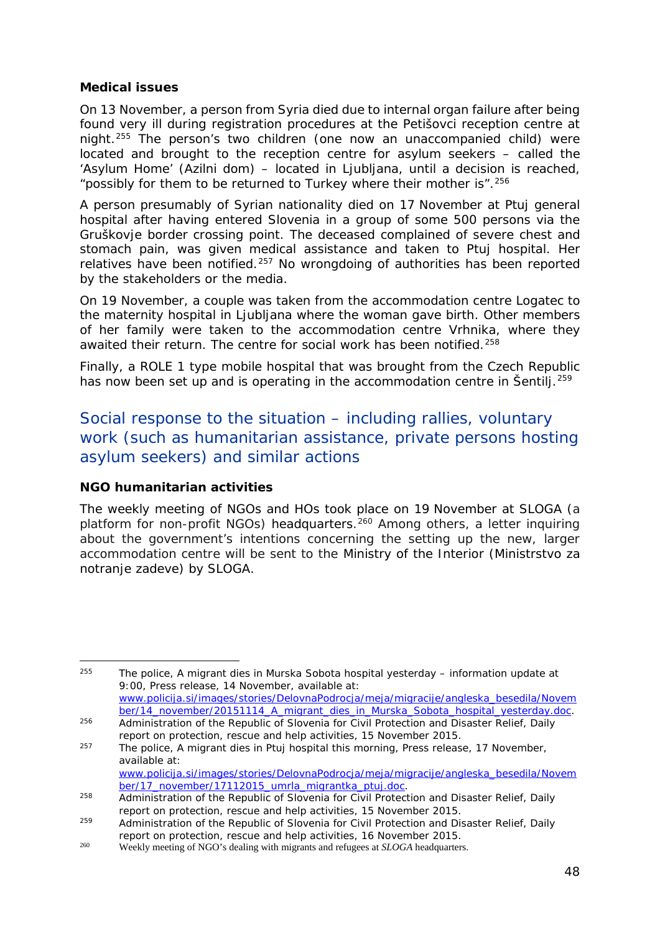#### **Medical issues**

On 13 November, a person from Syria died due to internal organ failure after being found very ill during registration procedures at the Petišovci reception centre at night.[255](#page-47-0) The person's two children (one now an unaccompanied child) were located and brought to the reception centre for asylum seekers – called the 'Asylum Home' (*Azilni dom*) – located in Ljubljana, until a decision is reached, "possibly for them to be returned to Turkey where their mother is".  $256$ 

A person presumably of Syrian nationality died on 17 November at Ptuj general hospital after having entered Slovenia in a group of some 500 persons via the Gruškovje border crossing point. The deceased complained of severe chest and stomach pain, was given medical assistance and taken to Ptuj hospital. Her relatives have been notified.<sup>[257](#page-47-2)</sup> No wrongdoing of authorities has been reported by the stakeholders or the media.

On 19 November, a couple was taken from the accommodation centre Logatec to the maternity hospital in Ljubljana where the woman gave birth. Other members of her family were taken to the accommodation centre Vrhnika, where they awaited their return. The centre for social work has been notified.<sup>[258](#page-47-3)</sup>

Finally, a ROLE 1 type mobile hospital that was brought from the Czech Republic has now been set up and is operating in the accommodation centre in Šentilj.<sup>[259](#page-47-4)</sup>

Social response to the situation – including rallies, voluntary work (such as humanitarian assistance, private persons hosting asylum seekers) and similar actions

### **NGO humanitarian activities**

The weekly meeting of NGOs and HOs took place on 19 November at *SLOGA* (a platform for non-profit NGOs) headquarters.<sup>[260](#page-47-5)</sup> Among others, a letter inquiring about the government's intentions concerning the setting up the new, larger accommodation centre will be sent to the Ministry of the Interior (*Ministrstvo za notranje zadeve*) by *SLOGA*.

<span id="page-47-0"></span>255 <sup>255</sup> The police, *A migrant dies in Murska Sobota hospital yesterday – information update at 9:00*, Press release, 14 November, available at: [www.policija.si/images/stories/DelovnaPodrocja/meja/migracije/angleska\\_besedila/Novem](http://www.policija.si/images/stories/DelovnaPodrocja/meja/migracije/angleska_besedila/November/14_november/20151114_A_migrant_dies_in_Murska_Sobota_hospital_yesterday.doc) [ber/14\\_november/20151114\\_A\\_migrant\\_dies\\_in\\_Murska\\_Sobota\\_hospital\\_yesterday.doc.](http://www.policija.si/images/stories/DelovnaPodrocja/meja/migracije/angleska_besedila/November/14_november/20151114_A_migrant_dies_in_Murska_Sobota_hospital_yesterday.doc) <sup>256</sup> Administration of the Republic of Slovenia for Civil Protection and Disaster Relief, *Daily* 

<span id="page-47-2"></span><span id="page-47-1"></span>*report on protection, rescue and help activities*, 15 November 2015. <sup>257</sup> The police, *A migrant dies in Ptuj hospital this morning,* Press release, 17 November, available at:

[www.policija.si/images/stories/DelovnaPodrocja/meja/migracije/angleska\\_besedila/Novem](http://www.policija.si/images/stories/DelovnaPodrocja/meja/migracije/angleska_besedila/November/17_november/17112015_umrla_migrantka_ptuj.doc) [ber/17\\_november/17112015\\_umrla\\_migrantka\\_ptuj.doc.](http://www.policija.si/images/stories/DelovnaPodrocja/meja/migracije/angleska_besedila/November/17_november/17112015_umrla_migrantka_ptuj.doc)

<span id="page-47-3"></span><sup>258</sup> Administration of the Republic of Slovenia for Civil Protection and Disaster Relief, *Daily report on protection, rescue and help activities*, 15 November 2015.

<span id="page-47-4"></span><sup>259</sup> Administration of the Republic of Slovenia for Civil Protection and Disaster Relief, *Daily report on protection, rescue and help activities*, 16 November 2015.

<span id="page-47-5"></span><sup>&</sup>lt;sup>260</sup> Weekly meeting of NGO's dealing with migrants and refugees at *SLOGA* headquarters.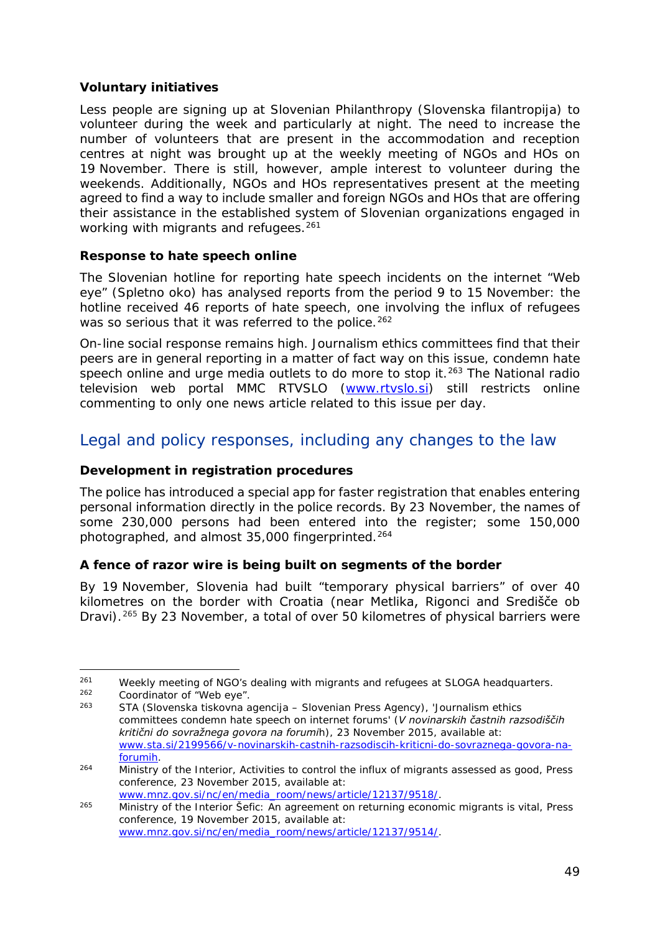### **Voluntary initiatives**

Less people are signing up at Slovenian Philanthropy (*Slovenska filantropija*) to volunteer during the week and particularly at night. The need to increase the number of volunteers that are present in the accommodation and reception centres at night was brought up at the weekly meeting of NGOs and HOs on 19 November. There is still, however, ample interest to volunteer during the weekends. Additionally, NGOs and HOs representatives present at the meeting agreed to find a way to include smaller and foreign NGOs and HOs that are offering their assistance in the established system of Slovenian organizations engaged in working with migrants and refugees.<sup>[261](#page-48-0)</sup>

### **Response to hate speech online**

The Slovenian hotline for reporting hate speech incidents on the internet "Web eye" (*Spletno oko*) has analysed reports from the period 9 to 15 November: the hotline received 46 reports of hate speech, one involving the influx of refugees was so serious that it was referred to the police.<sup>[262](#page-48-1)</sup>

On-line social response remains high. Journalism ethics committees find that their peers are in general reporting in a matter of fact way on this issue, condemn hate speech online and urge media outlets to do more to stop it.<sup>[263](#page-48-2)</sup> The National radio television web portal MMC RTVSLO [\(www.rtvslo.si\)](http://www.rtvslo.si/) still restricts online commenting to only one news article related to this issue per day.

### Legal and policy responses, including any changes to the law

### **Development in registration procedures**

The police has introduced a special app for faster registration that enables entering personal information directly in the police records. By 23 November, the names of some 230,000 persons had been entered into the register; some 150,000 photographed, and almost 35,000 fingerprinted.<sup>[264](#page-48-3)</sup>

### **A fence of razor wire is being built on segments of the border**

By 19 November, Slovenia had built "temporary physical barriers" of over 40 kilometres on the border with Croatia (near Metlika, Rigonci and Središče ob Dravi).[265](#page-48-4) By 23 November, a total of over 50 kilometres of physical barriers were

<span id="page-48-0"></span>j, <sup>261</sup> Weekly meeting of NGO's dealing with migrants and refugees at *SLOGA* headquarters. Coordinator of "Web eye".

<span id="page-48-2"></span><span id="page-48-1"></span><sup>263</sup> STA (Slovenska tiskovna agencija – Slovenian Press Agency), 'Journalism ethics committees condemn hate speech on internet forums' (*V novinarskih častnih razsodiščih kritični do sovražnega govora na forumih*), 23 November 2015, available at: [www.sta.si/2199566/v-novinarskih-castnih-razsodiscih-kriticni-do-sovraznega-govora-na](http://www.sta.si/2199566/v-novinarskih-castnih-razsodiscih-kriticni-do-sovraznega-govora-na-forumih)[forumih.](http://www.sta.si/2199566/v-novinarskih-castnih-razsodiscih-kriticni-do-sovraznega-govora-na-forumih)

<span id="page-48-3"></span><sup>264</sup> Ministry of the Interior, *Activities to control the influx of migrants assessed as good*, Press conference, 23 November 2015, available at: [www.mnz.gov.si/nc/en/media\\_room/news/article/12137/9518/.](http://www.mnz.gov.si/nc/en/media_room/news/article/12137/9518/)

<span id="page-48-4"></span><sup>265</sup> Ministry of the Interior *Šefic: An agreement on returning economic migrants is vital*, Press conference, 19 November 2015, available at: [www.mnz.gov.si/nc/en/media\\_room/news/article/12137/9514/.](http://www.mnz.gov.si/nc/en/media_room/news/article/12137/9514/)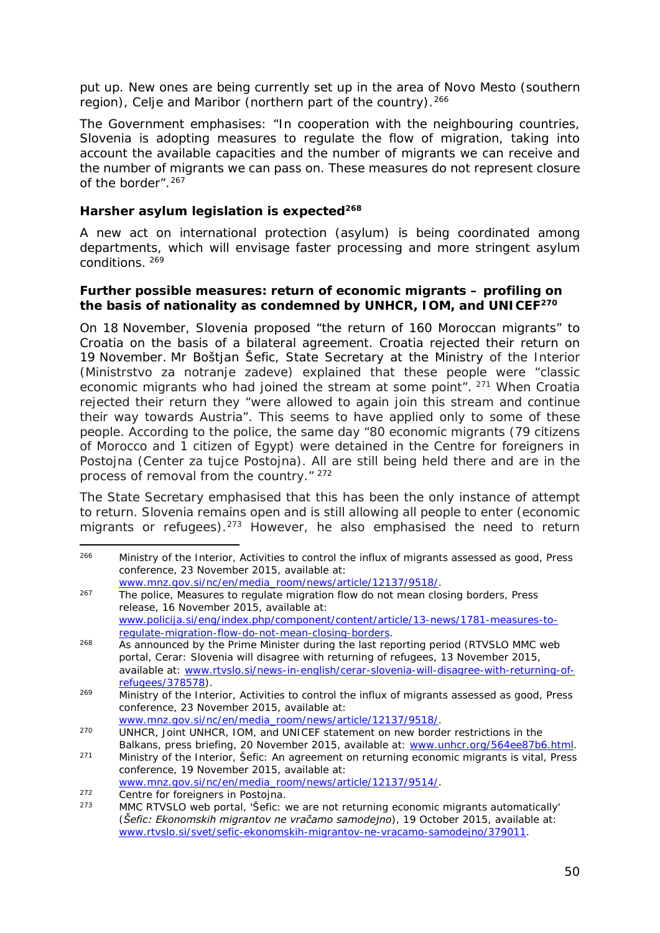put up. New ones are being currently set up in the area of Novo Mesto (southern region), Celje and Maribor (northern part of the country).<sup>[266](#page-49-0)</sup>

The Government emphasises: "In cooperation with the neighbouring countries, Slovenia is adopting measures to regulate the flow of migration, taking into account the available capacities and the number of migrants we can receive and the number of migrants we can pass on. These measures do not represent closure of the border".<sup>[267](#page-49-1)</sup>

#### **Harsher asylum legislation is expected[268](#page-49-2)**

A new act on international protection (asylum) is being coordinated among departments, which will envisage faster processing and more stringent asylum conditions. [269](#page-49-3)

#### **Further possible measures: return of economic migrants – profiling on the basis of nationality as condemned by UNHCR, IOM, and UNICEF[270](#page-49-4)**

On 18 November, Slovenia proposed "the return of 160 Moroccan migrants" to Croatia on the basis of a bilateral agreement. Croatia rejected their return on 19 November. Mr Boštjan Šefic, State Secretary at the Ministry of the Interior (*Ministrstvo za notranje zadeve*) explained that these people were "classic economic migrants who had joined the stream at some point". <sup>[271](#page-49-5)</sup> When Croatia rejected their return they "were allowed to again join this stream and continue their way towards Austria". This seems to have applied only to some of these people. According to the police, the same day "80 economic migrants (79 citizens of Morocco and 1 citizen of Egypt) were detained in the Centre for foreigners in Postojna (*Center za tujce Postojna*). All are still being held there and are in the process of removal from the country." 272

The State Secretary emphasised that this has been the only instance of attempt to return. Slovenia remains open and is still allowing all people to enter (economic migrants or refugees).<sup>[273](#page-49-7)</sup> However, he also emphasised the need to return

<span id="page-49-0"></span>-<sup>266</sup> Ministry of the Interior, *Activities to control the influx of migrants assessed as good*, Press conference, 23 November 2015, available at:

<span id="page-49-1"></span>[www.mnz.gov.si/nc/en/media\\_room/news/article/12137/9518/.](http://www.mnz.gov.si/nc/en/media_room/news/article/12137/9518/) <sup>267</sup> The police, *Measures to regulate migration flow do not mean closing borders*, Press release, 16 November 2015, available at: [www.policija.si/eng/index.php/component/content/article/13-news/1781-measures-to](http://www.policija.si/eng/index.php/component/content/article/13-news/1781-measures-to-regulate-migration-flow-do-not-mean-closing-borders)[regulate-migration-flow-do-not-mean-closing-borders.](http://www.policija.si/eng/index.php/component/content/article/13-news/1781-measures-to-regulate-migration-flow-do-not-mean-closing-borders)

<span id="page-49-2"></span><sup>&</sup>lt;sup>268</sup> As announced by the Prime Minister during the last reporting period (RTVSLO MMC web portal, *Cerar: Slovenia will disagree with returning of refugees*, 13 November 2015, available at: [www.rtvslo.si/news-in-english/cerar-slovenia-will-disagree-with-returning-of](http://www.rtvslo.si/news-in-english/cerar-slovenia-will-disagree-with-returning-of-refugees/378578)[refugees/378578\)](http://www.rtvslo.si/news-in-english/cerar-slovenia-will-disagree-with-returning-of-refugees/378578).

<span id="page-49-3"></span><sup>269</sup> Ministry of the Interior, *Activities to control the influx of migrants assessed as good*, Press conference, 23 November 2015, available at:

<span id="page-49-4"></span>[www.mnz.gov.si/nc/en/media\\_room/news/article/12137/9518/.](http://www.mnz.gov.si/nc/en/media_room/news/article/12137/9518/) 270 UNHCR, *Joint UNHCR, IOM, and UNICEF statement on new border restrictions in the Balkans,* press briefing, 20 November 2015, available at: [www.unhcr.org/564ee87b6.html.](http://www.unhcr.org/564ee87b6.html)

<span id="page-49-5"></span><sup>271</sup> Ministry of the Interior, *Šefic: An agreement on returning economic migrants is vital*, Press conference, 19 November 2015, available at:

[www.mnz.gov.si/nc/en/media\\_room/news/article/12137/9514/.](http://www.mnz.gov.si/nc/en/media_room/news/article/12137/9514/)<br>
272 Centre for foreigners in Postojna.<br>
273 MMC PTVSLO web portal. 'Šofic: we are not returning economic

<span id="page-49-6"></span>

<span id="page-49-7"></span>MMC RTVSLO web portal, 'Šefic: we are not returning economic migrants automatically' (*Šefic: Ekonomskih migrantov ne vračamo samodejno*), 19 October 2015, available at: [www.rtvslo.si/svet/sefic-ekonomskih-migrantov-ne-vracamo-samodejno/379011.](http://www.rtvslo.si/svet/sefic-ekonomskih-migrantov-ne-vracamo-samodejno/379011)